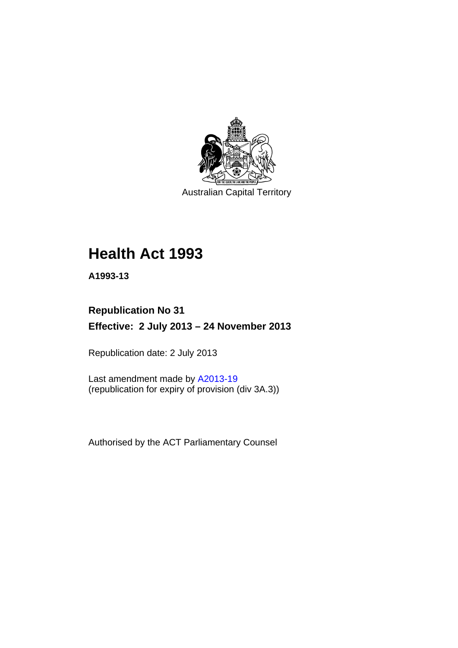

Australian Capital Territory

# **Health Act 1993**

**A1993-13** 

## **Republication No 31 Effective: 2 July 2013 – 24 November 2013**

Republication date: 2 July 2013

Last amendment made by [A2013-19](http://www.legislation.act.gov.au/a/2013-19) (republication for expiry of provision (div 3A.3))

Authorised by the ACT Parliamentary Counsel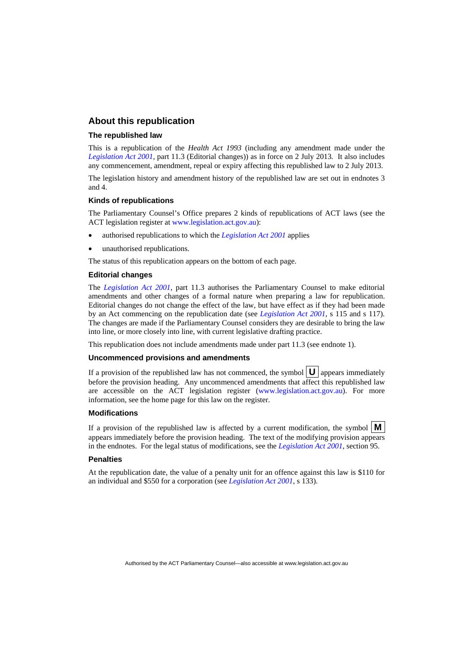#### **About this republication**

#### **The republished law**

This is a republication of the *Health Act 1993* (including any amendment made under the *[Legislation Act 2001](http://www.legislation.act.gov.au/a/2001-14)*, part 11.3 (Editorial changes)) as in force on 2 July 2013*.* It also includes any commencement, amendment, repeal or expiry affecting this republished law to 2 July 2013.

The legislation history and amendment history of the republished law are set out in endnotes 3 and 4.

#### **Kinds of republications**

The Parliamentary Counsel's Office prepares 2 kinds of republications of ACT laws (see the ACT legislation register at [www.legislation.act.gov.au](http://www.legislation.act.gov.au/)):

- authorised republications to which the *[Legislation Act 2001](http://www.legislation.act.gov.au/a/2001-14)* applies
- unauthorised republications.

The status of this republication appears on the bottom of each page.

#### **Editorial changes**

The *[Legislation Act 2001](http://www.legislation.act.gov.au/a/2001-14)*, part 11.3 authorises the Parliamentary Counsel to make editorial amendments and other changes of a formal nature when preparing a law for republication. Editorial changes do not change the effect of the law, but have effect as if they had been made by an Act commencing on the republication date (see *[Legislation Act 2001](http://www.legislation.act.gov.au/a/2001-14)*, s 115 and s 117). The changes are made if the Parliamentary Counsel considers they are desirable to bring the law into line, or more closely into line, with current legislative drafting practice.

This republication does not include amendments made under part 11.3 (see endnote 1).

#### **Uncommenced provisions and amendments**

If a provision of the republished law has not commenced, the symbol  $\mathbf{U}$  appears immediately before the provision heading. Any uncommenced amendments that affect this republished law are accessible on the ACT legislation register [\(www.legislation.act.gov.au\)](http://www.legislation.act.gov.au/). For more information, see the home page for this law on the register.

#### **Modifications**

If a provision of the republished law is affected by a current modification, the symbol  $\mathbf{M}$ appears immediately before the provision heading. The text of the modifying provision appears in the endnotes. For the legal status of modifications, see the *[Legislation Act 2001](http://www.legislation.act.gov.au/a/2001-14)*, section 95.

#### **Penalties**

At the republication date, the value of a penalty unit for an offence against this law is \$110 for an individual and \$550 for a corporation (see *[Legislation Act 2001](http://www.legislation.act.gov.au/a/2001-14)*, s 133).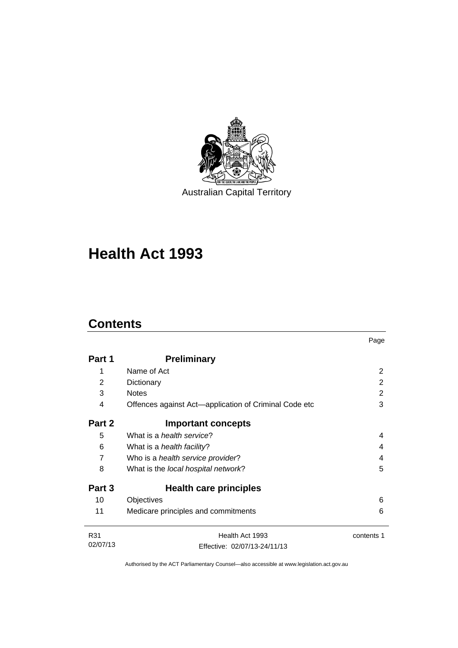

Australian Capital Territory

# **Health Act 1993**

### **Contents**

|          |                                                       | Page       |
|----------|-------------------------------------------------------|------------|
| Part 1   | <b>Preliminary</b>                                    |            |
| 1        | Name of Act                                           | 2          |
| 2        | Dictionary                                            | 2          |
| 3        | <b>Notes</b>                                          | 2          |
| 4        | Offences against Act—application of Criminal Code etc | 3          |
| Part 2   | <b>Important concepts</b>                             |            |
| 5        | What is a <i>health service</i> ?                     | 4          |
| 6        | What is a <i>health facility</i> ?                    | 4          |
| 7        | Who is a health service provider?                     | 4          |
| 8        | What is the local hospital network?                   | 5          |
| Part 3   | Health care principles                                |            |
| 10       | Objectives                                            | 6          |
| 11       | Medicare principles and commitments                   | 6          |
| R31      | Health Act 1993                                       | contents 1 |
| 02/07/13 | Effective: 02/07/13-24/11/13                          |            |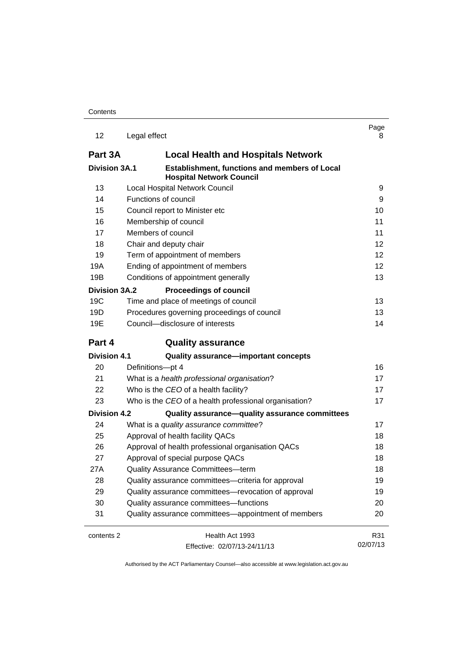| 12                   | Legal effect                                                                     | Page<br>8       |
|----------------------|----------------------------------------------------------------------------------|-----------------|
| Part 3A              | <b>Local Health and Hospitals Network</b>                                        |                 |
| <b>Division 3A.1</b> | Establishment, functions and members of Local<br><b>Hospital Network Council</b> |                 |
| 13                   | <b>Local Hospital Network Council</b>                                            | 9               |
| 14                   | Functions of council                                                             | 9               |
| 15                   | Council report to Minister etc                                                   | 10              |
| 16                   | Membership of council                                                            | 11              |
| 17                   | Members of council                                                               | 11              |
| 18                   | Chair and deputy chair                                                           | 12              |
| 19                   | Term of appointment of members                                                   | 12              |
| 19A                  | Ending of appointment of members                                                 | 12              |
| 19B                  | Conditions of appointment generally                                              | 13              |
| Division 3A.2        | <b>Proceedings of council</b>                                                    |                 |
| 19C                  | Time and place of meetings of council                                            | 13              |
| 19D                  | Procedures governing proceedings of council                                      | 13              |
| 19E                  | Council-disclosure of interests                                                  | 14              |
| Part 4               | <b>Quality assurance</b>                                                         |                 |
| <b>Division 4.1</b>  | Quality assurance-important concepts                                             |                 |
| 20                   | Definitions-pt 4                                                                 | 16              |
| 21                   | What is a health professional organisation?                                      | 17              |
| 22                   | Who is the CEO of a health facility?                                             | 17              |
| 23                   | Who is the CEO of a health professional organisation?                            | 17              |
| <b>Division 4.2</b>  | Quality assurance-quality assurance committees                                   |                 |
| 24                   | What is a quality assurance committee?                                           | 17              |
| 25                   | Approval of health facility QACs                                                 | 18              |
| 26                   | Approval of health professional organisation QACs                                | 18              |
| 27                   | Approval of special purpose QACs                                                 | 18              |
| 27A                  | Quality Assurance Committees-term                                                | 18              |
| 28                   | Quality assurance committees—criteria for approval                               | 19              |
| 29                   |                                                                                  |                 |
|                      | Quality assurance committees-revocation of approval                              | 19              |
| 30                   | Quality assurance committees-functions                                           | 20              |
| 31                   | Quality assurance committees—appointment of members                              | 20              |
| contents 2           | Health Act 1993                                                                  | R31<br>02/07/13 |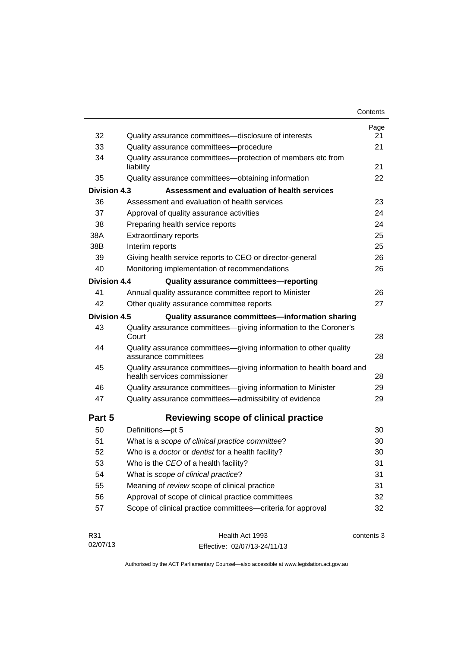|                     |                                                                                                     | Contents |
|---------------------|-----------------------------------------------------------------------------------------------------|----------|
|                     |                                                                                                     | Page     |
| 32                  | Quality assurance committees-disclosure of interests                                                | 21<br>21 |
| 33                  | Quality assurance committees-procedure                                                              |          |
| 34                  | Quality assurance committees-protection of members etc from<br>liability                            | 21       |
| 35                  | Quality assurance committees-obtaining information                                                  | 22       |
| <b>Division 4.3</b> | Assessment and evaluation of health services                                                        |          |
| 36                  | Assessment and evaluation of health services                                                        | 23       |
| 37                  | Approval of quality assurance activities                                                            | 24       |
| 38                  | Preparing health service reports                                                                    | 24       |
| 38A                 | <b>Extraordinary reports</b>                                                                        | 25       |
| 38B                 | Interim reports                                                                                     | 25       |
| 39                  | Giving health service reports to CEO or director-general                                            | 26       |
| 40                  | Monitoring implementation of recommendations                                                        | 26       |
| <b>Division 4.4</b> | Quality assurance committees-reporting                                                              |          |
| 41                  | Annual quality assurance committee report to Minister                                               | 26       |
| 42                  | Other quality assurance committee reports                                                           | 27       |
| <b>Division 4.5</b> | Quality assurance committees-information sharing                                                    |          |
| 43                  | Quality assurance committees-giving information to the Coroner's<br>Court                           | 28       |
| 44                  | Quality assurance committees-giving information to other quality<br>assurance committees            | 28       |
| 45                  | Quality assurance committees-giving information to health board and<br>health services commissioner | 28       |
| 46                  | Quality assurance committees-giving information to Minister                                         | 29       |
| 47                  | Quality assurance committees-admissibility of evidence                                              | 29       |
| Part 5              | Reviewing scope of clinical practice                                                                |          |
| 50                  | Definitions-pt 5                                                                                    | 30       |
| 51                  | What is a scope of clinical practice committee?                                                     | 30       |
| 52                  | Who is a doctor or dentist for a health facility?                                                   | 30       |
| 53                  | Who is the CEO of a health facility?                                                                | 31       |
| 54                  | What is scope of clinical practice?                                                                 | 31       |
| 55                  | Meaning of review scope of clinical practice                                                        | 31       |
| 56                  | Approval of scope of clinical practice committees                                                   | 32       |
| 57                  | Scope of clinical practice committees-criteria for approval                                         | 32       |
| D <sub>24</sub>     | $H_{\alpha\alpha}H_{\alpha\beta}$ $\Lambda_{\alpha\beta}$ $\Lambda_{\alpha\beta}$                   |          |

| R31      | Health Act 1993              | contents 3 |
|----------|------------------------------|------------|
| 02/07/13 | Effective: 02/07/13-24/11/13 |            |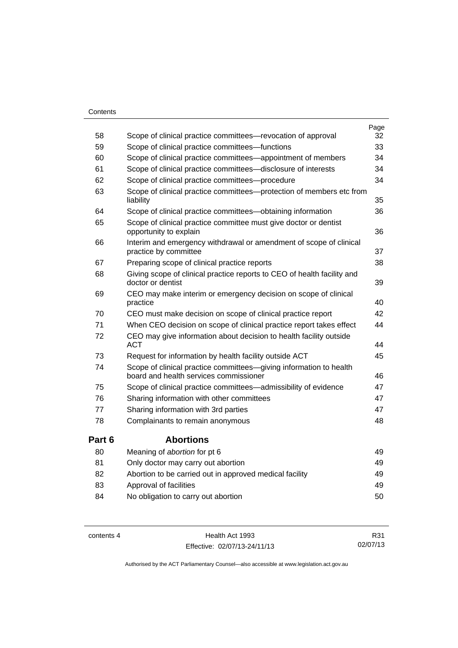#### **Contents**

|        |                                                                                                              | Page |
|--------|--------------------------------------------------------------------------------------------------------------|------|
| 58     | Scope of clinical practice committees—revocation of approval                                                 | 32   |
| 59     | Scope of clinical practice committees-functions                                                              | 33   |
| 60     | Scope of clinical practice committees—appointment of members                                                 | 34   |
| 61     | Scope of clinical practice committees-disclosure of interests                                                | 34   |
| 62     | Scope of clinical practice committees---procedure                                                            | 34   |
| 63     | Scope of clinical practice committees--protection of members etc from<br>liability                           | 35   |
| 64     | Scope of clinical practice committees-obtaining information                                                  | 36   |
| 65     | Scope of clinical practice committee must give doctor or dentist<br>opportunity to explain                   | 36   |
| 66     | Interim and emergency withdrawal or amendment of scope of clinical<br>practice by committee                  | 37   |
| 67     | Preparing scope of clinical practice reports                                                                 | 38   |
| 68     | Giving scope of clinical practice reports to CEO of health facility and<br>doctor or dentist                 | 39   |
| 69     | CEO may make interim or emergency decision on scope of clinical<br>practice                                  | 40   |
| 70     | CEO must make decision on scope of clinical practice report                                                  | 42   |
| 71     | When CEO decision on scope of clinical practice report takes effect                                          | 44   |
| 72     | CEO may give information about decision to health facility outside<br><b>ACT</b>                             | 44   |
| 73     | Request for information by health facility outside ACT                                                       | 45   |
| 74     | Scope of clinical practice committees-giving information to health<br>board and health services commissioner | 46   |
| 75     | Scope of clinical practice committees—admissibility of evidence                                              | 47   |
| 76     | Sharing information with other committees                                                                    | 47   |
| 77     | Sharing information with 3rd parties                                                                         | 47   |
| 78     | Complainants to remain anonymous                                                                             | 48   |
| Part 6 | <b>Abortions</b>                                                                                             |      |
| 80     | Meaning of abortion for pt 6                                                                                 | 49   |
| 81     | Only doctor may carry out abortion                                                                           | 49   |
| 82     | Abortion to be carried out in approved medical facility                                                      | 49   |
| 83     | Approval of facilities                                                                                       | 49   |
| 84     | No obligation to carry out abortion                                                                          | 50   |

contents 4 Health Act 1993 Effective: 02/07/13-24/11/13

R31 02/07/13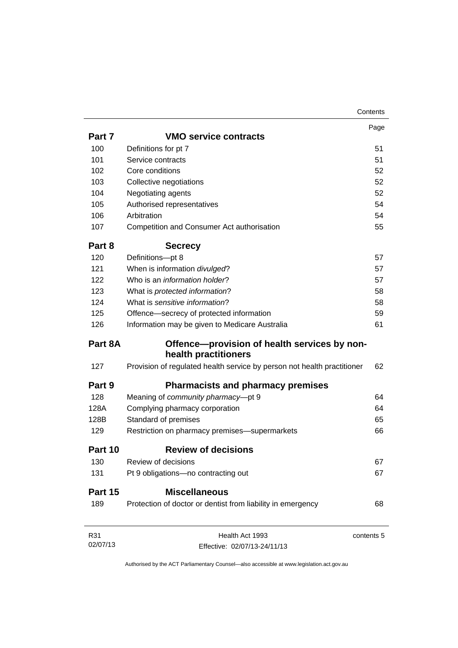|          |                                                                         | Page       |
|----------|-------------------------------------------------------------------------|------------|
| Part 7   | <b>VMO service contracts</b>                                            |            |
| 100      | Definitions for pt 7                                                    | 51         |
| 101      | Service contracts                                                       | 51         |
| 102      | Core conditions                                                         | 52         |
| 103      | Collective negotiations                                                 |            |
| 104      | Negotiating agents                                                      | 52         |
| 105      | Authorised representatives                                              | 54         |
| 106      | Arbitration                                                             | 54         |
| 107      | Competition and Consumer Act authorisation                              | 55         |
| Part 8   | <b>Secrecy</b>                                                          |            |
| 120      | Definitions-pt 8                                                        | 57         |
| 121      | When is information divulged?                                           | 57         |
| 122      | Who is an <i>information holder</i> ?                                   | 57         |
| 123      | What is protected information?                                          | 58         |
| 124      | What is sensitive information?                                          | 58         |
| 125      | Offence-secrecy of protected information                                | 59         |
| 126      | Information may be given to Medicare Australia                          | 61         |
| Part 8A  | Offence-provision of health services by non-<br>health practitioners    |            |
| 127      | Provision of regulated health service by person not health practitioner | 62         |
| Part 9   | <b>Pharmacists and pharmacy premises</b>                                |            |
| 128      | Meaning of community pharmacy-pt 9                                      | 64         |
| 128A     | Complying pharmacy corporation                                          | 64         |
| 128B     | Standard of premises                                                    | 65         |
| 129      | Restriction on pharmacy premises-supermarkets                           | 66         |
| Part 10  | <b>Review of decisions</b>                                              |            |
| 130      | Review of decisions                                                     | 67         |
| 131      | Pt 9 obligations-no contracting out                                     | 67         |
| Part 15  | <b>Miscellaneous</b>                                                    |            |
| 189      | Protection of doctor or dentist from liability in emergency             | 68         |
| R31      | Health Act 1993                                                         | contents 5 |
| 02/07/13 | Effective: 02/07/13-24/11/13                                            |            |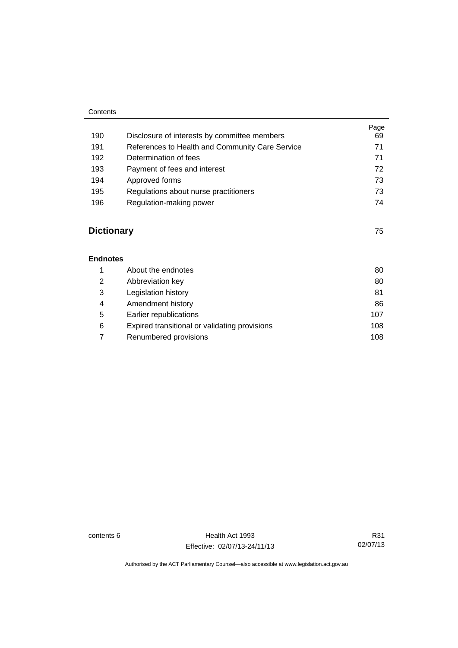#### **Contents**

|     |                                                 | Page |
|-----|-------------------------------------------------|------|
| 190 | Disclosure of interests by committee members    | 69   |
| 191 | References to Health and Community Care Service | 71   |
| 192 | Determination of fees                           | 71   |
| 193 | Payment of fees and interest                    | 72   |
| 194 | Approved forms                                  | 73   |
| 195 | Regulations about nurse practitioners           | 73   |
| 196 | Regulation-making power                         | 74   |
|     |                                                 |      |

### **[Dictionary](#page-82-0)** [75](#page-82-0)

**[Endnotes](#page-87-0)**

|   | About the endnotes                            | 80  |
|---|-----------------------------------------------|-----|
| 2 | Abbreviation key                              | 80  |
| 3 | Legislation history                           | 81  |
| 4 | Amendment history                             | 86  |
| 5 | Earlier republications                        | 107 |
| 6 | Expired transitional or validating provisions | 108 |
|   | Renumbered provisions                         | 108 |
|   |                                               |     |

contents 6 Health Act 1993 Effective: 02/07/13-24/11/13

R31 02/07/13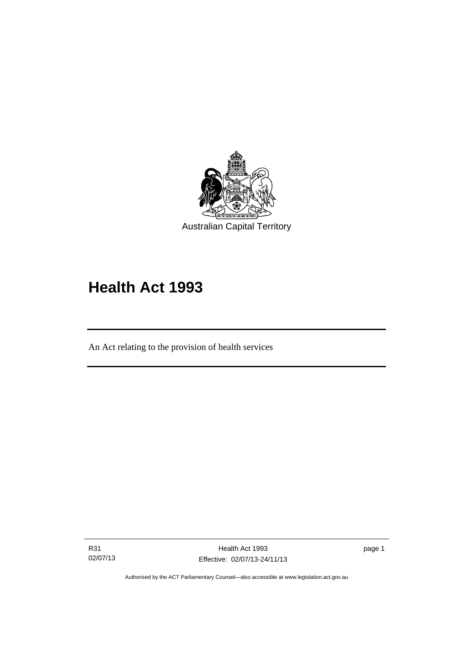

# **Health Act 1993**

An Act relating to the provision of health services

R31 02/07/13

l

page 1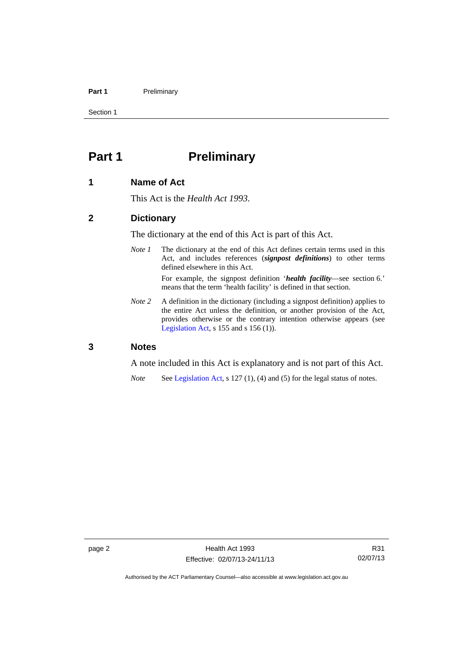#### Part 1 **Preliminary**

Section 1

### <span id="page-9-0"></span>**Part 1** Preliminary

#### <span id="page-9-1"></span>**1 Name of Act**

This Act is the *Health Act 1993*.

#### <span id="page-9-2"></span>**2 Dictionary**

The dictionary at the end of this Act is part of this Act.

*Note 1* The dictionary at the end of this Act defines certain terms used in this Act, and includes references (*signpost definitions*) to other terms defined elsewhere in this Act.

> For example, the signpost definition '*health facility*—see section 6.' means that the term 'health facility' is defined in that section.

*Note* 2 A definition in the dictionary (including a signpost definition) applies to the entire Act unless the definition, or another provision of the Act, provides otherwise or the contrary intention otherwise appears (see [Legislation Act,](http://www.legislation.act.gov.au/a/2001-14)  $s$  155 and  $s$  156 (1)).

#### <span id="page-9-3"></span>**3 Notes**

A note included in this Act is explanatory and is not part of this Act.

*Note* See [Legislation Act,](http://www.legislation.act.gov.au/a/2001-14) s 127 (1), (4) and (5) for the legal status of notes.

Authorised by the ACT Parliamentary Counsel—also accessible at www.legislation.act.gov.au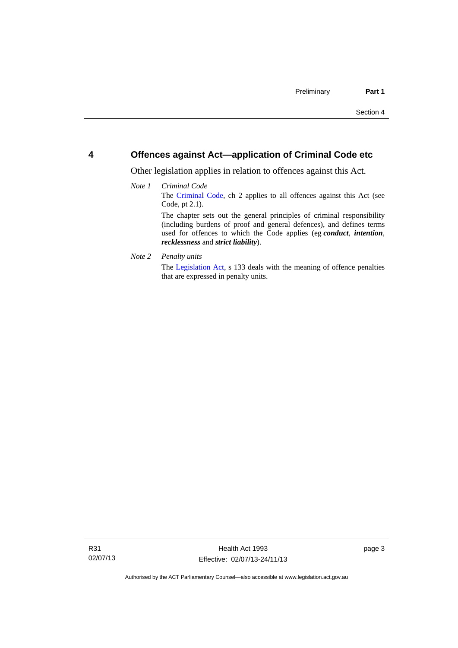#### <span id="page-10-0"></span>**4 Offences against Act—application of Criminal Code etc**

Other legislation applies in relation to offences against this Act.

#### *Note 1 Criminal Code* The [Criminal Code](http://www.legislation.act.gov.au/a/2002-51), ch 2 applies to all offences against this Act (see Code, pt 2.1). The chapter sets out the general principles of criminal responsibility (including burdens of proof and general defences), and defines terms used for offences to which the Code applies (eg *conduct*, *intention*, *recklessness* and *strict liability*).

*Note 2 Penalty units* 

The [Legislation Act](http://www.legislation.act.gov.au/a/2001-14), s 133 deals with the meaning of offence penalties that are expressed in penalty units.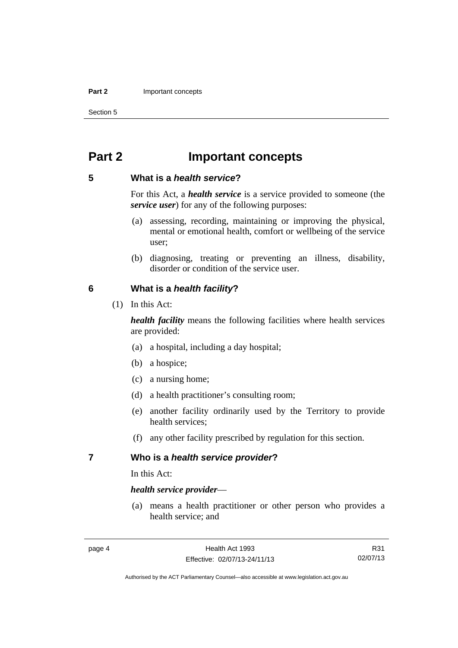#### **Part 2 Important concepts**

Section 5

### <span id="page-11-0"></span>**Part 2 Important concepts**

#### <span id="page-11-1"></span>**5 What is a** *health service***?**

For this Act, a *health service* is a service provided to someone (the *service user*) for any of the following purposes:

- (a) assessing, recording, maintaining or improving the physical, mental or emotional health, comfort or wellbeing of the service user;
- (b) diagnosing, treating or preventing an illness, disability, disorder or condition of the service user.

#### <span id="page-11-2"></span>**6 What is a** *health facility***?**

(1) In this Act:

*health facility* means the following facilities where health services are provided:

- (a) a hospital, including a day hospital;
- (b) a hospice;
- (c) a nursing home;
- (d) a health practitioner's consulting room;
- (e) another facility ordinarily used by the Territory to provide health services;
- (f) any other facility prescribed by regulation for this section.

#### <span id="page-11-3"></span>**7 Who is a** *health service provider***?**

In this Act:

#### *health service provider*—

 (a) means a health practitioner or other person who provides a health service; and

R31 02/07/13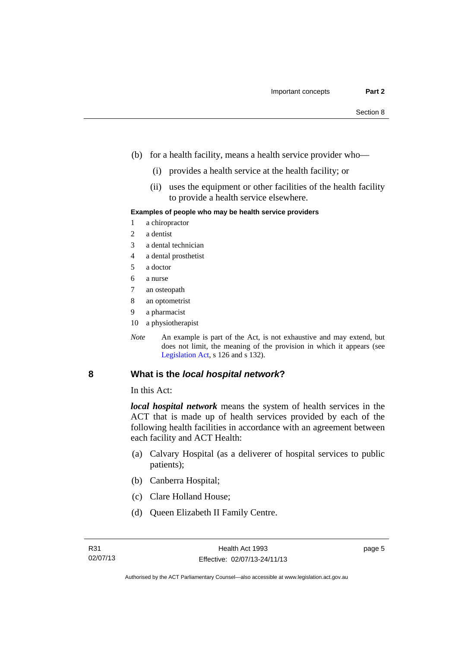- (b) for a health facility, means a health service provider who—
	- (i) provides a health service at the health facility; or
	- (ii) uses the equipment or other facilities of the health facility to provide a health service elsewhere.

#### **Examples of people who may be health service providers**

- 1 a chiropractor
- 2 a dentist
- 3 a dental technician
- 4 a dental prosthetist
- 5 a doctor
- 6 a nurse
- 7 an osteopath
- 8 an optometrist
- 9 a pharmacist
- 10 a physiotherapist
- *Note* An example is part of the Act, is not exhaustive and may extend, but does not limit, the meaning of the provision in which it appears (see [Legislation Act,](http://www.legislation.act.gov.au/a/2001-14) s 126 and s 132).

#### <span id="page-12-0"></span>**8 What is the** *local hospital network***?**

In this Act:

*local hospital network* means the system of health services in the ACT that is made up of health services provided by each of the following health facilities in accordance with an agreement between each facility and ACT Health:

- (a) Calvary Hospital (as a deliverer of hospital services to public patients);
- (b) Canberra Hospital;
- (c) Clare Holland House;
- (d) Queen Elizabeth II Family Centre.

page 5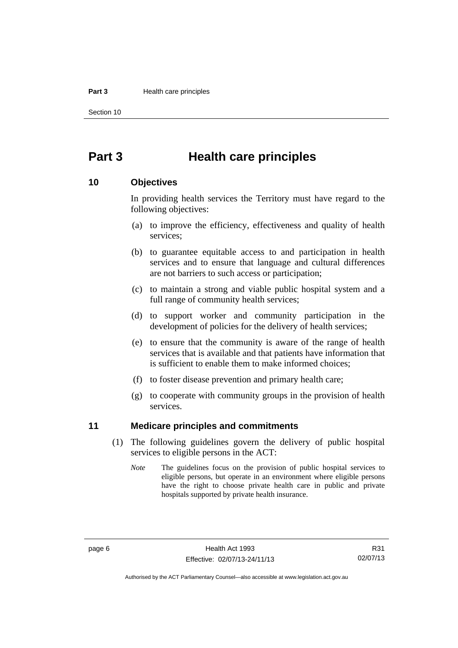#### **Part 3 Health care principles**

Section 10

### <span id="page-13-0"></span>**Part 3 Health care principles**

#### <span id="page-13-1"></span>**10 Objectives**

In providing health services the Territory must have regard to the following objectives:

- (a) to improve the efficiency, effectiveness and quality of health services;
- (b) to guarantee equitable access to and participation in health services and to ensure that language and cultural differences are not barriers to such access or participation;
- (c) to maintain a strong and viable public hospital system and a full range of community health services;
- (d) to support worker and community participation in the development of policies for the delivery of health services;
- (e) to ensure that the community is aware of the range of health services that is available and that patients have information that is sufficient to enable them to make informed choices;
- (f) to foster disease prevention and primary health care;
- (g) to cooperate with community groups in the provision of health services.

#### <span id="page-13-2"></span>**11 Medicare principles and commitments**

- (1) The following guidelines govern the delivery of public hospital services to eligible persons in the ACT:
	- *Note* The guidelines focus on the provision of public hospital services to eligible persons, but operate in an environment where eligible persons have the right to choose private health care in public and private hospitals supported by private health insurance.

R31 02/07/13

Authorised by the ACT Parliamentary Counsel—also accessible at www.legislation.act.gov.au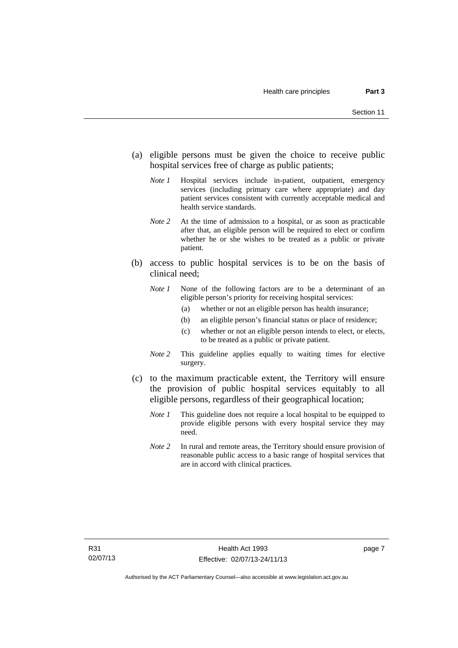- (a) eligible persons must be given the choice to receive public hospital services free of charge as public patients;
	- *Note 1* Hospital services include in-patient, outpatient, emergency services (including primary care where appropriate) and day patient services consistent with currently acceptable medical and health service standards.
	- *Note 2* At the time of admission to a hospital, or as soon as practicable after that, an eligible person will be required to elect or confirm whether he or she wishes to be treated as a public or private patient.
- (b) access to public hospital services is to be on the basis of clinical need;
	- *Note 1* None of the following factors are to be a determinant of an eligible person's priority for receiving hospital services:
		- (a) whether or not an eligible person has health insurance;
		- (b) an eligible person's financial status or place of residence;
		- (c) whether or not an eligible person intends to elect, or elects, to be treated as a public or private patient.
	- *Note 2* This guideline applies equally to waiting times for elective surgery.
- (c) to the maximum practicable extent, the Territory will ensure the provision of public hospital services equitably to all eligible persons, regardless of their geographical location;
	- *Note 1* This guideline does not require a local hospital to be equipped to provide eligible persons with every hospital service they may need.
	- *Note 2* In rural and remote areas, the Territory should ensure provision of reasonable public access to a basic range of hospital services that are in accord with clinical practices.

page 7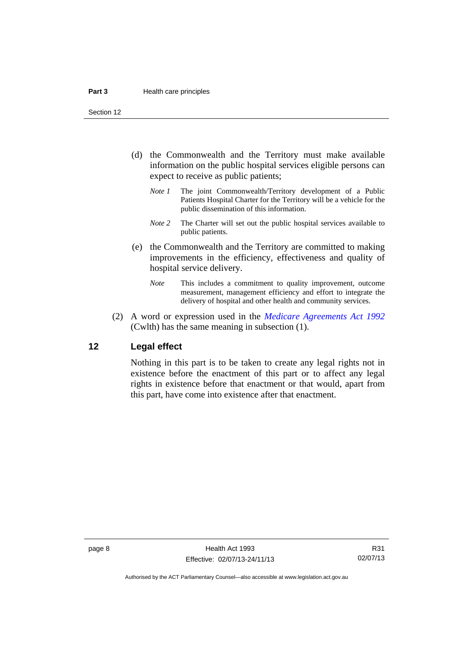Section 12

- (d) the Commonwealth and the Territory must make available information on the public hospital services eligible persons can expect to receive as public patients;
	- *Note 1* The joint Commonwealth/Territory development of a Public Patients Hospital Charter for the Territory will be a vehicle for the public dissemination of this information.
	- *Note 2* The Charter will set out the public hospital services available to public patients.
- (e) the Commonwealth and the Territory are committed to making improvements in the efficiency, effectiveness and quality of hospital service delivery.
	- *Note* This includes a commitment to quality improvement, outcome measurement, management efficiency and effort to integrate the delivery of hospital and other health and community services.
- (2) A word or expression used in the *[Medicare Agreements Act 1992](http://www.comlaw.gov.au/Details/C2006C00041)* (Cwlth) has the same meaning in subsection (1).

#### <span id="page-15-0"></span>**12 Legal effect**

Nothing in this part is to be taken to create any legal rights not in existence before the enactment of this part or to affect any legal rights in existence before that enactment or that would, apart from this part, have come into existence after that enactment.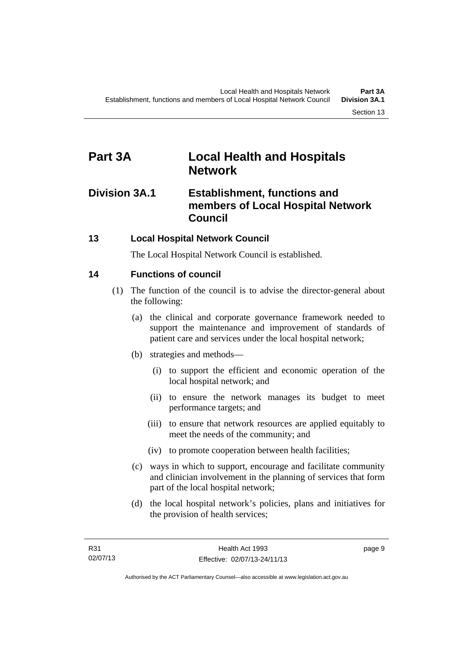### <span id="page-16-0"></span>**Part 3A Local Health and Hospitals Network**

### <span id="page-16-1"></span>**Division 3A.1 Establishment, functions and members of Local Hospital Network Council**

### <span id="page-16-2"></span>**13 Local Hospital Network Council**

The Local Hospital Network Council is established.

### <span id="page-16-3"></span>**14 Functions of council**

- (1) The function of the council is to advise the director-general about the following:
	- (a) the clinical and corporate governance framework needed to support the maintenance and improvement of standards of patient care and services under the local hospital network;
	- (b) strategies and methods—
		- (i) to support the efficient and economic operation of the local hospital network; and
		- (ii) to ensure the network manages its budget to meet performance targets; and
		- (iii) to ensure that network resources are applied equitably to meet the needs of the community; and
		- (iv) to promote cooperation between health facilities;
	- (c) ways in which to support, encourage and facilitate community and clinician involvement in the planning of services that form part of the local hospital network;
	- (d) the local hospital network's policies, plans and initiatives for the provision of health services;

page 9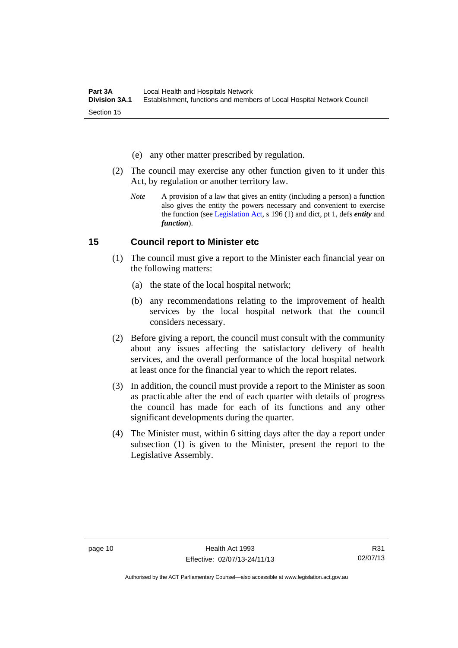- (e) any other matter prescribed by regulation.
- (2) The council may exercise any other function given to it under this Act, by regulation or another territory law.
	- *Note* A provision of a law that gives an entity (including a person) a function also gives the entity the powers necessary and convenient to exercise the function (see [Legislation Act](http://www.legislation.act.gov.au/a/2001-14), s 196 (1) and dict, pt 1, defs *entity* and *function*).

#### <span id="page-17-0"></span>**15 Council report to Minister etc**

- (1) The council must give a report to the Minister each financial year on the following matters:
	- (a) the state of the local hospital network;
	- (b) any recommendations relating to the improvement of health services by the local hospital network that the council considers necessary.
- (2) Before giving a report, the council must consult with the community about any issues affecting the satisfactory delivery of health services, and the overall performance of the local hospital network at least once for the financial year to which the report relates.
- (3) In addition, the council must provide a report to the Minister as soon as practicable after the end of each quarter with details of progress the council has made for each of its functions and any other significant developments during the quarter.
- (4) The Minister must, within 6 sitting days after the day a report under subsection (1) is given to the Minister, present the report to the Legislative Assembly.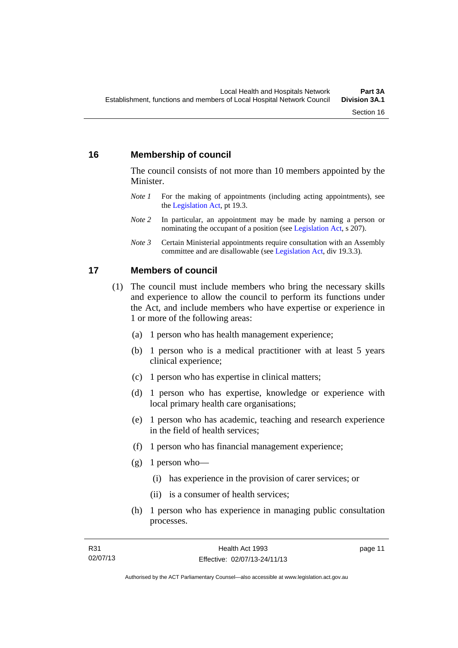#### <span id="page-18-0"></span>**16 Membership of council**

The council consists of not more than 10 members appointed by the Minister.

- *Note 1* For the making of appointments (including acting appointments), see the [Legislation Act,](http://www.legislation.act.gov.au/a/2001-14) pt 19.3.
- *Note 2* In particular, an appointment may be made by naming a person or nominating the occupant of a position (see [Legislation Act](http://www.legislation.act.gov.au/a/2001-14), s 207).
- *Note 3* Certain Ministerial appointments require consultation with an Assembly committee and are disallowable (see [Legislation Act,](http://www.legislation.act.gov.au/a/2001-14) div 19.3.3).

#### <span id="page-18-1"></span>**17 Members of council**

- (1) The council must include members who bring the necessary skills and experience to allow the council to perform its functions under the Act, and include members who have expertise or experience in 1 or more of the following areas:
	- (a) 1 person who has health management experience;
	- (b) 1 person who is a medical practitioner with at least 5 years clinical experience;
	- (c) 1 person who has expertise in clinical matters;
	- (d) 1 person who has expertise, knowledge or experience with local primary health care organisations;
	- (e) 1 person who has academic, teaching and research experience in the field of health services;
	- (f) 1 person who has financial management experience;
	- $(g)$  1 person who—
		- (i) has experience in the provision of carer services; or
		- (ii) is a consumer of health services;
	- (h) 1 person who has experience in managing public consultation processes.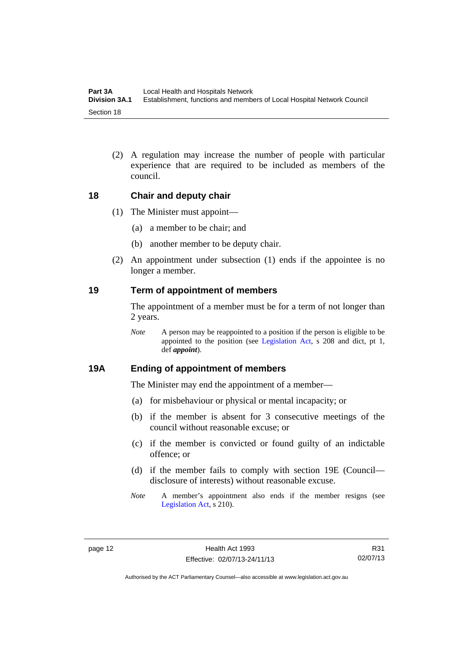(2) A regulation may increase the number of people with particular experience that are required to be included as members of the council.

#### <span id="page-19-0"></span>**18 Chair and deputy chair**

- (1) The Minister must appoint—
	- (a) a member to be chair; and
	- (b) another member to be deputy chair.
- (2) An appointment under subsection (1) ends if the appointee is no longer a member.

#### <span id="page-19-1"></span>**19 Term of appointment of members**

The appointment of a member must be for a term of not longer than 2 years.

*Note* A person may be reappointed to a position if the person is eligible to be appointed to the position (see [Legislation Act,](http://www.legislation.act.gov.au/a/2001-14) s 208 and dict, pt 1, def *appoint*).

#### <span id="page-19-2"></span>**19A Ending of appointment of members**

The Minister may end the appointment of a member—

- (a) for misbehaviour or physical or mental incapacity; or
- (b) if the member is absent for 3 consecutive meetings of the council without reasonable excuse; or
- (c) if the member is convicted or found guilty of an indictable offence; or
- (d) if the member fails to comply with section 19E (Council disclosure of interests) without reasonable excuse.
- *Note* A member's appointment also ends if the member resigns (see [Legislation Act,](http://www.legislation.act.gov.au/a/2001-14) s 210).

R31 02/07/13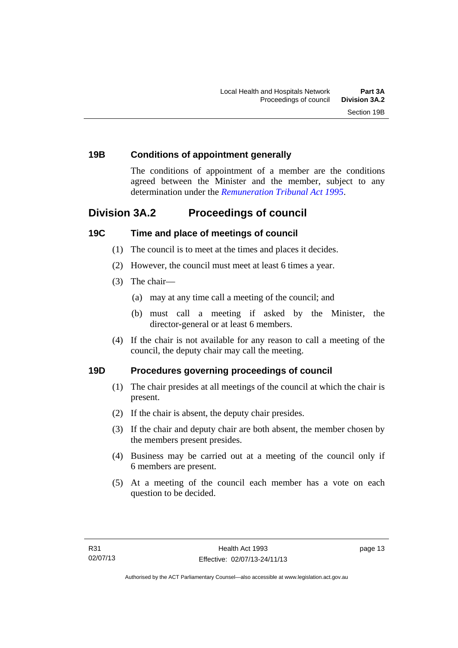#### <span id="page-20-0"></span>**19B Conditions of appointment generally**

The conditions of appointment of a member are the conditions agreed between the Minister and the member, subject to any determination under the *[Remuneration Tribunal Act 1995](http://www.legislation.act.gov.au/a/1995-55)*.

### <span id="page-20-1"></span>**Division 3A.2 Proceedings of council**

#### <span id="page-20-2"></span>**19C Time and place of meetings of council**

- (1) The council is to meet at the times and places it decides.
- (2) However, the council must meet at least 6 times a year.
- (3) The chair—
	- (a) may at any time call a meeting of the council; and
	- (b) must call a meeting if asked by the Minister, the director-general or at least 6 members.
- (4) If the chair is not available for any reason to call a meeting of the council, the deputy chair may call the meeting.

#### <span id="page-20-3"></span>**19D Procedures governing proceedings of council**

- (1) The chair presides at all meetings of the council at which the chair is present.
- (2) If the chair is absent, the deputy chair presides.
- (3) If the chair and deputy chair are both absent, the member chosen by the members present presides.
- (4) Business may be carried out at a meeting of the council only if 6 members are present.
- (5) At a meeting of the council each member has a vote on each question to be decided.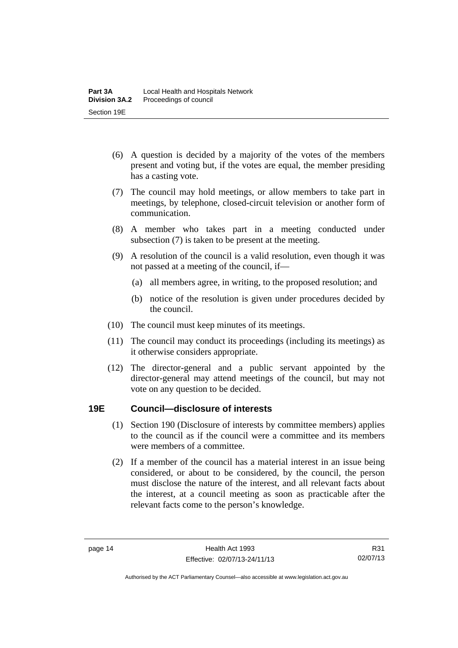- (6) A question is decided by a majority of the votes of the members present and voting but, if the votes are equal, the member presiding has a casting vote.
- (7) The council may hold meetings, or allow members to take part in meetings, by telephone, closed-circuit television or another form of communication.
- (8) A member who takes part in a meeting conducted under subsection (7) is taken to be present at the meeting.
- (9) A resolution of the council is a valid resolution, even though it was not passed at a meeting of the council, if—
	- (a) all members agree, in writing, to the proposed resolution; and
	- (b) notice of the resolution is given under procedures decided by the council.
- (10) The council must keep minutes of its meetings.
- (11) The council may conduct its proceedings (including its meetings) as it otherwise considers appropriate.
- (12) The director-general and a public servant appointed by the director-general may attend meetings of the council, but may not vote on any question to be decided.

#### <span id="page-21-0"></span>**19E Council—disclosure of interests**

- (1) Section 190 (Disclosure of interests by committee members) applies to the council as if the council were a committee and its members were members of a committee.
- (2) If a member of the council has a material interest in an issue being considered, or about to be considered, by the council, the person must disclose the nature of the interest, and all relevant facts about the interest, at a council meeting as soon as practicable after the relevant facts come to the person's knowledge.

R31 02/07/13

Authorised by the ACT Parliamentary Counsel—also accessible at www.legislation.act.gov.au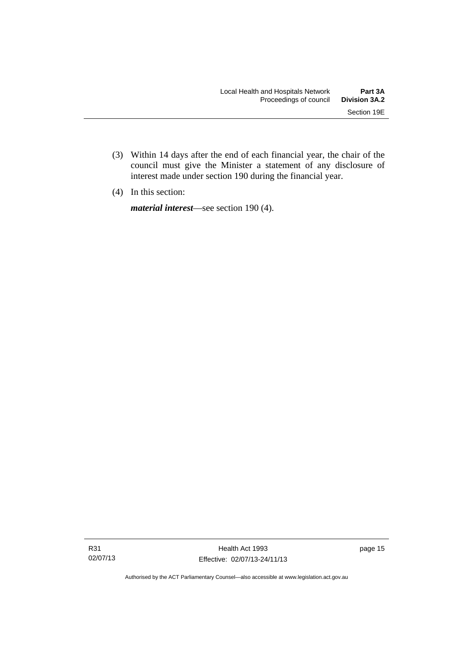- (3) Within 14 days after the end of each financial year, the chair of the council must give the Minister a statement of any disclosure of interest made under section 190 during the financial year.
- (4) In this section:

*material interest*—see section 190 (4).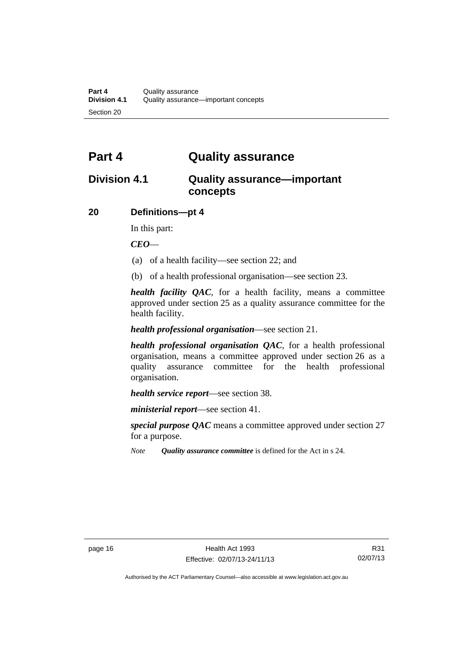### <span id="page-23-0"></span>**Part 4 Quality assurance**

### <span id="page-23-1"></span>**Division 4.1 Quality assurance—important concepts**

#### <span id="page-23-2"></span>**20 Definitions—pt 4**

In this part:

*CEO*—

- (a) of a health facility—see section 22; and
- (b) of a health professional organisation—see section 23.

*health facility QAC*, for a health facility, means a committee approved under section 25 as a quality assurance committee for the health facility.

#### *health professional organisation*—see section 21.

*health professional organisation QAC*, for a health professional organisation, means a committee approved under section 26 as a quality assurance committee for the health professional organisation.

*health service report*—see section 38.

*ministerial report*—see section 41.

*special purpose QAC* means a committee approved under section 27 for a purpose.

*Note Quality assurance committee* is defined for the Act in s 24.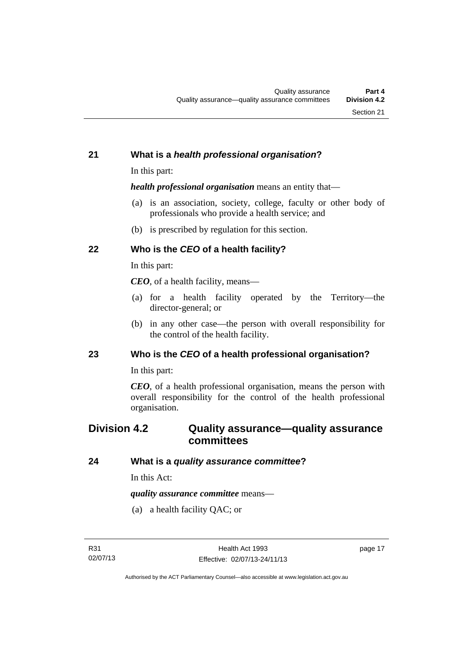#### <span id="page-24-0"></span>**21 What is a** *health professional organisation***?**

In this part:

*health professional organisation* means an entity that—

- (a) is an association, society, college, faculty or other body of professionals who provide a health service; and
- (b) is prescribed by regulation for this section.

### <span id="page-24-1"></span>**22 Who is the** *CEO* **of a health facility?**

In this part:

*CEO*, of a health facility, means—

- (a) for a health facility operated by the Territory—the director-general; or
- (b) in any other case—the person with overall responsibility for the control of the health facility.

#### <span id="page-24-2"></span>**23 Who is the** *CEO* **of a health professional organisation?**

In this part:

*CEO*, of a health professional organisation, means the person with overall responsibility for the control of the health professional organisation.

### <span id="page-24-3"></span>**Division 4.2 Quality assurance—quality assurance committees**

#### <span id="page-24-4"></span>**24 What is a** *quality assurance committee***?**

In this Act:

*quality assurance committee* means—

(a) a health facility QAC; or

page 17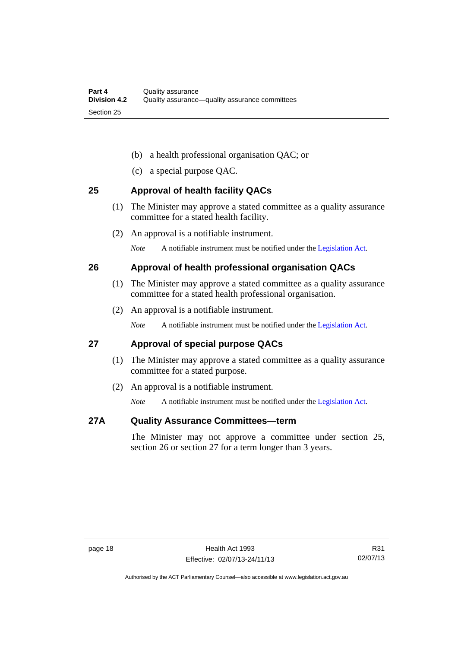- (b) a health professional organisation QAC; or
- (c) a special purpose QAC.

#### <span id="page-25-0"></span>**25 Approval of health facility QACs**

- (1) The Minister may approve a stated committee as a quality assurance committee for a stated health facility.
- (2) An approval is a notifiable instrument.

*Note* A notifiable instrument must be notified under the [Legislation Act](http://www.legislation.act.gov.au/a/2001-14).

#### <span id="page-25-1"></span>**26 Approval of health professional organisation QACs**

- (1) The Minister may approve a stated committee as a quality assurance committee for a stated health professional organisation.
- (2) An approval is a notifiable instrument.

*Note* A notifiable instrument must be notified under the [Legislation Act](http://www.legislation.act.gov.au/a/2001-14).

#### <span id="page-25-2"></span>**27 Approval of special purpose QACs**

- (1) The Minister may approve a stated committee as a quality assurance committee for a stated purpose.
- (2) An approval is a notifiable instrument.

*Note* A notifiable instrument must be notified under the [Legislation Act](http://www.legislation.act.gov.au/a/2001-14).

#### <span id="page-25-3"></span>**27A Quality Assurance Committees—term**

The Minister may not approve a committee under section 25, section 26 or section 27 for a term longer than 3 years.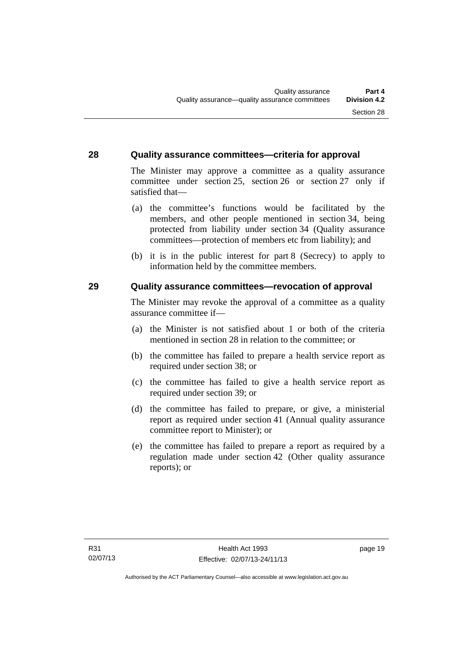#### <span id="page-26-0"></span>**28 Quality assurance committees—criteria for approval**

The Minister may approve a committee as a quality assurance committee under section 25, section 26 or section 27 only if satisfied that—

- (a) the committee's functions would be facilitated by the members, and other people mentioned in section 34, being protected from liability under section 34 (Quality assurance committees—protection of members etc from liability); and
- (b) it is in the public interest for part 8 (Secrecy) to apply to information held by the committee members.

#### <span id="page-26-1"></span>**29 Quality assurance committees—revocation of approval**

The Minister may revoke the approval of a committee as a quality assurance committee if—

- (a) the Minister is not satisfied about 1 or both of the criteria mentioned in section 28 in relation to the committee; or
- (b) the committee has failed to prepare a health service report as required under section 38; or
- (c) the committee has failed to give a health service report as required under section 39; or
- (d) the committee has failed to prepare, or give, a ministerial report as required under section 41 (Annual quality assurance committee report to Minister); or
- (e) the committee has failed to prepare a report as required by a regulation made under section 42 (Other quality assurance reports); or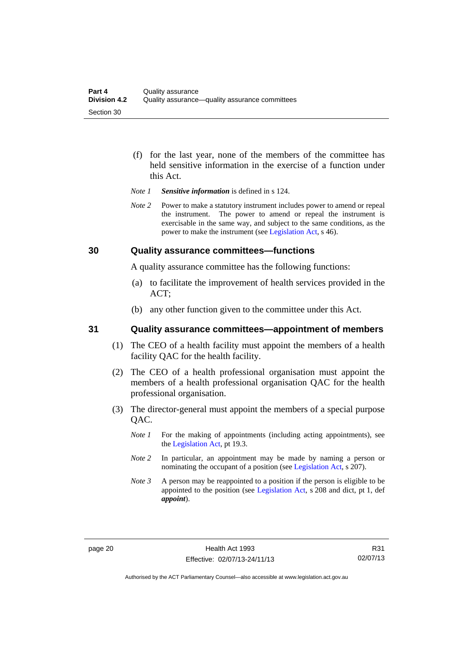- (f) for the last year, none of the members of the committee has held sensitive information in the exercise of a function under this Act.
- *Note 1 Sensitive information* is defined in s 124.
- *Note* 2 Power to make a statutory instrument includes power to amend or repeal the instrument. The power to amend or repeal the instrument is exercisable in the same way, and subject to the same conditions, as the power to make the instrument (see [Legislation Act,](http://www.legislation.act.gov.au/a/2001-14) s 46).

#### <span id="page-27-0"></span>**30 Quality assurance committees—functions**

A quality assurance committee has the following functions:

- (a) to facilitate the improvement of health services provided in the ACT;
- (b) any other function given to the committee under this Act.

#### <span id="page-27-1"></span>**31 Quality assurance committees—appointment of members**

- (1) The CEO of a health facility must appoint the members of a health facility QAC for the health facility.
- (2) The CEO of a health professional organisation must appoint the members of a health professional organisation QAC for the health professional organisation.
- (3) The director-general must appoint the members of a special purpose QAC.
	- *Note 1* For the making of appointments (including acting appointments), see the [Legislation Act,](http://www.legislation.act.gov.au/a/2001-14) pt 19.3.
	- *Note 2* In particular, an appointment may be made by naming a person or nominating the occupant of a position (see [Legislation Act](http://www.legislation.act.gov.au/a/2001-14), s 207).
	- *Note 3* A person may be reappointed to a position if the person is eligible to be appointed to the position (see [Legislation Act](http://www.legislation.act.gov.au/a/2001-14), s 208 and dict, pt 1, def *appoint*).

R31 02/07/13

Authorised by the ACT Parliamentary Counsel—also accessible at www.legislation.act.gov.au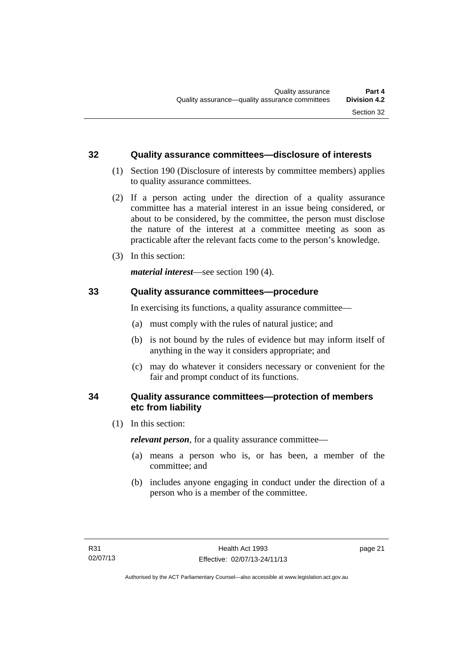#### <span id="page-28-0"></span>**32 Quality assurance committees—disclosure of interests**

- (1) Section 190 (Disclosure of interests by committee members) applies to quality assurance committees.
- (2) If a person acting under the direction of a quality assurance committee has a material interest in an issue being considered, or about to be considered, by the committee, the person must disclose the nature of the interest at a committee meeting as soon as practicable after the relevant facts come to the person's knowledge.
- (3) In this section:

*material interest*—see section 190 (4).

#### <span id="page-28-1"></span>**33 Quality assurance committees—procedure**

In exercising its functions, a quality assurance committee—

- (a) must comply with the rules of natural justice; and
- (b) is not bound by the rules of evidence but may inform itself of anything in the way it considers appropriate; and
- (c) may do whatever it considers necessary or convenient for the fair and prompt conduct of its functions.

#### <span id="page-28-2"></span>**34 Quality assurance committees—protection of members etc from liability**

(1) In this section:

*relevant person*, for a quality assurance committee—

- (a) means a person who is, or has been, a member of the committee; and
- (b) includes anyone engaging in conduct under the direction of a person who is a member of the committee.

page 21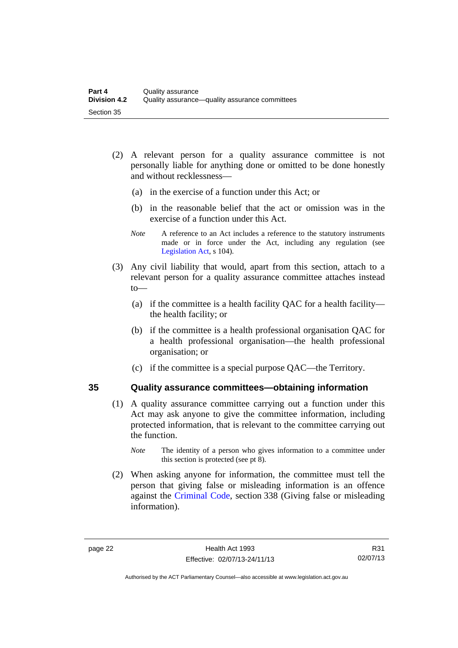- (2) A relevant person for a quality assurance committee is not personally liable for anything done or omitted to be done honestly and without recklessness—
	- (a) in the exercise of a function under this Act; or
	- (b) in the reasonable belief that the act or omission was in the exercise of a function under this Act.
	- *Note* A reference to an Act includes a reference to the statutory instruments made or in force under the Act, including any regulation (see [Legislation Act,](http://www.legislation.act.gov.au/a/2001-14) s 104).
- (3) Any civil liability that would, apart from this section, attach to a relevant person for a quality assurance committee attaches instead to—
	- (a) if the committee is a health facility QAC for a health facility the health facility; or
	- (b) if the committee is a health professional organisation QAC for a health professional organisation—the health professional organisation; or
	- (c) if the committee is a special purpose QAC—the Territory.

#### <span id="page-29-0"></span>**35 Quality assurance committees—obtaining information**

- (1) A quality assurance committee carrying out a function under this Act may ask anyone to give the committee information, including protected information, that is relevant to the committee carrying out the function.
	- *Note* The identity of a person who gives information to a committee under this section is protected (see pt 8).
- (2) When asking anyone for information, the committee must tell the person that giving false or misleading information is an offence against the [Criminal Code](http://www.legislation.act.gov.au/a/2002-51), section 338 (Giving false or misleading information).

Authorised by the ACT Parliamentary Counsel—also accessible at www.legislation.act.gov.au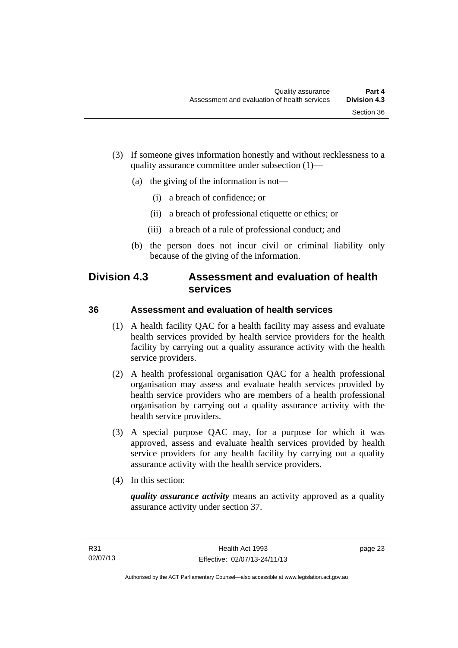- (3) If someone gives information honestly and without recklessness to a quality assurance committee under subsection (1)—
	- (a) the giving of the information is not—
		- (i) a breach of confidence; or
		- (ii) a breach of professional etiquette or ethics; or
		- (iii) a breach of a rule of professional conduct; and
	- (b) the person does not incur civil or criminal liability only because of the giving of the information.

### <span id="page-30-0"></span>**Division 4.3 Assessment and evaluation of health services**

#### <span id="page-30-1"></span>**36 Assessment and evaluation of health services**

- (1) A health facility QAC for a health facility may assess and evaluate health services provided by health service providers for the health facility by carrying out a quality assurance activity with the health service providers.
- (2) A health professional organisation QAC for a health professional organisation may assess and evaluate health services provided by health service providers who are members of a health professional organisation by carrying out a quality assurance activity with the health service providers.
- (3) A special purpose QAC may, for a purpose for which it was approved, assess and evaluate health services provided by health service providers for any health facility by carrying out a quality assurance activity with the health service providers.
- (4) In this section:

*quality assurance activity* means an activity approved as a quality assurance activity under section 37.

page 23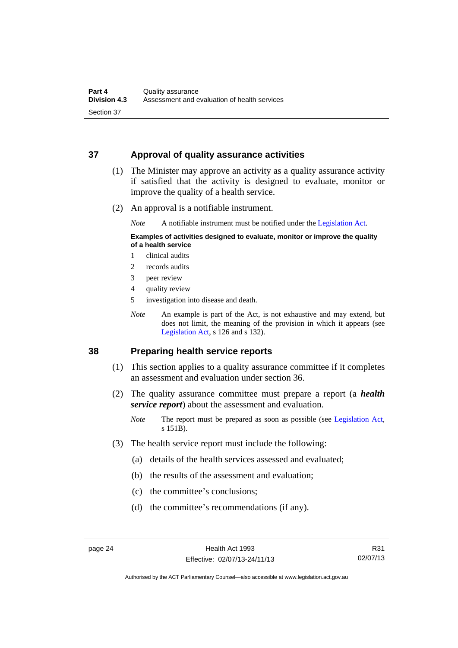#### <span id="page-31-0"></span>**37 Approval of quality assurance activities**

- (1) The Minister may approve an activity as a quality assurance activity if satisfied that the activity is designed to evaluate, monitor or improve the quality of a health service.
- (2) An approval is a notifiable instrument.

*Note* A notifiable instrument must be notified under the [Legislation Act](http://www.legislation.act.gov.au/a/2001-14).

#### **Examples of activities designed to evaluate, monitor or improve the quality of a health service**

- 1 clinical audits
- 2 records audits
- 3 peer review
- 4 quality review
- 5 investigation into disease and death.
- *Note* An example is part of the Act, is not exhaustive and may extend, but does not limit, the meaning of the provision in which it appears (see [Legislation Act,](http://www.legislation.act.gov.au/a/2001-14) s 126 and s 132).

#### <span id="page-31-1"></span>**38 Preparing health service reports**

- (1) This section applies to a quality assurance committee if it completes an assessment and evaluation under section 36.
- (2) The quality assurance committee must prepare a report (a *health service report*) about the assessment and evaluation.
	- *Note* The report must be prepared as soon as possible (see [Legislation Act,](http://www.legislation.act.gov.au/a/2001-14) s 151B).
- (3) The health service report must include the following:
	- (a) details of the health services assessed and evaluated;
	- (b) the results of the assessment and evaluation;
	- (c) the committee's conclusions;
	- (d) the committee's recommendations (if any).

Authorised by the ACT Parliamentary Counsel—also accessible at www.legislation.act.gov.au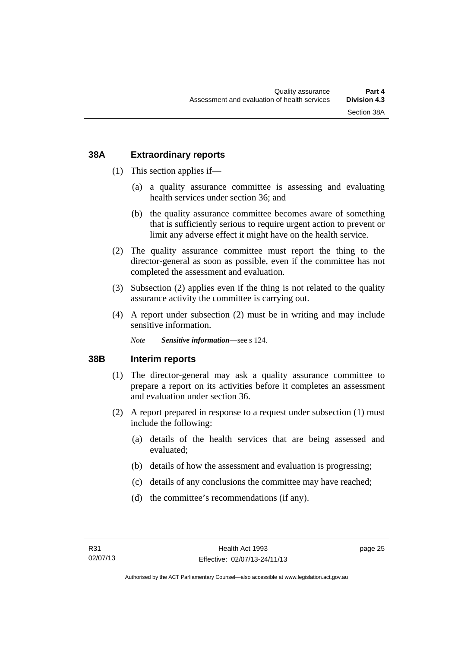#### <span id="page-32-0"></span>**38A Extraordinary reports**

- (1) This section applies if—
	- (a) a quality assurance committee is assessing and evaluating health services under section 36; and
	- (b) the quality assurance committee becomes aware of something that is sufficiently serious to require urgent action to prevent or limit any adverse effect it might have on the health service.
- (2) The quality assurance committee must report the thing to the director-general as soon as possible, even if the committee has not completed the assessment and evaluation.
- (3) Subsection (2) applies even if the thing is not related to the quality assurance activity the committee is carrying out.
- (4) A report under subsection (2) must be in writing and may include sensitive information.

*Note Sensitive information*—see s 124.

#### <span id="page-32-1"></span>**38B Interim reports**

- (1) The director-general may ask a quality assurance committee to prepare a report on its activities before it completes an assessment and evaluation under section 36.
- (2) A report prepared in response to a request under subsection (1) must include the following:
	- (a) details of the health services that are being assessed and evaluated;
	- (b) details of how the assessment and evaluation is progressing;
	- (c) details of any conclusions the committee may have reached;
	- (d) the committee's recommendations (if any).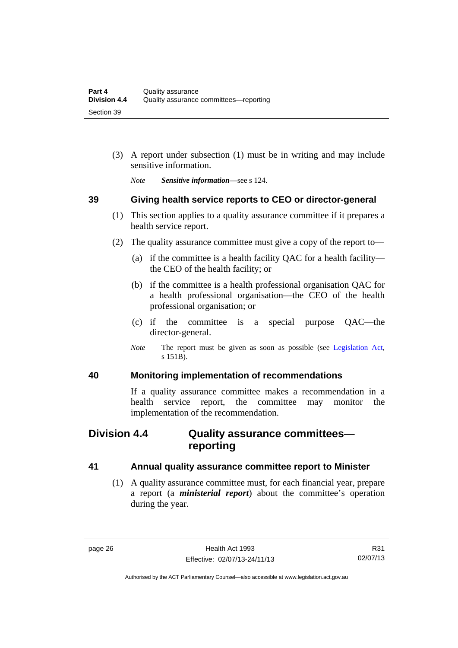(3) A report under subsection (1) must be in writing and may include sensitive information.

*Note Sensitive information*—see s 124.

#### <span id="page-33-0"></span>**39 Giving health service reports to CEO or director-general**

- (1) This section applies to a quality assurance committee if it prepares a health service report.
- (2) The quality assurance committee must give a copy of the report to—
	- (a) if the committee is a health facility QAC for a health facility the CEO of the health facility; or
	- (b) if the committee is a health professional organisation QAC for a health professional organisation—the CEO of the health professional organisation; or
	- (c) if the committee is a special purpose QAC—the director-general.
	- *Note* The report must be given as soon as possible (see [Legislation Act,](http://www.legislation.act.gov.au/a/2001-14) s 151B).

#### <span id="page-33-1"></span>**40 Monitoring implementation of recommendations**

If a quality assurance committee makes a recommendation in a health service report, the committee may monitor the implementation of the recommendation.

### <span id="page-33-2"></span>**Division 4.4 Quality assurance committees reporting**

#### <span id="page-33-3"></span>**41 Annual quality assurance committee report to Minister**

 (1) A quality assurance committee must, for each financial year, prepare a report (a *ministerial report*) about the committee's operation during the year.

Authorised by the ACT Parliamentary Counsel—also accessible at www.legislation.act.gov.au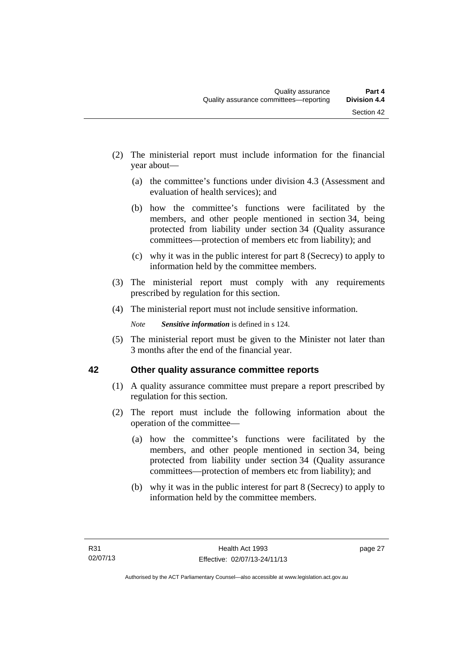- (2) The ministerial report must include information for the financial year about—
	- (a) the committee's functions under division 4.3 (Assessment and evaluation of health services); and
	- (b) how the committee's functions were facilitated by the members, and other people mentioned in section 34, being protected from liability under section 34 (Quality assurance committees—protection of members etc from liability); and
	- (c) why it was in the public interest for part 8 (Secrecy) to apply to information held by the committee members.
- (3) The ministerial report must comply with any requirements prescribed by regulation for this section.
- (4) The ministerial report must not include sensitive information.

*Note Sensitive information* is defined in s 124.

 (5) The ministerial report must be given to the Minister not later than 3 months after the end of the financial year.

### <span id="page-34-0"></span>**42 Other quality assurance committee reports**

- (1) A quality assurance committee must prepare a report prescribed by regulation for this section.
- (2) The report must include the following information about the operation of the committee—
	- (a) how the committee's functions were facilitated by the members, and other people mentioned in section 34, being protected from liability under section 34 (Quality assurance committees—protection of members etc from liability); and
	- (b) why it was in the public interest for part 8 (Secrecy) to apply to information held by the committee members.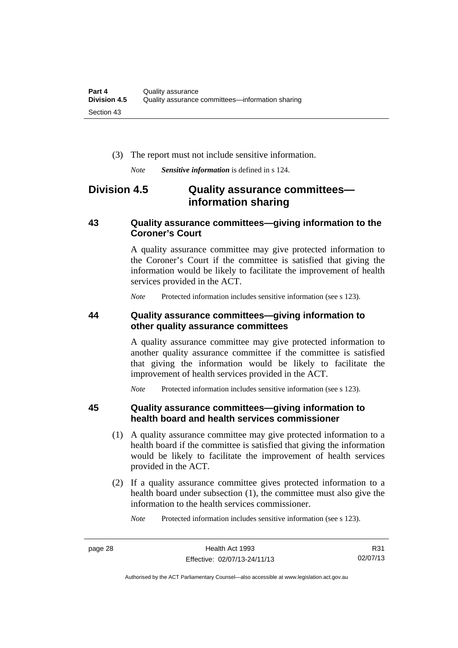(3) The report must not include sensitive information.

*Note Sensitive information* is defined in s 124.

### <span id="page-35-0"></span>**Division 4.5 Quality assurance committees information sharing**

#### <span id="page-35-1"></span>**43 Quality assurance committees—giving information to the Coroner's Court**

A quality assurance committee may give protected information to the Coroner's Court if the committee is satisfied that giving the information would be likely to facilitate the improvement of health services provided in the ACT.

*Note* Protected information includes sensitive information (see s 123).

#### <span id="page-35-2"></span>**44 Quality assurance committees—giving information to other quality assurance committees**

A quality assurance committee may give protected information to another quality assurance committee if the committee is satisfied that giving the information would be likely to facilitate the improvement of health services provided in the ACT.

*Note* Protected information includes sensitive information (see s 123).

#### <span id="page-35-3"></span>**45 Quality assurance committees—giving information to health board and health services commissioner**

- (1) A quality assurance committee may give protected information to a health board if the committee is satisfied that giving the information would be likely to facilitate the improvement of health services provided in the ACT.
- (2) If a quality assurance committee gives protected information to a health board under subsection (1), the committee must also give the information to the health services commissioner.

*Note* Protected information includes sensitive information (see s 123).

R31 02/07/13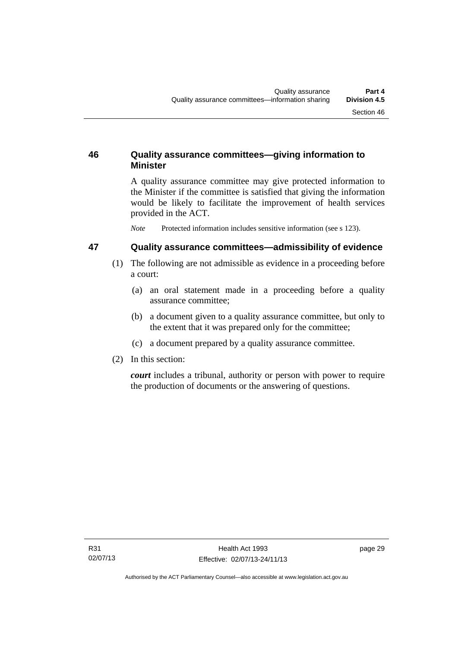## **46 Quality assurance committees—giving information to Minister**

A quality assurance committee may give protected information to the Minister if the committee is satisfied that giving the information would be likely to facilitate the improvement of health services provided in the ACT.

*Note* Protected information includes sensitive information (see s 123).

#### **47 Quality assurance committees—admissibility of evidence**

- (1) The following are not admissible as evidence in a proceeding before a court:
	- (a) an oral statement made in a proceeding before a quality assurance committee;
	- (b) a document given to a quality assurance committee, but only to the extent that it was prepared only for the committee;
	- (c) a document prepared by a quality assurance committee.
- (2) In this section:

*court* includes a tribunal, authority or person with power to require the production of documents or the answering of questions.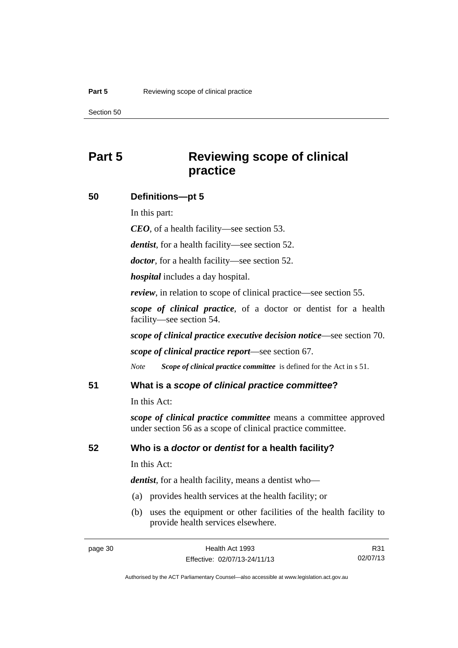# **Part 5 Reviewing scope of clinical practice**

#### **50 Definitions—pt 5**

In this part:

*CEO*, of a health facility—see section 53.

*dentist*, for a health facility—see section 52.

*doctor*, for a health facility—see section 52.

*hospital* includes a day hospital.

*review*, in relation to scope of clinical practice—see section 55.

*scope of clinical practice*, of a doctor or dentist for a health facility—see section 54.

*scope of clinical practice executive decision notice*—see section 70.

*scope of clinical practice report*—see section 67.

*Note Scope of clinical practice committee* is defined for the Act in s 51.

#### **51 What is a** *scope of clinical practice committee***?**

In this Act:

*scope of clinical practice committee* means a committee approved under section 56 as a scope of clinical practice committee.

#### **52 Who is a** *doctor* **or** *dentist* **for a health facility?**

In this Act:

*dentist*, for a health facility, means a dentist who—

- (a) provides health services at the health facility; or
- (b) uses the equipment or other facilities of the health facility to provide health services elsewhere.

R31 02/07/13

Authorised by the ACT Parliamentary Counsel—also accessible at www.legislation.act.gov.au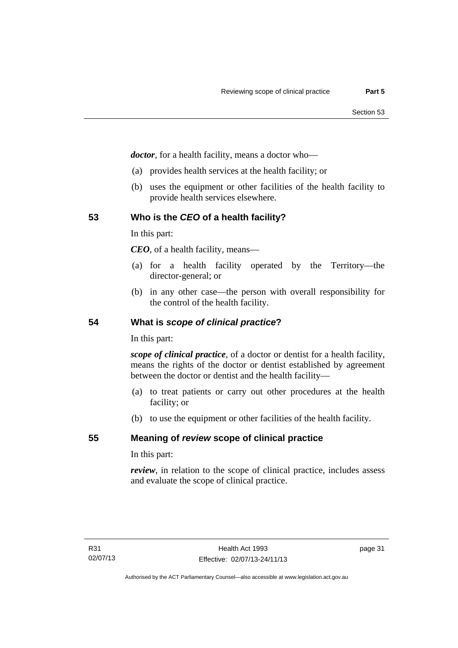*doctor*, for a health facility, means a doctor who—

- (a) provides health services at the health facility; or
- (b) uses the equipment or other facilities of the health facility to provide health services elsewhere.

#### **53 Who is the** *CEO* **of a health facility?**

In this part:

*CEO*, of a health facility, means—

- (a) for a health facility operated by the Territory—the director-general; or
- (b) in any other case—the person with overall responsibility for the control of the health facility.

#### **54 What is** *scope of clinical practice***?**

In this part:

*scope of clinical practice*, of a doctor or dentist for a health facility, means the rights of the doctor or dentist established by agreement between the doctor or dentist and the health facility—

- (a) to treat patients or carry out other procedures at the health facility; or
- (b) to use the equipment or other facilities of the health facility.

#### **55 Meaning of** *review* **scope of clinical practice**

In this part:

*review*, in relation to the scope of clinical practice, includes assess and evaluate the scope of clinical practice.

page 31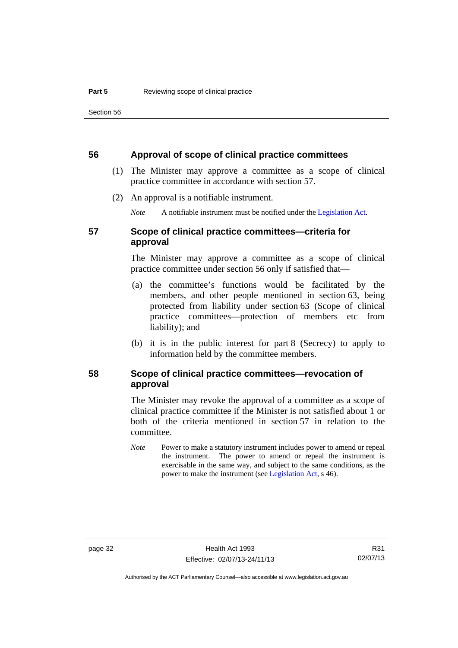#### **56 Approval of scope of clinical practice committees**

- (1) The Minister may approve a committee as a scope of clinical practice committee in accordance with section 57.
- (2) An approval is a notifiable instrument.

*Note* A notifiable instrument must be notified under the [Legislation Act](http://www.legislation.act.gov.au/a/2001-14).

# **57 Scope of clinical practice committees—criteria for approval**

The Minister may approve a committee as a scope of clinical practice committee under section 56 only if satisfied that—

- (a) the committee's functions would be facilitated by the members, and other people mentioned in section 63, being protected from liability under section 63 (Scope of clinical practice committees—protection of members etc from liability); and
- (b) it is in the public interest for part 8 (Secrecy) to apply to information held by the committee members.

## **58 Scope of clinical practice committees—revocation of approval**

The Minister may revoke the approval of a committee as a scope of clinical practice committee if the Minister is not satisfied about 1 or both of the criteria mentioned in section 57 in relation to the committee.

*Note* Power to make a statutory instrument includes power to amend or repeal the instrument. The power to amend or repeal the instrument is exercisable in the same way, and subject to the same conditions, as the power to make the instrument (see [Legislation Act,](http://www.legislation.act.gov.au/a/2001-14) s 46).

R31 02/07/13

Authorised by the ACT Parliamentary Counsel—also accessible at www.legislation.act.gov.au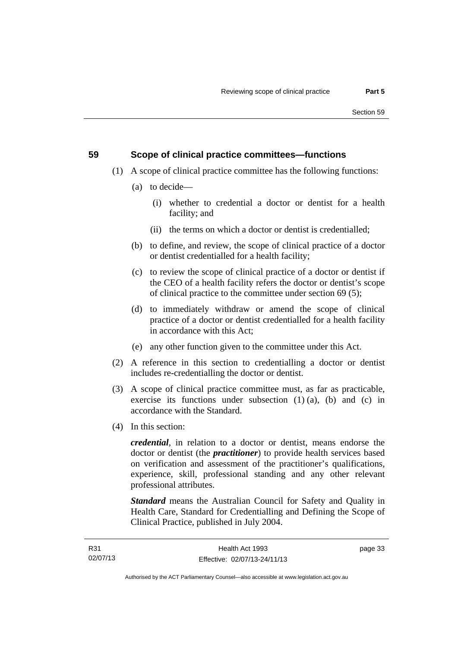#### **59 Scope of clinical practice committees—functions**

- (1) A scope of clinical practice committee has the following functions:
	- (a) to decide—
		- (i) whether to credential a doctor or dentist for a health facility; and
		- (ii) the terms on which a doctor or dentist is credentialled;
	- (b) to define, and review, the scope of clinical practice of a doctor or dentist credentialled for a health facility;
	- (c) to review the scope of clinical practice of a doctor or dentist if the CEO of a health facility refers the doctor or dentist's scope of clinical practice to the committee under section 69 (5);
	- (d) to immediately withdraw or amend the scope of clinical practice of a doctor or dentist credentialled for a health facility in accordance with this Act;
	- (e) any other function given to the committee under this Act.
- (2) A reference in this section to credentialling a doctor or dentist includes re-credentialling the doctor or dentist.
- (3) A scope of clinical practice committee must, as far as practicable, exercise its functions under subsection  $(1)$   $(a)$ ,  $(b)$  and  $(c)$  in accordance with the Standard.
- (4) In this section:

*credential*, in relation to a doctor or dentist, means endorse the doctor or dentist (the *practitioner*) to provide health services based on verification and assessment of the practitioner's qualifications, experience, skill, professional standing and any other relevant professional attributes.

*Standard* means the Australian Council for Safety and Quality in Health Care, Standard for Credentialling and Defining the Scope of Clinical Practice, published in July 2004.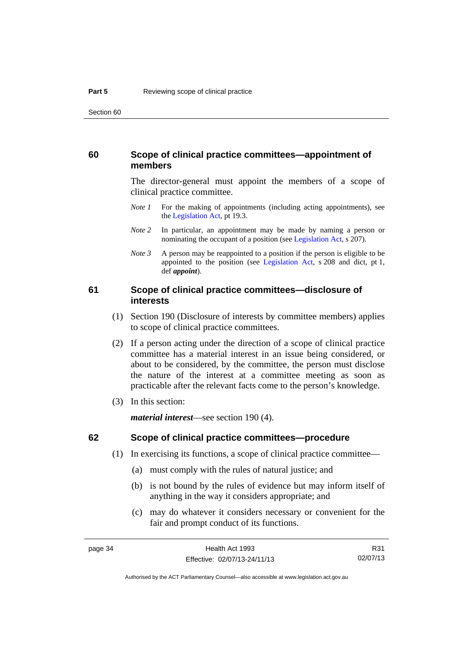#### **60 Scope of clinical practice committees—appointment of members**

The director-general must appoint the members of a scope of clinical practice committee.

- *Note 1* For the making of appointments (including acting appointments), see the [Legislation Act,](http://www.legislation.act.gov.au/a/2001-14) pt 19.3.
- *Note* 2 In particular, an appointment may be made by naming a person or nominating the occupant of a position (see [Legislation Act](http://www.legislation.act.gov.au/a/2001-14), s 207).
- *Note 3* A person may be reappointed to a position if the person is eligible to be appointed to the position (see [Legislation Act,](http://www.legislation.act.gov.au/a/2001-14) s 208 and dict, pt 1, def *appoint*).

#### **61 Scope of clinical practice committees—disclosure of interests**

- (1) Section 190 (Disclosure of interests by committee members) applies to scope of clinical practice committees.
- (2) If a person acting under the direction of a scope of clinical practice committee has a material interest in an issue being considered, or about to be considered, by the committee, the person must disclose the nature of the interest at a committee meeting as soon as practicable after the relevant facts come to the person's knowledge.
- (3) In this section:

*material interest*—see section 190 (4).

#### **62 Scope of clinical practice committees—procedure**

- (1) In exercising its functions, a scope of clinical practice committee—
	- (a) must comply with the rules of natural justice; and
	- (b) is not bound by the rules of evidence but may inform itself of anything in the way it considers appropriate; and
	- (c) may do whatever it considers necessary or convenient for the fair and prompt conduct of its functions.

Authorised by the ACT Parliamentary Counsel—also accessible at www.legislation.act.gov.au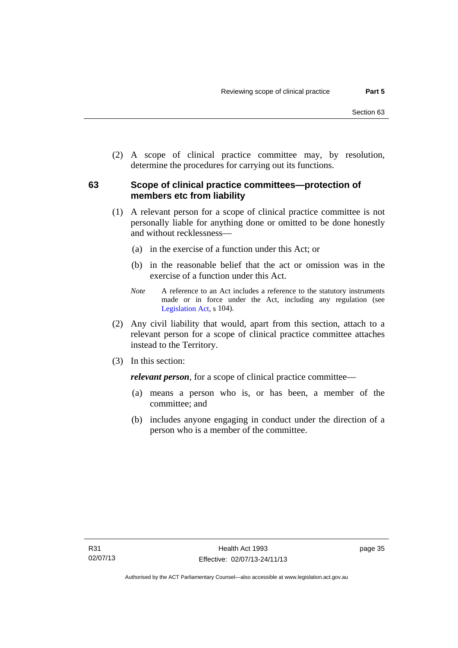(2) A scope of clinical practice committee may, by resolution, determine the procedures for carrying out its functions.

## **63 Scope of clinical practice committees—protection of members etc from liability**

- (1) A relevant person for a scope of clinical practice committee is not personally liable for anything done or omitted to be done honestly and without recklessness—
	- (a) in the exercise of a function under this Act; or
	- (b) in the reasonable belief that the act or omission was in the exercise of a function under this Act.
	- *Note* A reference to an Act includes a reference to the statutory instruments made or in force under the Act, including any regulation (see [Legislation Act,](http://www.legislation.act.gov.au/a/2001-14) s 104).
- (2) Any civil liability that would, apart from this section, attach to a relevant person for a scope of clinical practice committee attaches instead to the Territory.
- (3) In this section:

*relevant person*, for a scope of clinical practice committee—

- (a) means a person who is, or has been, a member of the committee; and
- (b) includes anyone engaging in conduct under the direction of a person who is a member of the committee.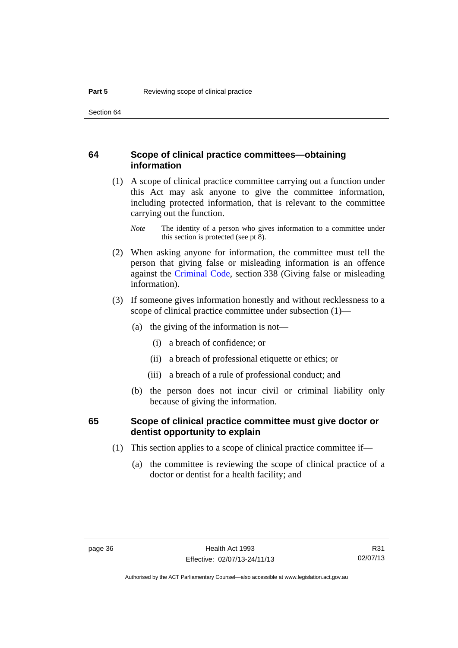#### **64 Scope of clinical practice committees—obtaining information**

 (1) A scope of clinical practice committee carrying out a function under this Act may ask anyone to give the committee information, including protected information, that is relevant to the committee carrying out the function.

- (2) When asking anyone for information, the committee must tell the person that giving false or misleading information is an offence against the [Criminal Code](http://www.legislation.act.gov.au/a/2002-51), section 338 (Giving false or misleading information).
- (3) If someone gives information honestly and without recklessness to a scope of clinical practice committee under subsection (1)—
	- (a) the giving of the information is not—
		- (i) a breach of confidence; or
		- (ii) a breach of professional etiquette or ethics; or
		- (iii) a breach of a rule of professional conduct; and
	- (b) the person does not incur civil or criminal liability only because of giving the information.

#### **65 Scope of clinical practice committee must give doctor or dentist opportunity to explain**

- (1) This section applies to a scope of clinical practice committee if—
	- (a) the committee is reviewing the scope of clinical practice of a doctor or dentist for a health facility; and

*Note* The identity of a person who gives information to a committee under this section is protected (see pt 8).

Authorised by the ACT Parliamentary Counsel—also accessible at www.legislation.act.gov.au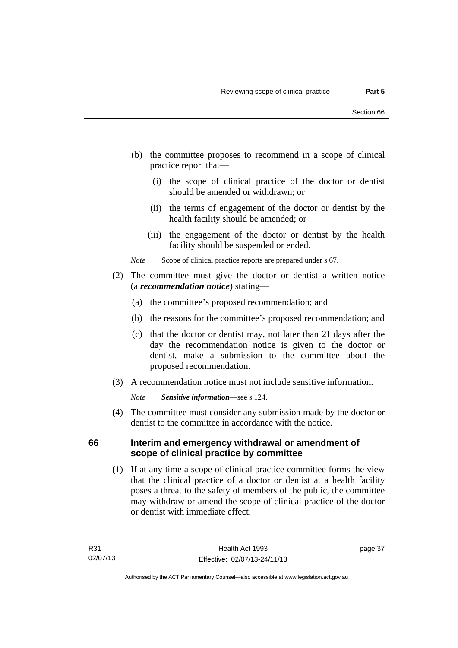- (b) the committee proposes to recommend in a scope of clinical practice report that—
	- (i) the scope of clinical practice of the doctor or dentist should be amended or withdrawn; or
	- (ii) the terms of engagement of the doctor or dentist by the health facility should be amended; or
	- (iii) the engagement of the doctor or dentist by the health facility should be suspended or ended.

*Note* Scope of clinical practice reports are prepared under s 67.

- (2) The committee must give the doctor or dentist a written notice (a *recommendation notice*) stating—
	- (a) the committee's proposed recommendation; and
	- (b) the reasons for the committee's proposed recommendation; and
	- (c) that the doctor or dentist may, not later than 21 days after the day the recommendation notice is given to the doctor or dentist, make a submission to the committee about the proposed recommendation.
- (3) A recommendation notice must not include sensitive information.

*Note Sensitive information*—see s 124.

 (4) The committee must consider any submission made by the doctor or dentist to the committee in accordance with the notice.

#### **66 Interim and emergency withdrawal or amendment of scope of clinical practice by committee**

 (1) If at any time a scope of clinical practice committee forms the view that the clinical practice of a doctor or dentist at a health facility poses a threat to the safety of members of the public, the committee may withdraw or amend the scope of clinical practice of the doctor or dentist with immediate effect.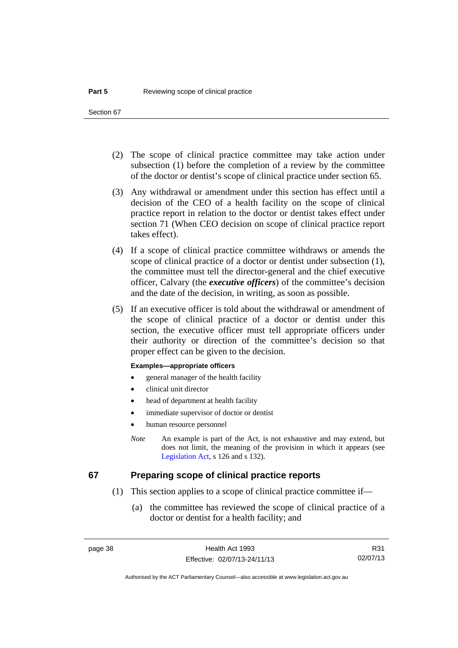- (2) The scope of clinical practice committee may take action under subsection (1) before the completion of a review by the committee of the doctor or dentist's scope of clinical practice under section 65.
- (3) Any withdrawal or amendment under this section has effect until a decision of the CEO of a health facility on the scope of clinical practice report in relation to the doctor or dentist takes effect under section 71 (When CEO decision on scope of clinical practice report takes effect).
- (4) If a scope of clinical practice committee withdraws or amends the scope of clinical practice of a doctor or dentist under subsection (1), the committee must tell the director-general and the chief executive officer, Calvary (the *executive officers*) of the committee's decision and the date of the decision, in writing, as soon as possible.
- (5) If an executive officer is told about the withdrawal or amendment of the scope of clinical practice of a doctor or dentist under this section, the executive officer must tell appropriate officers under their authority or direction of the committee's decision so that proper effect can be given to the decision.

#### **Examples—appropriate officers**

- general manager of the health facility
- clinical unit director
- head of department at health facility
- immediate supervisor of doctor or dentist
- human resource personnel
- *Note* An example is part of the Act, is not exhaustive and may extend, but does not limit, the meaning of the provision in which it appears (see [Legislation Act,](http://www.legislation.act.gov.au/a/2001-14) s 126 and s 132).

#### **67 Preparing scope of clinical practice reports**

- (1) This section applies to a scope of clinical practice committee if—
	- (a) the committee has reviewed the scope of clinical practice of a doctor or dentist for a health facility; and

R31 02/07/13

Authorised by the ACT Parliamentary Counsel—also accessible at www.legislation.act.gov.au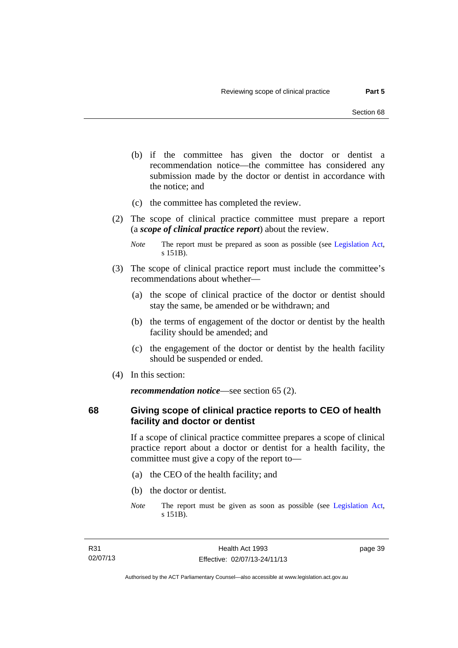- (b) if the committee has given the doctor or dentist a recommendation notice—the committee has considered any submission made by the doctor or dentist in accordance with the notice; and
- (c) the committee has completed the review.
- (2) The scope of clinical practice committee must prepare a report (a *scope of clinical practice report*) about the review.

- (3) The scope of clinical practice report must include the committee's recommendations about whether—
	- (a) the scope of clinical practice of the doctor or dentist should stay the same, be amended or be withdrawn; and
	- (b) the terms of engagement of the doctor or dentist by the health facility should be amended; and
	- (c) the engagement of the doctor or dentist by the health facility should be suspended or ended.
- (4) In this section:

*recommendation notice*—see section 65 (2).

**68 Giving scope of clinical practice reports to CEO of health facility and doctor or dentist** 

> If a scope of clinical practice committee prepares a scope of clinical practice report about a doctor or dentist for a health facility, the committee must give a copy of the report to—

- (a) the CEO of the health facility; and
- (b) the doctor or dentist.
- *Note* The report must be given as soon as possible (see [Legislation Act,](http://www.legislation.act.gov.au/a/2001-14) s 151B).

page 39

*Note* The report must be prepared as soon as possible (see [Legislation Act,](http://www.legislation.act.gov.au/a/2001-14) s 151B).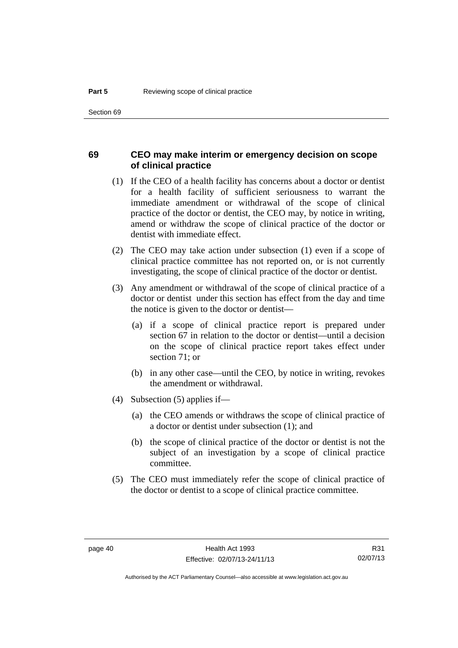#### **69 CEO may make interim or emergency decision on scope of clinical practice**

- (1) If the CEO of a health facility has concerns about a doctor or dentist for a health facility of sufficient seriousness to warrant the immediate amendment or withdrawal of the scope of clinical practice of the doctor or dentist, the CEO may, by notice in writing, amend or withdraw the scope of clinical practice of the doctor or dentist with immediate effect.
- (2) The CEO may take action under subsection (1) even if a scope of clinical practice committee has not reported on, or is not currently investigating, the scope of clinical practice of the doctor or dentist.
- (3) Any amendment or withdrawal of the scope of clinical practice of a doctor or dentist under this section has effect from the day and time the notice is given to the doctor or dentist—
	- (a) if a scope of clinical practice report is prepared under section 67 in relation to the doctor or dentist—until a decision on the scope of clinical practice report takes effect under section 71; or
	- (b) in any other case—until the CEO, by notice in writing, revokes the amendment or withdrawal.
- (4) Subsection (5) applies if—
	- (a) the CEO amends or withdraws the scope of clinical practice of a doctor or dentist under subsection (1); and
	- (b) the scope of clinical practice of the doctor or dentist is not the subject of an investigation by a scope of clinical practice committee.
- (5) The CEO must immediately refer the scope of clinical practice of the doctor or dentist to a scope of clinical practice committee.

R31 02/07/13

Authorised by the ACT Parliamentary Counsel—also accessible at www.legislation.act.gov.au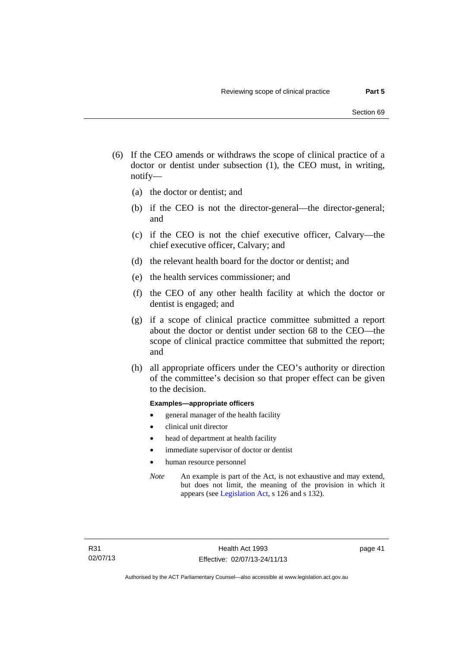- (6) If the CEO amends or withdraws the scope of clinical practice of a doctor or dentist under subsection (1), the CEO must, in writing, notify—
	- (a) the doctor or dentist; and
	- (b) if the CEO is not the director-general—the director-general; and
	- (c) if the CEO is not the chief executive officer, Calvary—the chief executive officer, Calvary; and
	- (d) the relevant health board for the doctor or dentist; and
	- (e) the health services commissioner; and
	- (f) the CEO of any other health facility at which the doctor or dentist is engaged; and
	- (g) if a scope of clinical practice committee submitted a report about the doctor or dentist under section 68 to the CEO—the scope of clinical practice committee that submitted the report; and
	- (h) all appropriate officers under the CEO's authority or direction of the committee's decision so that proper effect can be given to the decision.

#### **Examples—appropriate officers**

- general manager of the health facility
- clinical unit director
- head of department at health facility
- immediate supervisor of doctor or dentist
- human resource personnel
- *Note* An example is part of the Act, is not exhaustive and may extend, but does not limit, the meaning of the provision in which it appears (see [Legislation Act,](http://www.legislation.act.gov.au/a/2001-14) s 126 and s 132).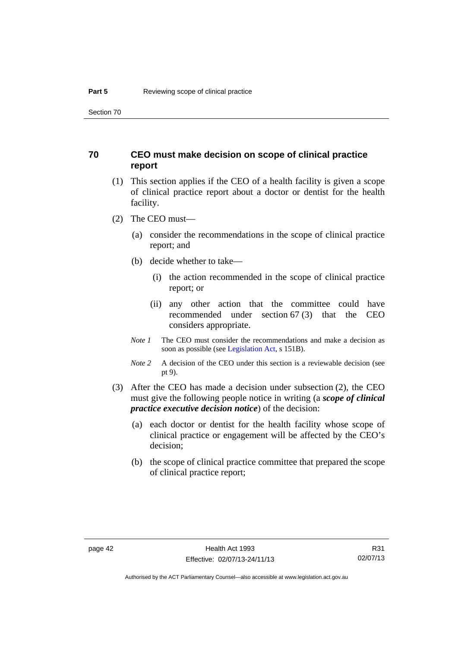#### **70 CEO must make decision on scope of clinical practice report**

- (1) This section applies if the CEO of a health facility is given a scope of clinical practice report about a doctor or dentist for the health facility.
- (2) The CEO must—
	- (a) consider the recommendations in the scope of clinical practice report; and
	- (b) decide whether to take—
		- (i) the action recommended in the scope of clinical practice report; or
		- (ii) any other action that the committee could have recommended under section 67 (3) that the CEO considers appropriate.
	- *Note 1* The CEO must consider the recommendations and make a decision as soon as possible (see [Legislation Act](http://www.legislation.act.gov.au/a/2001-14), s 151B).
	- *Note* 2 A decision of the CEO under this section is a reviewable decision (see pt 9).
- (3) After the CEO has made a decision under subsection (2), the CEO must give the following people notice in writing (a *scope of clinical practice executive decision notice*) of the decision:
	- (a) each doctor or dentist for the health facility whose scope of clinical practice or engagement will be affected by the CEO's decision;
	- (b) the scope of clinical practice committee that prepared the scope of clinical practice report;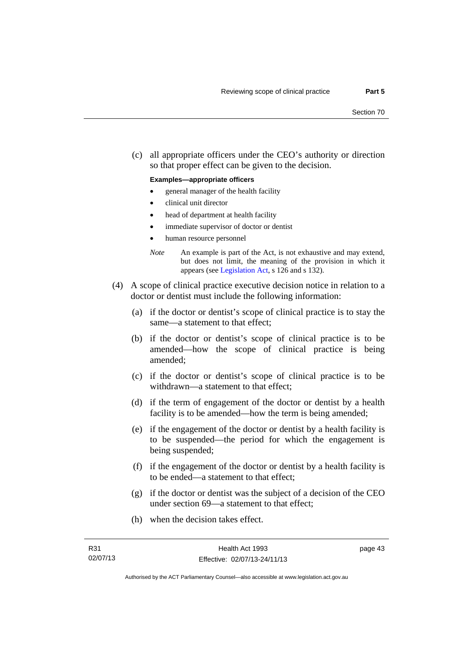(c) all appropriate officers under the CEO's authority or direction so that proper effect can be given to the decision.

#### **Examples—appropriate officers**

- general manager of the health facility
- clinical unit director
- head of department at health facility
- immediate supervisor of doctor or dentist
- human resource personnel
- *Note* An example is part of the Act, is not exhaustive and may extend, but does not limit, the meaning of the provision in which it appears (see [Legislation Act,](http://www.legislation.act.gov.au/a/2001-14) s 126 and s 132).
- (4) A scope of clinical practice executive decision notice in relation to a doctor or dentist must include the following information:
	- (a) if the doctor or dentist's scope of clinical practice is to stay the same—a statement to that effect;
	- (b) if the doctor or dentist's scope of clinical practice is to be amended—how the scope of clinical practice is being amended;
	- (c) if the doctor or dentist's scope of clinical practice is to be withdrawn—a statement to that effect;
	- (d) if the term of engagement of the doctor or dentist by a health facility is to be amended—how the term is being amended;
	- (e) if the engagement of the doctor or dentist by a health facility is to be suspended—the period for which the engagement is being suspended;
	- (f) if the engagement of the doctor or dentist by a health facility is to be ended—a statement to that effect;
	- (g) if the doctor or dentist was the subject of a decision of the CEO under section 69—a statement to that effect;
	- (h) when the decision takes effect.

page 43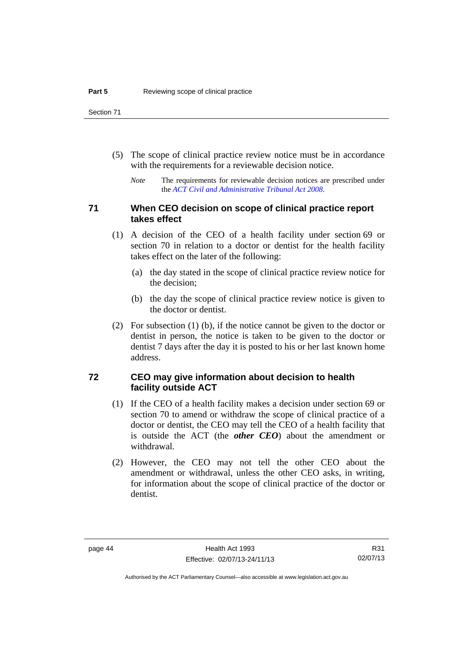- (5) The scope of clinical practice review notice must be in accordance with the requirements for a reviewable decision notice.
	- *Note* The requirements for reviewable decision notices are prescribed under the *[ACT Civil and Administrative Tribunal Act 2008](http://www.legislation.act.gov.au/a/2008-35)*.

#### **71 When CEO decision on scope of clinical practice report takes effect**

- (1) A decision of the CEO of a health facility under section 69 or section 70 in relation to a doctor or dentist for the health facility takes effect on the later of the following:
	- (a) the day stated in the scope of clinical practice review notice for the decision;
	- (b) the day the scope of clinical practice review notice is given to the doctor or dentist.
- (2) For subsection (1) (b), if the notice cannot be given to the doctor or dentist in person, the notice is taken to be given to the doctor or dentist 7 days after the day it is posted to his or her last known home address.

#### **72 CEO may give information about decision to health facility outside ACT**

- (1) If the CEO of a health facility makes a decision under section 69 or section 70 to amend or withdraw the scope of clinical practice of a doctor or dentist, the CEO may tell the CEO of a health facility that is outside the ACT (the *other CEO*) about the amendment or withdrawal.
- (2) However, the CEO may not tell the other CEO about the amendment or withdrawal, unless the other CEO asks, in writing, for information about the scope of clinical practice of the doctor or dentist.

Authorised by the ACT Parliamentary Counsel—also accessible at www.legislation.act.gov.au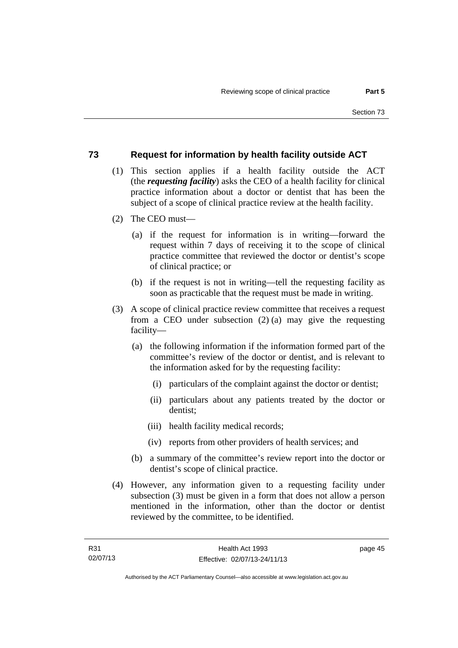#### **73 Request for information by health facility outside ACT**

- (1) This section applies if a health facility outside the ACT (the *requesting facility*) asks the CEO of a health facility for clinical practice information about a doctor or dentist that has been the subject of a scope of clinical practice review at the health facility.
- (2) The CEO must—
	- (a) if the request for information is in writing—forward the request within 7 days of receiving it to the scope of clinical practice committee that reviewed the doctor or dentist's scope of clinical practice; or
	- (b) if the request is not in writing—tell the requesting facility as soon as practicable that the request must be made in writing.
- (3) A scope of clinical practice review committee that receives a request from a CEO under subsection (2) (a) may give the requesting facility—
	- (a) the following information if the information formed part of the committee's review of the doctor or dentist, and is relevant to the information asked for by the requesting facility:
		- (i) particulars of the complaint against the doctor or dentist;
		- (ii) particulars about any patients treated by the doctor or dentist;
		- (iii) health facility medical records;
		- (iv) reports from other providers of health services; and
	- (b) a summary of the committee's review report into the doctor or dentist's scope of clinical practice.
- (4) However, any information given to a requesting facility under subsection (3) must be given in a form that does not allow a person mentioned in the information, other than the doctor or dentist reviewed by the committee, to be identified.

page 45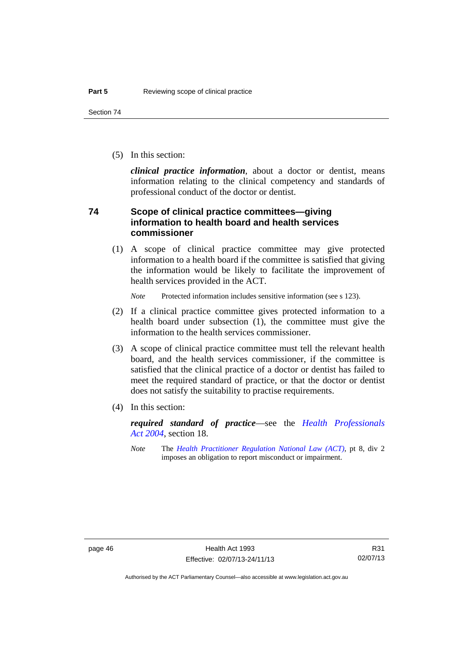(5) In this section:

*clinical practice information*, about a doctor or dentist, means information relating to the clinical competency and standards of professional conduct of the doctor or dentist.

#### **74 Scope of clinical practice committees—giving information to health board and health services commissioner**

(1) A scope of clinical practice committee may give protected information to a health board if the committee is satisfied that giving the information would be likely to facilitate the improvement of health services provided in the ACT.

*Note* Protected information includes sensitive information (see s 123).

- (2) If a clinical practice committee gives protected information to a health board under subsection (1), the committee must give the information to the health services commissioner.
- (3) A scope of clinical practice committee must tell the relevant health board, and the health services commissioner, if the committee is satisfied that the clinical practice of a doctor or dentist has failed to meet the required standard of practice, or that the doctor or dentist does not satisfy the suitability to practise requirements.
- (4) In this section:

*required standard of practice*—see the *[Health Professionals](http://www.legislation.act.gov.au/a/2004-38)  [Act 2004](http://www.legislation.act.gov.au/a/2004-38)*, section 18.

*Note* The *[Health Practitioner Regulation National Law \(ACT\)](http://www.legislation.act.gov.au/a/db_39269/default.asp)*, pt 8, div 2 imposes an obligation to report misconduct or impairment.

R31 02/07/13

Authorised by the ACT Parliamentary Counsel—also accessible at www.legislation.act.gov.au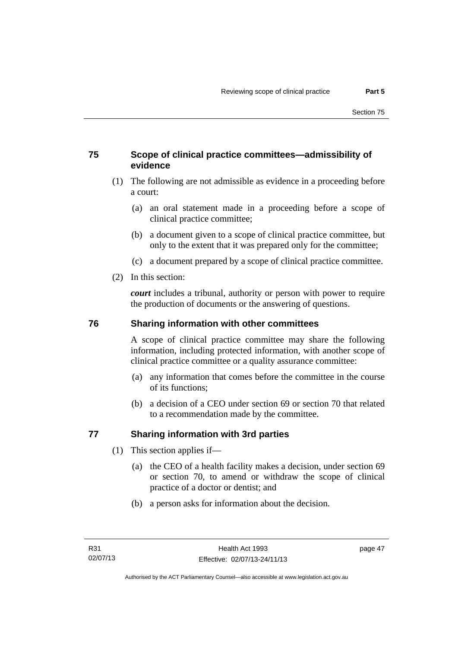## **75 Scope of clinical practice committees—admissibility of evidence**

- (1) The following are not admissible as evidence in a proceeding before a court:
	- (a) an oral statement made in a proceeding before a scope of clinical practice committee;
	- (b) a document given to a scope of clinical practice committee, but only to the extent that it was prepared only for the committee;
	- (c) a document prepared by a scope of clinical practice committee.
- (2) In this section:

*court* includes a tribunal, authority or person with power to require the production of documents or the answering of questions.

#### **76 Sharing information with other committees**

A scope of clinical practice committee may share the following information, including protected information, with another scope of clinical practice committee or a quality assurance committee:

- (a) any information that comes before the committee in the course of its functions;
- (b) a decision of a CEO under section 69 or section 70 that related to a recommendation made by the committee.

## **77 Sharing information with 3rd parties**

- (1) This section applies if—
	- (a) the CEO of a health facility makes a decision, under section 69 or section 70, to amend or withdraw the scope of clinical practice of a doctor or dentist; and
	- (b) a person asks for information about the decision.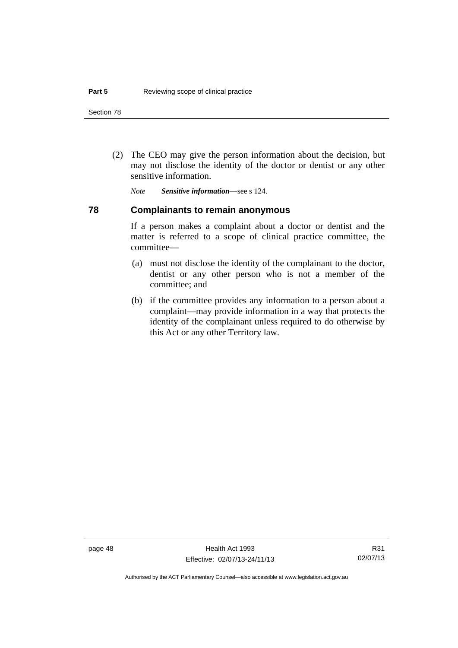(2) The CEO may give the person information about the decision, but may not disclose the identity of the doctor or dentist or any other sensitive information.

*Note Sensitive information*—see s 124.

#### **78 Complainants to remain anonymous**

If a person makes a complaint about a doctor or dentist and the matter is referred to a scope of clinical practice committee, the committee—

- (a) must not disclose the identity of the complainant to the doctor, dentist or any other person who is not a member of the committee; and
- (b) if the committee provides any information to a person about a complaint—may provide information in a way that protects the identity of the complainant unless required to do otherwise by this Act or any other Territory law.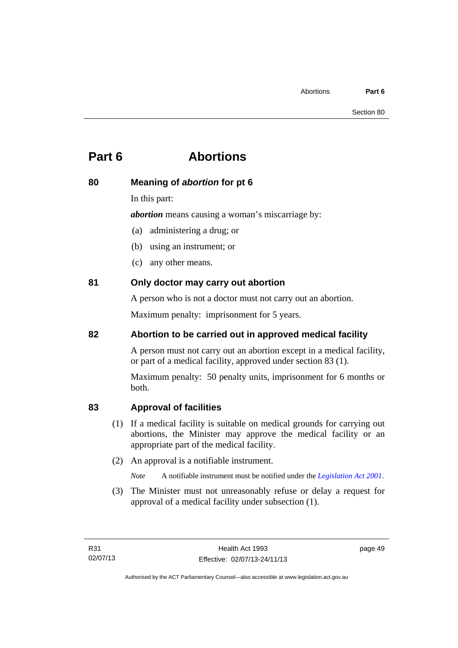# **Part 6 Abortions**

## **80 Meaning of** *abortion* **for pt 6**

In this part:

*abortion* means causing a woman's miscarriage by:

- (a) administering a drug; or
- (b) using an instrument; or
- (c) any other means.

# **81 Only doctor may carry out abortion**

A person who is not a doctor must not carry out an abortion.

Maximum penalty: imprisonment for 5 years.

# **82 Abortion to be carried out in approved medical facility**

A person must not carry out an abortion except in a medical facility, or part of a medical facility, approved under section 83 (1).

Maximum penalty: 50 penalty units, imprisonment for 6 months or both.

# **83 Approval of facilities**

- (1) If a medical facility is suitable on medical grounds for carrying out abortions, the Minister may approve the medical facility or an appropriate part of the medical facility.
- (2) An approval is a notifiable instrument.

*Note* A notifiable instrument must be notified under the *[Legislation Act 2001](http://www.legislation.act.gov.au/a/2001-14)*.

 (3) The Minister must not unreasonably refuse or delay a request for approval of a medical facility under subsection (1).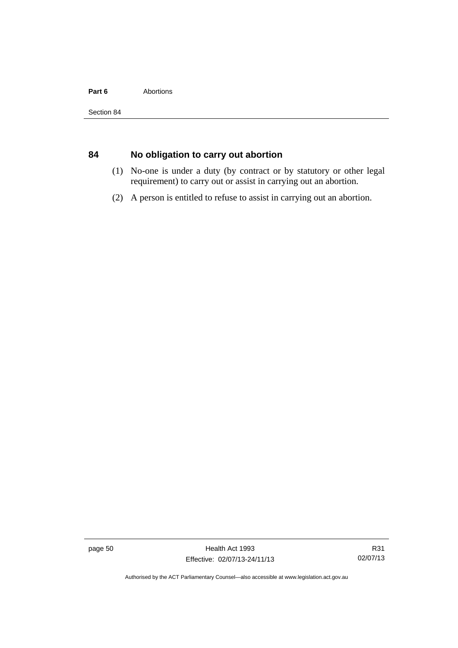#### Part 6 **Abortions**

# **84 No obligation to carry out abortion**

- (1) No-one is under a duty (by contract or by statutory or other legal requirement) to carry out or assist in carrying out an abortion.
- (2) A person is entitled to refuse to assist in carrying out an abortion.

page 50 Health Act 1993 Effective: 02/07/13-24/11/13

Authorised by the ACT Parliamentary Counsel—also accessible at www.legislation.act.gov.au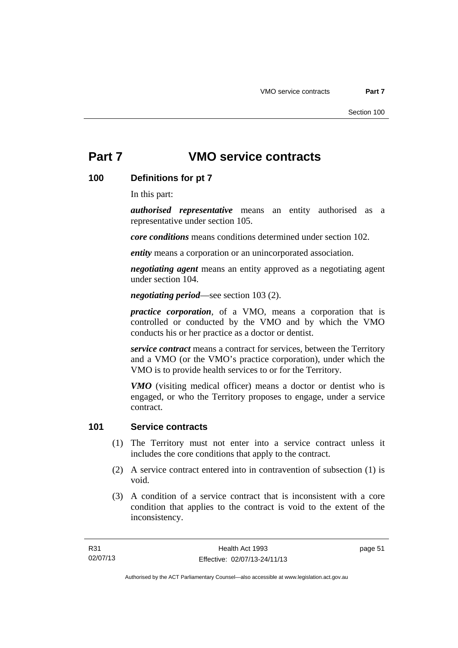#### **100 Definitions for pt 7**

In this part:

*authorised representative* means an entity authorised as a representative under section 105.

*core conditions* means conditions determined under section 102.

*entity* means a corporation or an unincorporated association.

*negotiating agent* means an entity approved as a negotiating agent under section 104.

*negotiating period*—see section 103 (2).

*practice corporation*, of a VMO, means a corporation that is controlled or conducted by the VMO and by which the VMO conducts his or her practice as a doctor or dentist.

*service contract* means a contract for services, between the Territory and a VMO (or the VMO's practice corporation), under which the VMO is to provide health services to or for the Territory.

*VMO* (visiting medical officer) means a doctor or dentist who is engaged, or who the Territory proposes to engage, under a service contract.

#### **101 Service contracts**

- (1) The Territory must not enter into a service contract unless it includes the core conditions that apply to the contract.
- (2) A service contract entered into in contravention of subsection (1) is void.
- (3) A condition of a service contract that is inconsistent with a core condition that applies to the contract is void to the extent of the inconsistency.

page 51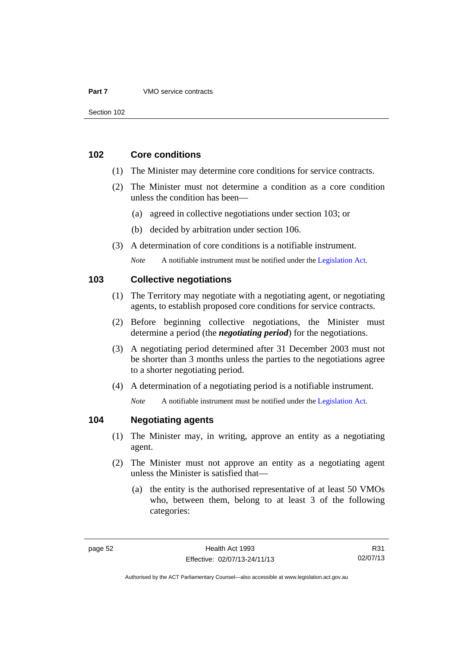#### **102 Core conditions**

- (1) The Minister may determine core conditions for service contracts.
- (2) The Minister must not determine a condition as a core condition unless the condition has been—
	- (a) agreed in collective negotiations under section 103; or
	- (b) decided by arbitration under section 106.
- (3) A determination of core conditions is a notifiable instrument.

*Note* A notifiable instrument must be notified under the [Legislation Act](http://www.legislation.act.gov.au/a/2001-14).

#### **103 Collective negotiations**

- (1) The Territory may negotiate with a negotiating agent, or negotiating agents, to establish proposed core conditions for service contracts.
- (2) Before beginning collective negotiations, the Minister must determine a period (the *negotiating period*) for the negotiations.
- (3) A negotiating period determined after 31 December 2003 must not be shorter than 3 months unless the parties to the negotiations agree to a shorter negotiating period.
- (4) A determination of a negotiating period is a notifiable instrument.

*Note* A notifiable instrument must be notified under the [Legislation Act](http://www.legislation.act.gov.au/a/2001-14).

#### **104 Negotiating agents**

- (1) The Minister may, in writing, approve an entity as a negotiating agent.
- (2) The Minister must not approve an entity as a negotiating agent unless the Minister is satisfied that—
	- (a) the entity is the authorised representative of at least 50 VMOs who, between them, belong to at least 3 of the following categories:

R31 02/07/13

Authorised by the ACT Parliamentary Counsel—also accessible at www.legislation.act.gov.au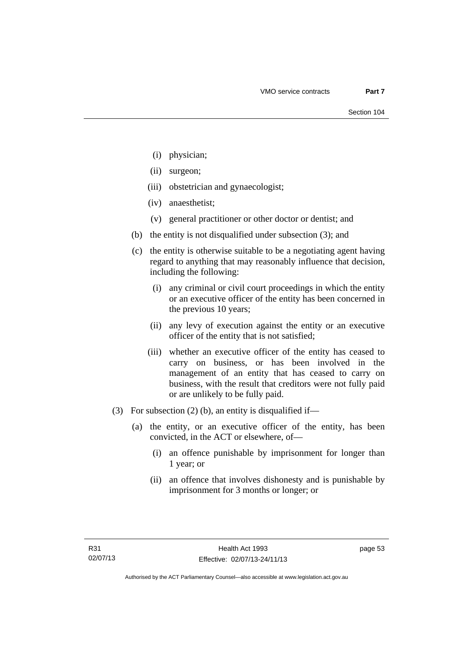- (i) physician;
- (ii) surgeon;
- (iii) obstetrician and gynaecologist;
- (iv) anaesthetist;
- (v) general practitioner or other doctor or dentist; and
- (b) the entity is not disqualified under subsection (3); and
- (c) the entity is otherwise suitable to be a negotiating agent having regard to anything that may reasonably influence that decision, including the following:
	- (i) any criminal or civil court proceedings in which the entity or an executive officer of the entity has been concerned in the previous 10 years;
	- (ii) any levy of execution against the entity or an executive officer of the entity that is not satisfied;
	- (iii) whether an executive officer of the entity has ceased to carry on business, or has been involved in the management of an entity that has ceased to carry on business, with the result that creditors were not fully paid or are unlikely to be fully paid.
- (3) For subsection (2) (b), an entity is disqualified if—
	- (a) the entity, or an executive officer of the entity, has been convicted, in the ACT or elsewhere, of—
		- (i) an offence punishable by imprisonment for longer than 1 year; or
		- (ii) an offence that involves dishonesty and is punishable by imprisonment for 3 months or longer; or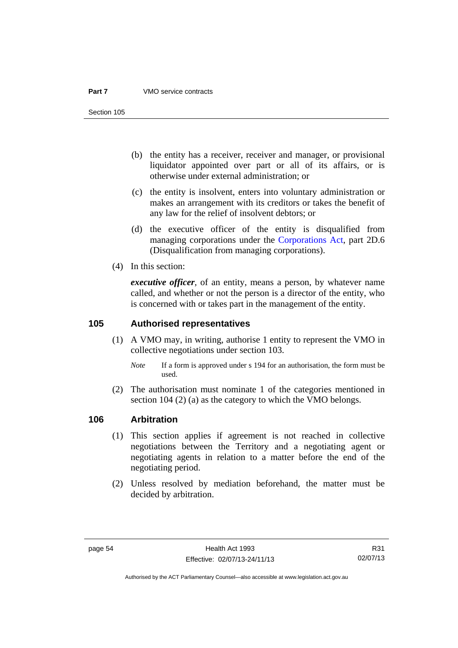Section 105

- (b) the entity has a receiver, receiver and manager, or provisional liquidator appointed over part or all of its affairs, or is otherwise under external administration; or
- (c) the entity is insolvent, enters into voluntary administration or makes an arrangement with its creditors or takes the benefit of any law for the relief of insolvent debtors; or
- (d) the executive officer of the entity is disqualified from managing corporations under the [Corporations Act](http://www.comlaw.gov.au/Series/C2004A00818), part 2D.6 (Disqualification from managing corporations).
- (4) In this section:

*executive officer*, of an entity, means a person, by whatever name called, and whether or not the person is a director of the entity, who is concerned with or takes part in the management of the entity.

#### **105 Authorised representatives**

- (1) A VMO may, in writing, authorise 1 entity to represent the VMO in collective negotiations under section 103.
	- *Note* If a form is approved under s 194 for an authorisation, the form must be used.
- (2) The authorisation must nominate 1 of the categories mentioned in section 104 (2) (a) as the category to which the VMO belongs.

#### **106 Arbitration**

- (1) This section applies if agreement is not reached in collective negotiations between the Territory and a negotiating agent or negotiating agents in relation to a matter before the end of the negotiating period.
- (2) Unless resolved by mediation beforehand, the matter must be decided by arbitration.

R31 02/07/13

Authorised by the ACT Parliamentary Counsel—also accessible at www.legislation.act.gov.au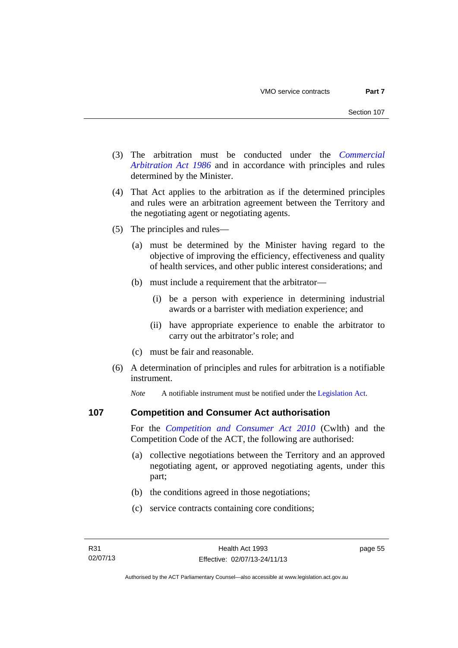- (3) The arbitration must be conducted under the *[Commercial](http://www.legislation.act.gov.au/a/1986-84)  [Arbitration Act 1986](http://www.legislation.act.gov.au/a/1986-84)* and in accordance with principles and rules determined by the Minister.
- (4) That Act applies to the arbitration as if the determined principles and rules were an arbitration agreement between the Territory and the negotiating agent or negotiating agents.
- (5) The principles and rules—
	- (a) must be determined by the Minister having regard to the objective of improving the efficiency, effectiveness and quality of health services, and other public interest considerations; and
	- (b) must include a requirement that the arbitrator—
		- (i) be a person with experience in determining industrial awards or a barrister with mediation experience; and
		- (ii) have appropriate experience to enable the arbitrator to carry out the arbitrator's role; and
	- (c) must be fair and reasonable.
- (6) A determination of principles and rules for arbitration is a notifiable instrument.

*Note* A notifiable instrument must be notified under the [Legislation Act](http://www.legislation.act.gov.au/a/2001-14).

#### **107 Competition and Consumer Act authorisation**

For the *[Competition and Consumer Act 2010](http://www.comlaw.gov.au/Details/C2013C00004)* (Cwlth) and the Competition Code of the ACT, the following are authorised:

- (a) collective negotiations between the Territory and an approved negotiating agent, or approved negotiating agents, under this part;
- (b) the conditions agreed in those negotiations;
- (c) service contracts containing core conditions;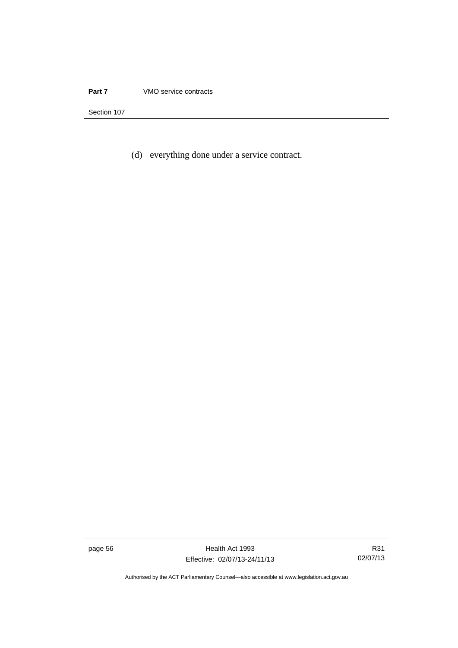(d) everything done under a service contract.

page 56 Health Act 1993 Effective: 02/07/13-24/11/13

R31 02/07/13

Authorised by the ACT Parliamentary Counsel—also accessible at www.legislation.act.gov.au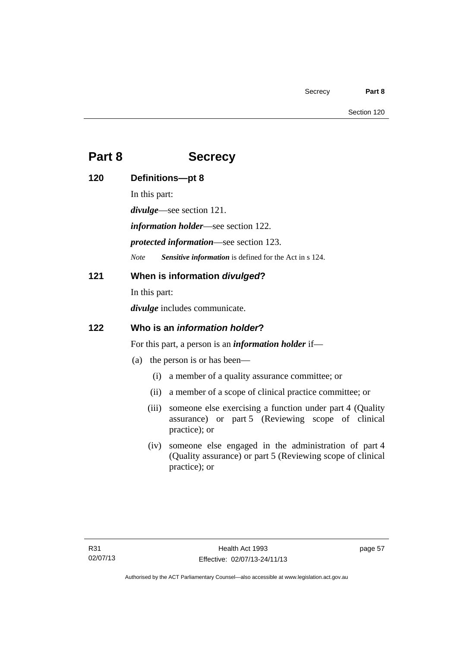# **Part 8 Secrecy**

| 120 | Definitions-pt 8                                            |                                                                                                                                          |
|-----|-------------------------------------------------------------|------------------------------------------------------------------------------------------------------------------------------------------|
|     | In this part:                                               |                                                                                                                                          |
|     | $divulge$ —see section 121.                                 |                                                                                                                                          |
|     | <i>information holder</i> —see section 122.                 |                                                                                                                                          |
|     | <i>protected information—see section 123.</i>               |                                                                                                                                          |
|     | <b>Note</b>                                                 | Sensitive information is defined for the Act in s 124.                                                                                   |
| 121 | When is information divulged?                               |                                                                                                                                          |
|     | In this part:                                               |                                                                                                                                          |
|     | <i>divulge</i> includes communicate.                        |                                                                                                                                          |
| 122 | Who is an <i>information holder</i> ?                       |                                                                                                                                          |
|     | For this part, a person is an <i>information holder</i> if— |                                                                                                                                          |
|     | (a)                                                         | the person is or has been—                                                                                                               |
|     | (i)                                                         | a member of a quality assurance committee; or                                                                                            |
|     | (ii)                                                        | a member of a scope of clinical practice committee; or                                                                                   |
|     | (iii)                                                       | someone else exercising a function under part 4 (Quality<br>assurance) or part 5 (Reviewing scope of clinical<br>practice); or           |
|     |                                                             | (iv) someone else engaged in the administration of part 4<br>(Quality assurance) or part 5 (Reviewing scope of clinical<br>practice); or |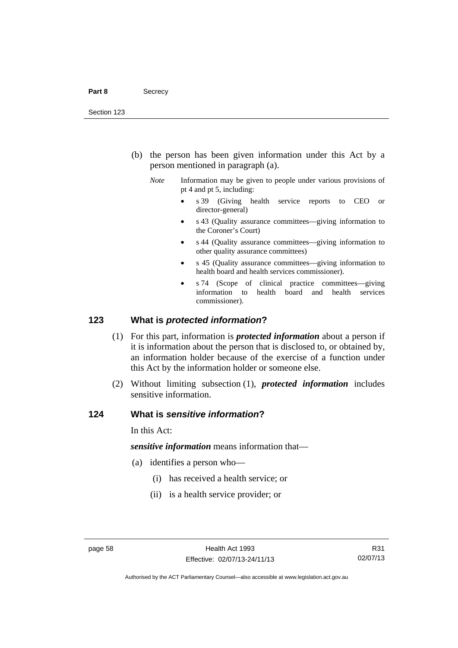- (b) the person has been given information under this Act by a person mentioned in paragraph (a).
	- *Note* Information may be given to people under various provisions of pt 4 and pt 5, including:
		- s 39 (Giving health service reports to CEO or director-general)
		- s 43 (Quality assurance committees—giving information to the Coroner's Court)
		- s 44 (Quality assurance committees—giving information to other quality assurance committees)
		- s 45 (Quality assurance committees—giving information to health board and health services commissioner).
		- s 74 (Scope of clinical practice committees—giving information to health board and health services commissioner).

#### **123 What is** *protected information***?**

- (1) For this part, information is *protected information* about a person if it is information about the person that is disclosed to, or obtained by, an information holder because of the exercise of a function under this Act by the information holder or someone else.
- (2) Without limiting subsection (1), *protected information* includes sensitive information.

#### **124 What is** *sensitive information***?**

In this Act:

*sensitive information* means information that—

- (a) identifies a person who—
	- (i) has received a health service; or
	- (ii) is a health service provider; or

R31 02/07/13

Authorised by the ACT Parliamentary Counsel—also accessible at www.legislation.act.gov.au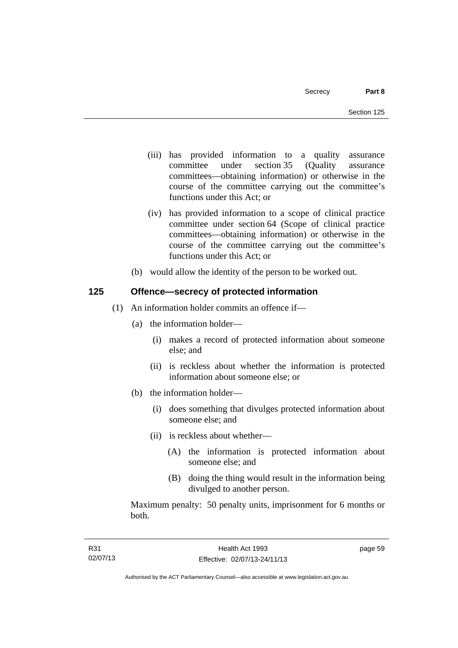- (iii) has provided information to a quality assurance committee under section 35 (Quality assurance committees—obtaining information) or otherwise in the course of the committee carrying out the committee's functions under this Act; or
- (iv) has provided information to a scope of clinical practice committee under section 64 (Scope of clinical practice committees—obtaining information) or otherwise in the course of the committee carrying out the committee's functions under this Act; or
- (b) would allow the identity of the person to be worked out.

## **125 Offence—secrecy of protected information**

- (1) An information holder commits an offence if—
	- (a) the information holder—
		- (i) makes a record of protected information about someone else; and
		- (ii) is reckless about whether the information is protected information about someone else; or
	- (b) the information holder—
		- (i) does something that divulges protected information about someone else; and
		- (ii) is reckless about whether—
			- (A) the information is protected information about someone else; and
			- (B) doing the thing would result in the information being divulged to another person.

Maximum penalty: 50 penalty units, imprisonment for 6 months or both.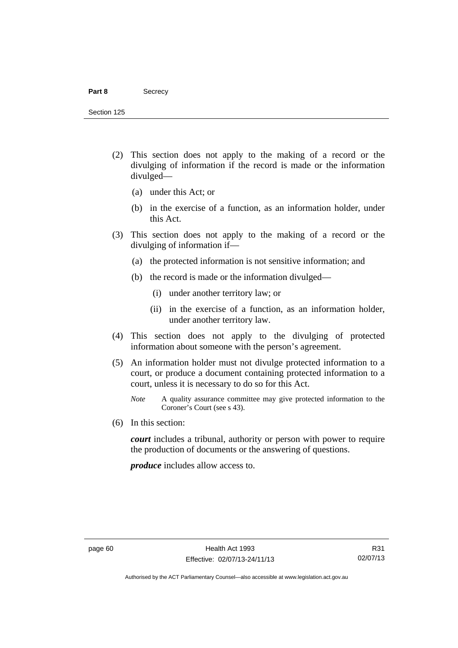#### Part 8 **Secrecy**

Section 125

- (2) This section does not apply to the making of a record or the divulging of information if the record is made or the information divulged—
	- (a) under this Act; or
	- (b) in the exercise of a function, as an information holder, under this Act.
- (3) This section does not apply to the making of a record or the divulging of information if—
	- (a) the protected information is not sensitive information; and
	- (b) the record is made or the information divulged—
		- (i) under another territory law; or
		- (ii) in the exercise of a function, as an information holder, under another territory law.
- (4) This section does not apply to the divulging of protected information about someone with the person's agreement.
- (5) An information holder must not divulge protected information to a court, or produce a document containing protected information to a court, unless it is necessary to do so for this Act.
	- *Note* A quality assurance committee may give protected information to the Coroner's Court (see s 43).
- (6) In this section:

*court* includes a tribunal, authority or person with power to require the production of documents or the answering of questions.

*produce* includes allow access to.

Authorised by the ACT Parliamentary Counsel—also accessible at www.legislation.act.gov.au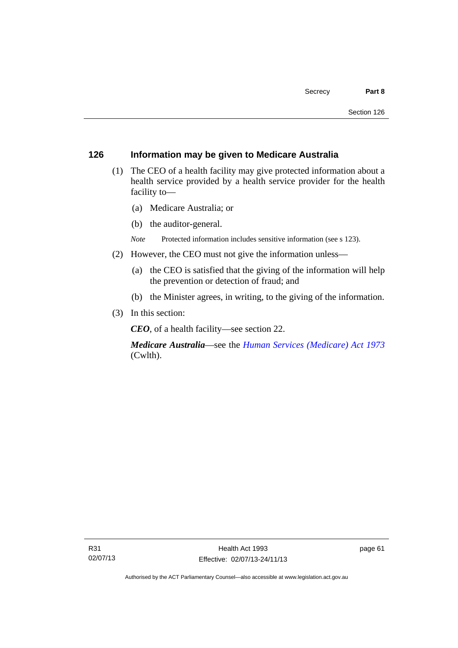#### **126 Information may be given to Medicare Australia**

- (1) The CEO of a health facility may give protected information about a health service provided by a health service provider for the health facility to—
	- (a) Medicare Australia; or
	- (b) the auditor-general.
	- *Note* Protected information includes sensitive information (see s 123).
- (2) However, the CEO must not give the information unless—
	- (a) the CEO is satisfied that the giving of the information will help the prevention or detection of fraud; and
	- (b) the Minister agrees, in writing, to the giving of the information.
- (3) In this section:

*CEO*, of a health facility—see section 22.

*Medicare Australia*—see the *[Human Services \(Medicare\) Act 1973](http://www.comlaw.gov.au/Details/C2012C00755)*  (Cwlth).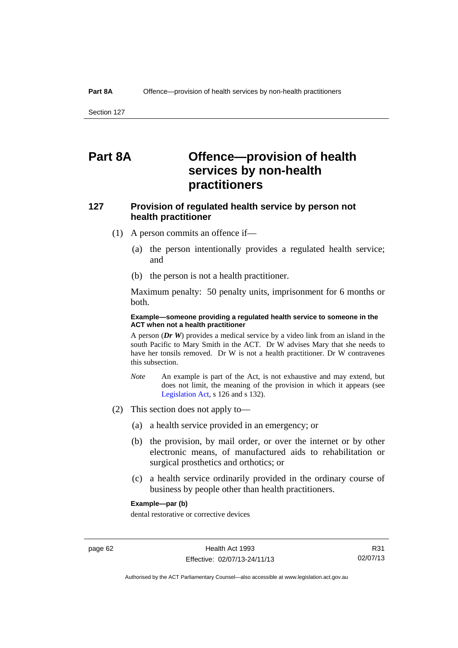# **Part 8A Offence—provision of health services by non-health practitioners**

## **127 Provision of regulated health service by person not health practitioner**

- (1) A person commits an offence if—
	- (a) the person intentionally provides a regulated health service; and
	- (b) the person is not a health practitioner.

Maximum penalty: 50 penalty units, imprisonment for 6 months or both.

#### **Example—someone providing a regulated health service to someone in the ACT when not a health practitioner**

A person (*Dr W*) provides a medical service by a video link from an island in the south Pacific to Mary Smith in the ACT. Dr W advises Mary that she needs to have her tonsils removed. Dr W is not a health practitioner. Dr W contravenes this subsection.

- *Note* An example is part of the Act, is not exhaustive and may extend, but does not limit, the meaning of the provision in which it appears (see [Legislation Act,](http://www.legislation.act.gov.au/a/2001-14) s 126 and s 132).
- (2) This section does not apply to—
	- (a) a health service provided in an emergency; or
	- (b) the provision, by mail order, or over the internet or by other electronic means, of manufactured aids to rehabilitation or surgical prosthetics and orthotics; or
	- (c) a health service ordinarily provided in the ordinary course of business by people other than health practitioners.

#### **Example—par (b)**

dental restorative or corrective devices

Authorised by the ACT Parliamentary Counsel—also accessible at www.legislation.act.gov.au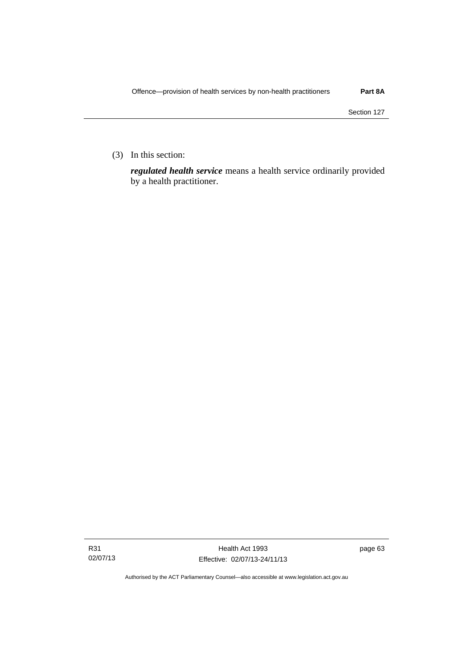(3) In this section:

*regulated health service* means a health service ordinarily provided by a health practitioner.

Authorised by the ACT Parliamentary Counsel—also accessible at www.legislation.act.gov.au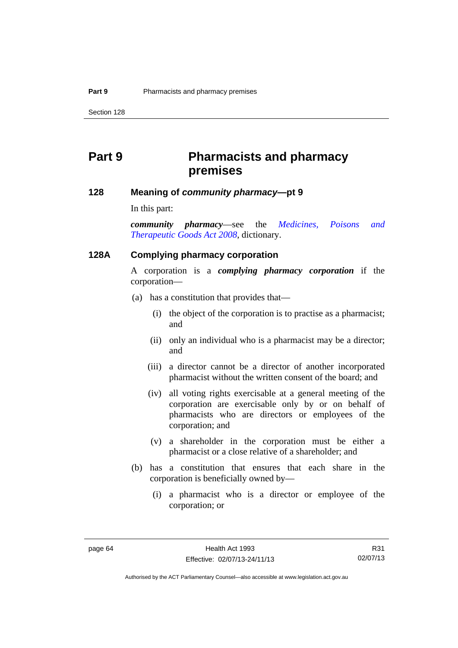# **Part 9 Pharmacists and pharmacy premises**

#### **128 Meaning of** *community pharmacy***—pt 9**

In this part:

*community pharmacy*—see the *[Medicines, Poisons and](http://www.legislation.act.gov.au/a/2008-26)  [Therapeutic Goods Act 2008](http://www.legislation.act.gov.au/a/2008-26)*, dictionary.

#### **128A Complying pharmacy corporation**

A corporation is a *complying pharmacy corporation* if the corporation—

- (a) has a constitution that provides that—
	- (i) the object of the corporation is to practise as a pharmacist; and
	- (ii) only an individual who is a pharmacist may be a director; and
	- (iii) a director cannot be a director of another incorporated pharmacist without the written consent of the board; and
	- (iv) all voting rights exercisable at a general meeting of the corporation are exercisable only by or on behalf of pharmacists who are directors or employees of the corporation; and
	- (v) a shareholder in the corporation must be either a pharmacist or a close relative of a shareholder; and
- (b) has a constitution that ensures that each share in the corporation is beneficially owned by—
	- (i) a pharmacist who is a director or employee of the corporation; or

R31 02/07/13

Authorised by the ACT Parliamentary Counsel—also accessible at www.legislation.act.gov.au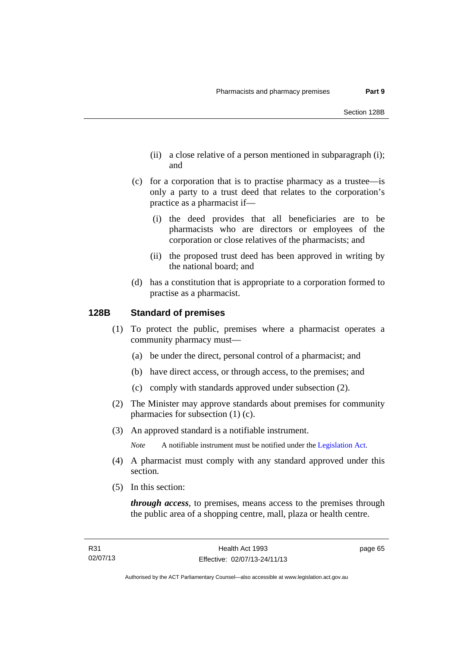- (ii) a close relative of a person mentioned in subparagraph (i); and
- (c) for a corporation that is to practise pharmacy as a trustee—is only a party to a trust deed that relates to the corporation's practice as a pharmacist if—
	- (i) the deed provides that all beneficiaries are to be pharmacists who are directors or employees of the corporation or close relatives of the pharmacists; and
	- (ii) the proposed trust deed has been approved in writing by the national board; and
- (d) has a constitution that is appropriate to a corporation formed to practise as a pharmacist.

# **128B Standard of premises**

- (1) To protect the public, premises where a pharmacist operates a community pharmacy must—
	- (a) be under the direct, personal control of a pharmacist; and
	- (b) have direct access, or through access, to the premises; and
	- (c) comply with standards approved under subsection (2).
- (2) The Minister may approve standards about premises for community pharmacies for subsection (1) (c).
- (3) An approved standard is a notifiable instrument.

*Note* A notifiable instrument must be notified under the [Legislation Act](http://www.legislation.act.gov.au/a/2001-14).

- (4) A pharmacist must comply with any standard approved under this section.
- (5) In this section:

*through access*, to premises, means access to the premises through the public area of a shopping centre, mall, plaza or health centre.

page 65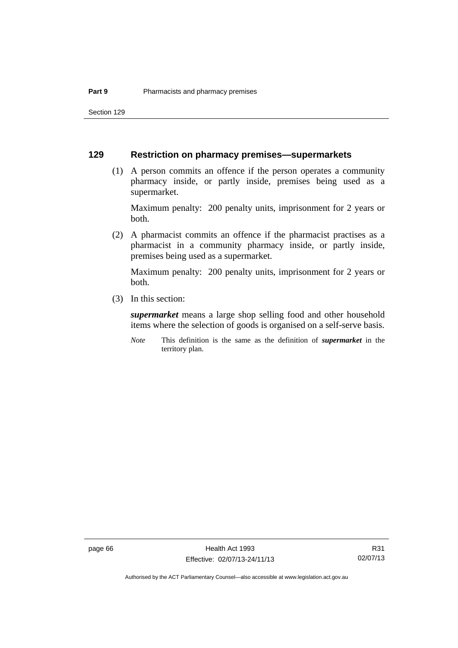Section 129

# **129 Restriction on pharmacy premises—supermarkets**

 (1) A person commits an offence if the person operates a community pharmacy inside, or partly inside, premises being used as a supermarket.

Maximum penalty: 200 penalty units, imprisonment for 2 years or both.

 (2) A pharmacist commits an offence if the pharmacist practises as a pharmacist in a community pharmacy inside, or partly inside, premises being used as a supermarket.

Maximum penalty: 200 penalty units, imprisonment for 2 years or both.

(3) In this section:

*supermarket* means a large shop selling food and other household items where the selection of goods is organised on a self-serve basis.

*Note* This definition is the same as the definition of *supermarket* in the territory plan.

page 66 Health Act 1993 Effective: 02/07/13-24/11/13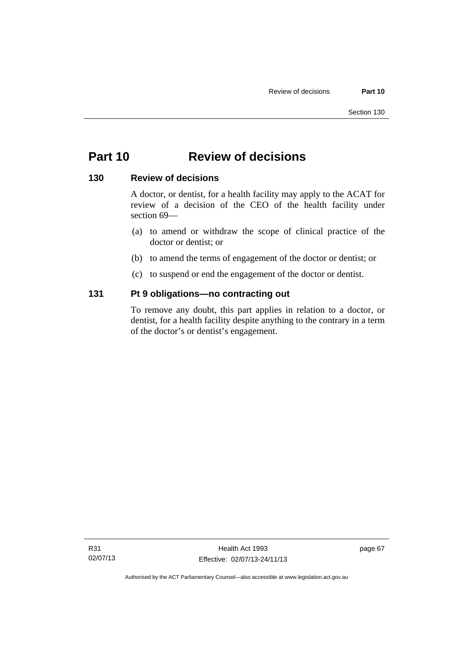# **Part 10 Review of decisions**

# **130 Review of decisions**

A doctor, or dentist, for a health facility may apply to the ACAT for review of a decision of the CEO of the health facility under section 69—

- (a) to amend or withdraw the scope of clinical practice of the doctor or dentist; or
- (b) to amend the terms of engagement of the doctor or dentist; or
- (c) to suspend or end the engagement of the doctor or dentist.

# **131 Pt 9 obligations—no contracting out**

To remove any doubt, this part applies in relation to a doctor, or dentist, for a health facility despite anything to the contrary in a term of the doctor's or dentist's engagement.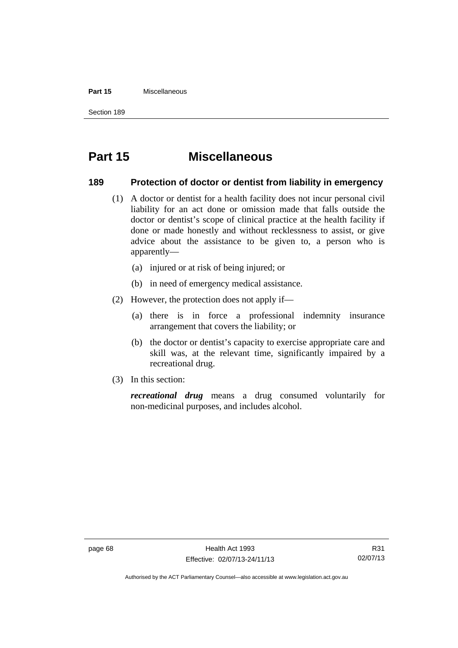#### **Part 15** Miscellaneous

Section 189

# **Part 15 Miscellaneous**

# **189 Protection of doctor or dentist from liability in emergency**

- (1) A doctor or dentist for a health facility does not incur personal civil liability for an act done or omission made that falls outside the doctor or dentist's scope of clinical practice at the health facility if done or made honestly and without recklessness to assist, or give advice about the assistance to be given to, a person who is apparently—
	- (a) injured or at risk of being injured; or
	- (b) in need of emergency medical assistance.
- (2) However, the protection does not apply if—
	- (a) there is in force a professional indemnity insurance arrangement that covers the liability; or
	- (b) the doctor or dentist's capacity to exercise appropriate care and skill was, at the relevant time, significantly impaired by a recreational drug.
- (3) In this section:

*recreational drug* means a drug consumed voluntarily for non-medicinal purposes, and includes alcohol.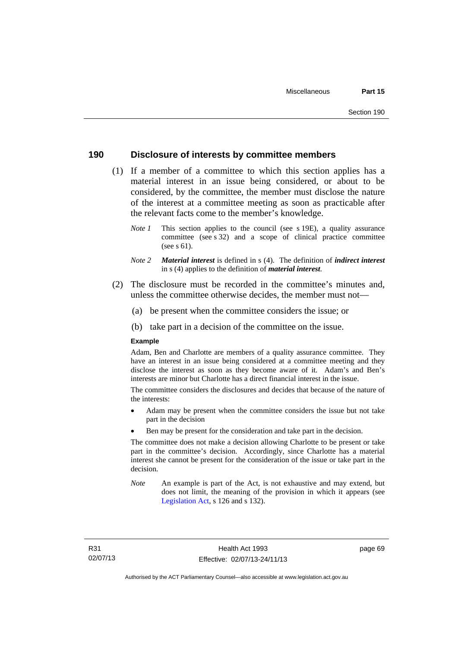# **190 Disclosure of interests by committee members**

- (1) If a member of a committee to which this section applies has a material interest in an issue being considered, or about to be considered, by the committee, the member must disclose the nature of the interest at a committee meeting as soon as practicable after the relevant facts come to the member's knowledge.
	- *Note 1* This section applies to the council (see s 19E), a quality assurance committee (see s 32) and a scope of clinical practice committee (see s 61).
	- *Note 2 Material interest* is defined in s (4). The definition of *indirect interest* in s (4) applies to the definition of *material interest*.
- (2) The disclosure must be recorded in the committee's minutes and, unless the committee otherwise decides, the member must not—
	- (a) be present when the committee considers the issue; or
	- (b) take part in a decision of the committee on the issue.

#### **Example**

Adam, Ben and Charlotte are members of a quality assurance committee. They have an interest in an issue being considered at a committee meeting and they disclose the interest as soon as they become aware of it. Adam's and Ben's interests are minor but Charlotte has a direct financial interest in the issue.

The committee considers the disclosures and decides that because of the nature of the interests:

- Adam may be present when the committee considers the issue but not take part in the decision
- Ben may be present for the consideration and take part in the decision.

The committee does not make a decision allowing Charlotte to be present or take part in the committee's decision. Accordingly, since Charlotte has a material interest she cannot be present for the consideration of the issue or take part in the decision.

*Note* An example is part of the Act, is not exhaustive and may extend, but does not limit, the meaning of the provision in which it appears (see [Legislation Act,](http://www.legislation.act.gov.au/a/2001-14) s 126 and s 132).

page 69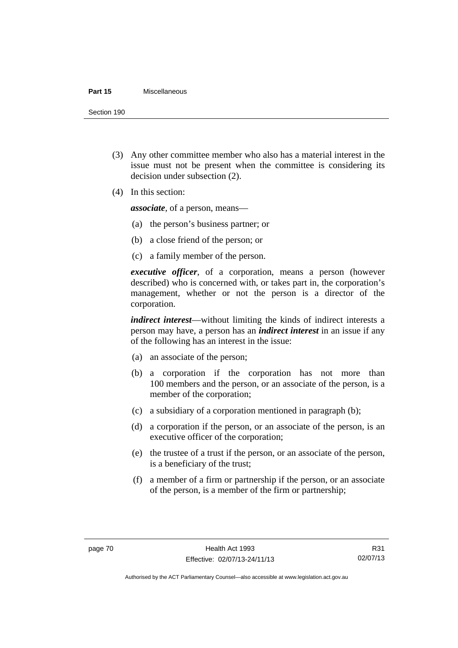#### **Part 15** Miscellaneous

Section 190

- (3) Any other committee member who also has a material interest in the issue must not be present when the committee is considering its decision under subsection (2).
- (4) In this section:

*associate*, of a person, means—

- (a) the person's business partner; or
- (b) a close friend of the person; or
- (c) a family member of the person.

*executive officer*, of a corporation, means a person (however described) who is concerned with, or takes part in, the corporation's management, whether or not the person is a director of the corporation.

*indirect interest*—without limiting the kinds of indirect interests a person may have, a person has an *indirect interest* in an issue if any of the following has an interest in the issue:

- (a) an associate of the person;
- (b) a corporation if the corporation has not more than 100 members and the person, or an associate of the person, is a member of the corporation;
- (c) a subsidiary of a corporation mentioned in paragraph (b);
- (d) a corporation if the person, or an associate of the person, is an executive officer of the corporation;
- (e) the trustee of a trust if the person, or an associate of the person, is a beneficiary of the trust;
- (f) a member of a firm or partnership if the person, or an associate of the person, is a member of the firm or partnership;

Authorised by the ACT Parliamentary Counsel—also accessible at www.legislation.act.gov.au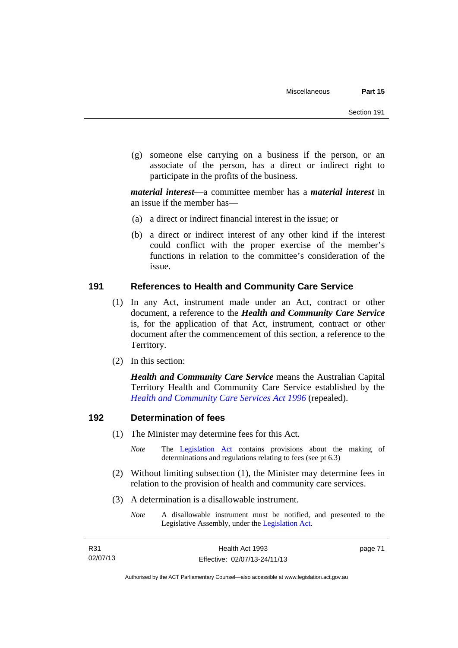(g) someone else carrying on a business if the person, or an associate of the person, has a direct or indirect right to participate in the profits of the business.

*material interest*—a committee member has a *material interest* in an issue if the member has—

- (a) a direct or indirect financial interest in the issue; or
- (b) a direct or indirect interest of any other kind if the interest could conflict with the proper exercise of the member's functions in relation to the committee's consideration of the issue.

# **191 References to Health and Community Care Service**

- (1) In any Act, instrument made under an Act, contract or other document, a reference to the *Health and Community Care Service* is, for the application of that Act, instrument, contract or other document after the commencement of this section, a reference to the Territory.
- (2) In this section:

*Health and Community Care Service* means the Australian Capital Territory Health and Community Care Service established by the *[Health and Community Care Services Act 1996](http://www.legislation.act.gov.au/a/1996-34)* (repealed).

# **192 Determination of fees**

- (1) The Minister may determine fees for this Act.
	- *Note* The [Legislation Act](http://www.legislation.act.gov.au/a/2001-14) contains provisions about the making of determinations and regulations relating to fees (see pt 6.3)
- (2) Without limiting subsection (1), the Minister may determine fees in relation to the provision of health and community care services.
- (3) A determination is a disallowable instrument.
	- *Note* A disallowable instrument must be notified, and presented to the Legislative Assembly, under the [Legislation Act.](http://www.legislation.act.gov.au/a/2001-14)

page 71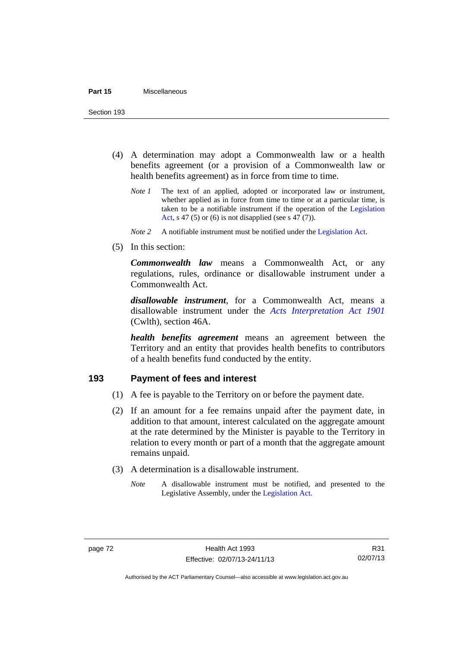Section 193

- (4) A determination may adopt a Commonwealth law or a health benefits agreement (or a provision of a Commonwealth law or health benefits agreement) as in force from time to time.
	- *Note 1* The text of an applied, adopted or incorporated law or instrument, whether applied as in force from time to time or at a particular time, is taken to be a notifiable instrument if the operation of the [Legislation](http://www.legislation.act.gov.au/a/2001-14)  [Act](http://www.legislation.act.gov.au/a/2001-14), s 47 (5) or (6) is not disapplied (see s 47 (7)).
	- *Note 2* A notifiable instrument must be notified under the [Legislation Act](http://www.legislation.act.gov.au/a/2001-14).
- (5) In this section:

*Commonwealth law* means a Commonwealth Act, or any regulations, rules, ordinance or disallowable instrument under a Commonwealth Act.

*disallowable instrument*, for a Commonwealth Act, means a disallowable instrument under the *[Acts Interpretation Act 1901](http://www.comlaw.gov.au/Details/C2012C00001)* (Cwlth), section 46A.

*health benefits agreement* means an agreement between the Territory and an entity that provides health benefits to contributors of a health benefits fund conducted by the entity.

# **193 Payment of fees and interest**

- (1) A fee is payable to the Territory on or before the payment date.
- (2) If an amount for a fee remains unpaid after the payment date, in addition to that amount, interest calculated on the aggregate amount at the rate determined by the Minister is payable to the Territory in relation to every month or part of a month that the aggregate amount remains unpaid.
- (3) A determination is a disallowable instrument.
	- *Note* A disallowable instrument must be notified, and presented to the Legislative Assembly, under the [Legislation Act.](http://www.legislation.act.gov.au/a/2001-14)

Authorised by the ACT Parliamentary Counsel—also accessible at www.legislation.act.gov.au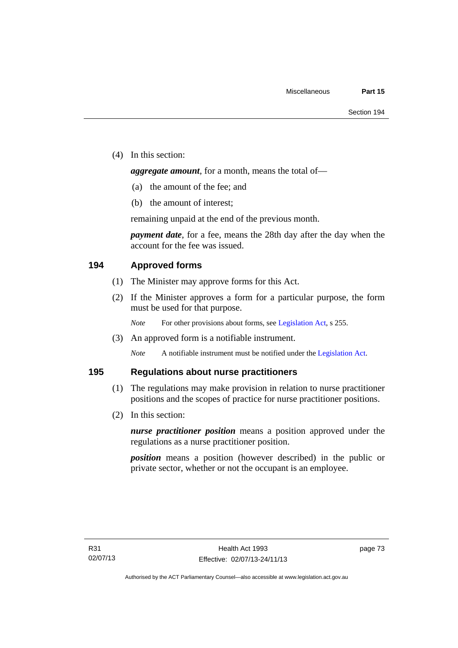(4) In this section:

*aggregate amount*, for a month, means the total of—

- (a) the amount of the fee; and
- (b) the amount of interest;

remaining unpaid at the end of the previous month.

*payment date*, for a fee, means the 28th day after the day when the account for the fee was issued.

# **194 Approved forms**

- (1) The Minister may approve forms for this Act.
- (2) If the Minister approves a form for a particular purpose, the form must be used for that purpose.

*Note* For other provisions about forms, see [Legislation Act,](http://www.legislation.act.gov.au/a/2001-14) s 255.

(3) An approved form is a notifiable instrument.

*Note* A notifiable instrument must be notified under the [Legislation Act](http://www.legislation.act.gov.au/a/2001-14).

# **195 Regulations about nurse practitioners**

- (1) The regulations may make provision in relation to nurse practitioner positions and the scopes of practice for nurse practitioner positions.
- (2) In this section:

*nurse practitioner position* means a position approved under the regulations as a nurse practitioner position.

*position* means a position (however described) in the public or private sector, whether or not the occupant is an employee.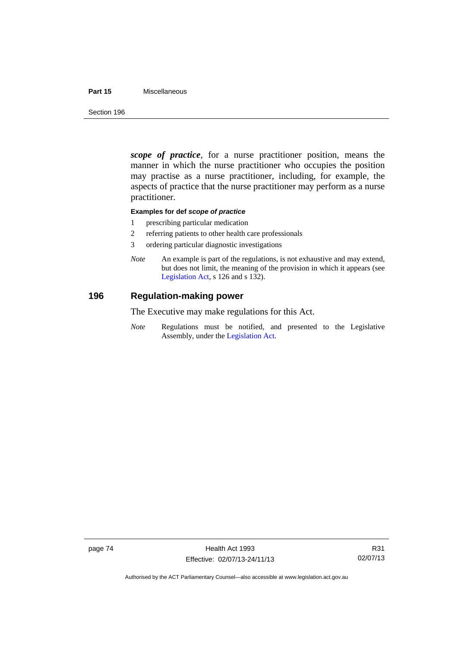## **Part 15** Miscellaneous

Section 196

*scope of practice*, for a nurse practitioner position, means the manner in which the nurse practitioner who occupies the position may practise as a nurse practitioner, including, for example, the aspects of practice that the nurse practitioner may perform as a nurse practitioner.

## **Examples for def** *scope of practice*

- 1 prescribing particular medication
- 2 referring patients to other health care professionals
- 3 ordering particular diagnostic investigations
- *Note* An example is part of the regulations, is not exhaustive and may extend, but does not limit, the meaning of the provision in which it appears (see [Legislation Act,](http://www.legislation.act.gov.au/a/2001-14) s 126 and s 132).

# **196 Regulation-making power**

The Executive may make regulations for this Act.

*Note* Regulations must be notified, and presented to the Legislative Assembly, under the [Legislation Act](http://www.legislation.act.gov.au/a/2001-14).

Authorised by the ACT Parliamentary Counsel—also accessible at www.legislation.act.gov.au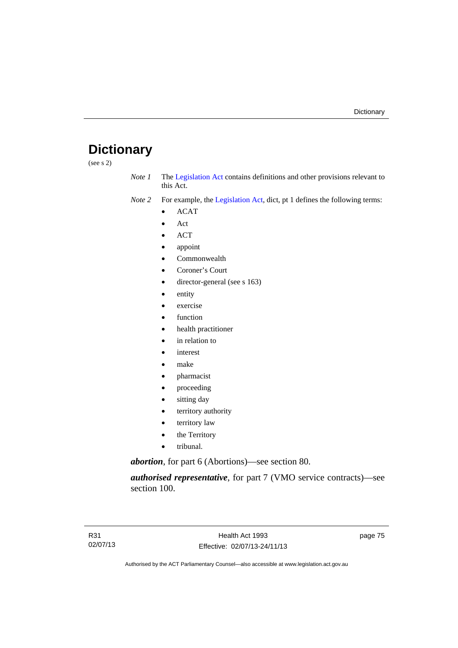# **Dictionary**

(see s 2)

- *Note 1* The [Legislation Act](http://www.legislation.act.gov.au/a/2001-14) contains definitions and other provisions relevant to this Act.
- *Note 2* For example, the [Legislation Act,](http://www.legislation.act.gov.au/a/2001-14) dict, pt 1 defines the following terms:
	- ACAT
	- Act
	- ACT
	- appoint
	- Commonwealth
	- Coroner's Court
	- director-general (see s 163)
	- entity
	- exercise
	- function
	- health practitioner
	- in relation to
	- interest
	- make
	- pharmacist
	- proceeding
	- sitting day
	- territory authority
	- territory law
	- the Territory
	- tribunal.

*abortion*, for part 6 (Abortions)—see section 80.

*authorised representative*, for part 7 (VMO service contracts)—see section 100.

page 75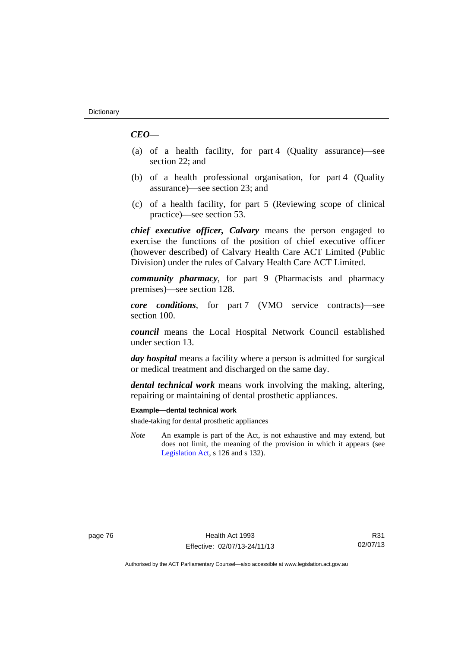# *CEO*—

- (a) of a health facility, for part 4 (Quality assurance)—see section 22; and
- (b) of a health professional organisation, for part 4 (Quality assurance)—see section 23; and
- (c) of a health facility, for part 5 (Reviewing scope of clinical practice)—see section 53.

*chief executive officer, Calvary* means the person engaged to exercise the functions of the position of chief executive officer (however described) of Calvary Health Care ACT Limited (Public Division) under the rules of Calvary Health Care ACT Limited.

*community pharmacy*, for part 9 (Pharmacists and pharmacy premises)—see section 128.

*core conditions*, for part 7 (VMO service contracts)—see section 100.

*council* means the Local Hospital Network Council established under section 13.

*day hospital* means a facility where a person is admitted for surgical or medical treatment and discharged on the same day.

*dental technical work* means work involving the making, altering, repairing or maintaining of dental prosthetic appliances.

#### **Example—dental technical work**

shade-taking for dental prosthetic appliances

*Note* An example is part of the Act, is not exhaustive and may extend, but does not limit, the meaning of the provision in which it appears (see [Legislation Act,](http://www.legislation.act.gov.au/a/2001-14) s 126 and s 132).

R31 02/07/13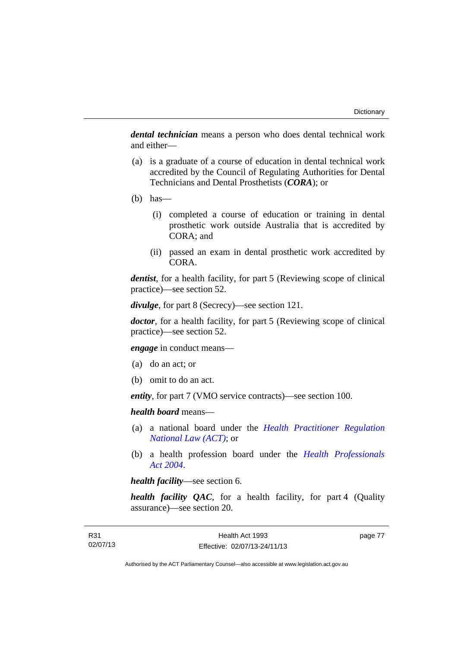*dental technician* means a person who does dental technical work and either—

- (a) is a graduate of a course of education in dental technical work accredited by the Council of Regulating Authorities for Dental Technicians and Dental Prosthetists (*CORA*); or
- $(b)$  has—
	- (i) completed a course of education or training in dental prosthetic work outside Australia that is accredited by CORA; and
	- (ii) passed an exam in dental prosthetic work accredited by CORA.

*dentist*, for a health facility, for part 5 (Reviewing scope of clinical practice)—see section 52.

*divulge*, for part 8 (Secrecy)—see section 121.

*doctor*, for a health facility, for part 5 (Reviewing scope of clinical practice)—see section 52.

*engage* in conduct means—

- (a) do an act; or
- (b) omit to do an act.

*entity*, for part 7 (VMO service contracts)—see section 100.

*health board* means—

- (a) a national board under the *[Health Practitioner Regulation](http://www.legislation.act.gov.au/a/db_39269/default.asp)  [National Law \(ACT\)](http://www.legislation.act.gov.au/a/db_39269/default.asp)*; or
- (b) a health profession board under the *[Health Professionals](http://www.legislation.act.gov.au/a/2004-38)  [Act 2004](http://www.legislation.act.gov.au/a/2004-38)*.

*health facility*—see section 6.

*health facility QAC*, for a health facility, for part 4 (Quality assurance)—see section 20.

page 77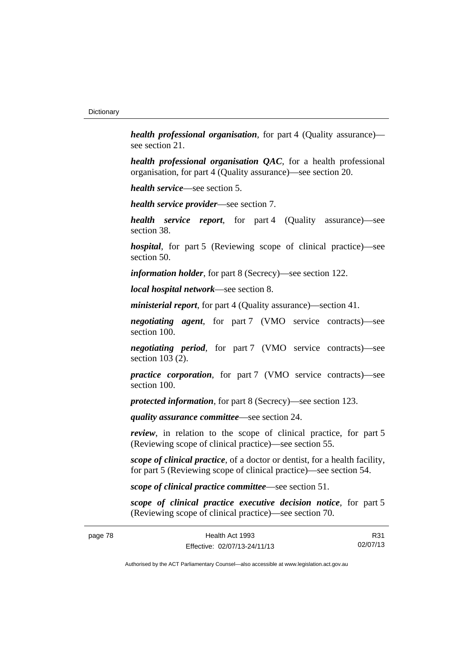*health professional organisation*, for part 4 (Quality assurance) see section 21.

*health professional organisation QAC*, for a health professional organisation, for part 4 (Quality assurance)—see section 20.

*health service*—see section 5.

*health service provider*—see section 7.

*health service report*, for part 4 (Quality assurance)—see section 38.

*hospital*, for part 5 (Reviewing scope of clinical practice)—see section 50.

*information holder*, for part 8 (Secrecy)—see section 122.

*local hospital network*—see section 8.

*ministerial report*, for part 4 (Quality assurance)—section 41.

*negotiating agent*, for part 7 (VMO service contracts)—see section 100.

*negotiating period*, for part 7 (VMO service contracts)—see section 103 (2).

*practice corporation*, for part 7 (VMO service contracts)—see section 100.

*protected information*, for part 8 (Secrecy)—see section 123.

*quality assurance committee*—see section 24.

*review*, in relation to the scope of clinical practice, for part 5 (Reviewing scope of clinical practice)—see section 55.

*scope of clinical practice*, of a doctor or dentist, for a health facility, for part 5 (Reviewing scope of clinical practice)—see section 54.

*scope of clinical practice committee*—see section 51.

*scope of clinical practice executive decision notice*, for part 5 (Reviewing scope of clinical practice)—see section 70.

R31 02/07/13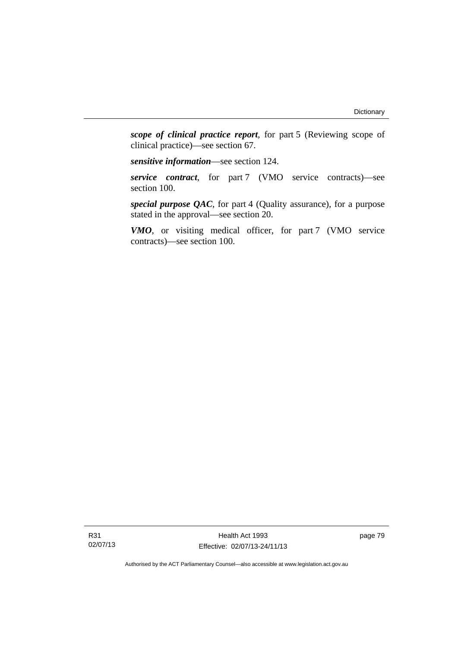*scope of clinical practice report*, for part 5 (Reviewing scope of clinical practice)—see section 67.

*sensitive information*—see section 124.

*service contract*, for part 7 (VMO service contracts)—see section 100.

*special purpose QAC*, for part 4 (Quality assurance), for a purpose stated in the approval—see section 20.

*VMO*, or visiting medical officer, for part 7 (VMO service contracts)—see section 100.

Health Act 1993 Effective: 02/07/13-24/11/13 page 79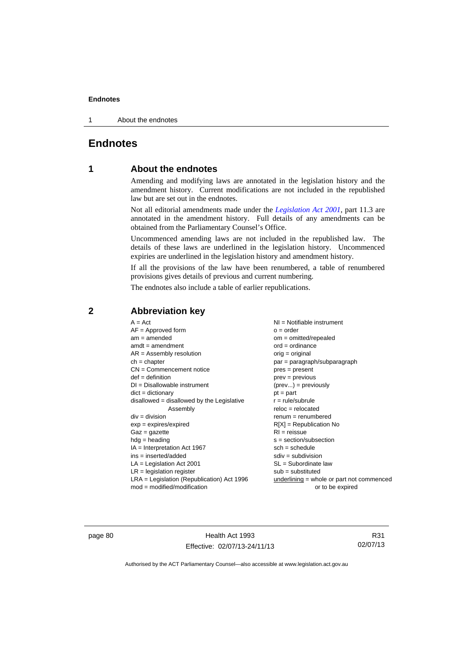1 About the endnotes

# **Endnotes**

# **1 About the endnotes**

Amending and modifying laws are annotated in the legislation history and the amendment history. Current modifications are not included in the republished law but are set out in the endnotes.

Not all editorial amendments made under the *[Legislation Act 2001](http://www.legislation.act.gov.au/a/2001-14)*, part 11.3 are annotated in the amendment history. Full details of any amendments can be obtained from the Parliamentary Counsel's Office.

Uncommenced amending laws are not included in the republished law. The details of these laws are underlined in the legislation history. Uncommenced expiries are underlined in the legislation history and amendment history.

If all the provisions of the law have been renumbered, a table of renumbered provisions gives details of previous and current numbering.

The endnotes also include a table of earlier republications.

| $A = Act$                                    | NI = Notifiable instrument                  |
|----------------------------------------------|---------------------------------------------|
| $AF =$ Approved form                         | $o = order$                                 |
| $am = amended$                               | $om = omitted/repealed$                     |
| $amdt = amendment$                           | $ord = ordinance$                           |
| $AR = Assembly$ resolution                   | $orig = original$                           |
| $ch = chapter$                               | $par = paragraph/subparagraph$              |
| $CN =$ Commencement notice                   | $pres = present$                            |
| $def = definition$                           | $prev = previous$                           |
| $DI = Disallowable instrument$               | $(\text{prev}) = \text{previously}$         |
| $dict = dictionary$                          | $pt = part$                                 |
| $disallowed = disallowed by the Legislative$ | $r = rule/subrule$                          |
| Assembly                                     | $reloc = relocated$                         |
| $div = division$                             | $renum = renumbered$                        |
| $exp = expires/expired$                      | $R[X]$ = Republication No                   |
| $Gaz = gazette$                              | $RI = reissue$                              |
| $hdg = heading$                              | $s = section/subsection$                    |
| $IA = Interpretation Act 1967$               | $sch = schedule$                            |
| $ins = inserted/added$                       | $sdiv = subdivision$                        |
| $LA =$ Legislation Act 2001                  | $SL = Subordinate$ law                      |
| $LR =$ legislation register                  | $sub =$ substituted                         |
| LRA = Legislation (Republication) Act 1996   | underlining $=$ whole or part not commenced |
| $mod = modified/modification$                | or to be expired                            |

# **2 Abbreviation key**

page 80 Health Act 1993 Effective: 02/07/13-24/11/13

R31 02/07/13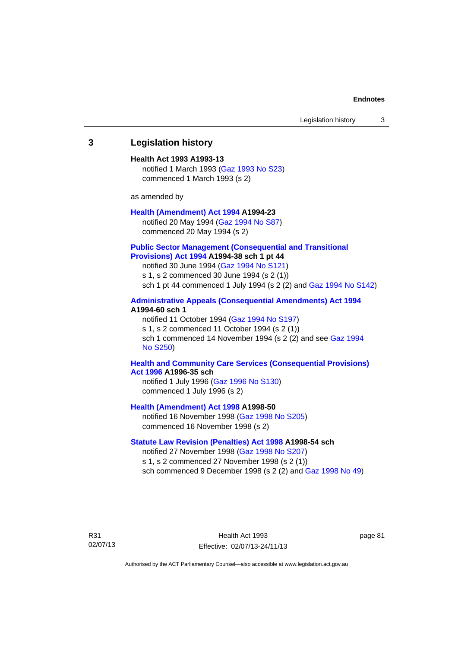# **3 Legislation history**

#### **Health Act 1993 A1993-13**

notified 1 March 1993 [\(Gaz 1993 No S23\)](http://www.legislation.act.gov.au/gaz/1993-S23/default.asp) commenced 1 March 1993 (s 2)

as amended by

#### **[Health \(Amendment\) Act 1994](http://www.legislation.act.gov.au/a/1994-23) A1994-23**

notified 20 May 1994 ([Gaz 1994 No S87](http://www.legislation.act.gov.au/gaz/1994-S87/default.asp)) commenced 20 May 1994 (s 2)

### **[Public Sector Management \(Consequential and Transitional](http://www.legislation.act.gov.au/a/1994-38)  [Provisions\) Act 1994](http://www.legislation.act.gov.au/a/1994-38) A1994-38 sch 1 pt 44**

notified 30 June 1994 ([Gaz 1994 No S121\)](http://www.legislation.act.gov.au/gaz/1994-S121/default.asp)

s 1, s 2 commenced 30 June 1994 (s 2 (1))

sch 1 pt 44 commenced 1 July 1994 (s 2 (2) and [Gaz 1994 No S142\)](http://www.legislation.act.gov.au/gaz/1994-S142/default.asp)

## **[Administrative Appeals \(Consequential Amendments\) Act 1994](http://www.legislation.act.gov.au/a/1994-60) A1994-60 sch 1**

notified 11 October 1994 ([Gaz 1994 No S197\)](http://www.legislation.act.gov.au/gaz/1994-S197/default.asp) s 1, s 2 commenced 11 October 1994 (s 2 (1)) sch 1 commenced 14 November 1994 (s 2 (2) and see [Gaz 1994](http://www.legislation.act.gov.au/gaz/1994-S250/default.asp)  [No S250\)](http://www.legislation.act.gov.au/gaz/1994-S250/default.asp)

## **[Health and Community Care Services \(Consequential Provisions\)](http://www.legislation.act.gov.au/a/1996-35)  [Act 1996](http://www.legislation.act.gov.au/a/1996-35) A1996-35 sch**

notified 1 July 1996 [\(Gaz 1996 No S130](http://www.legislation.act.gov.au/gaz/1996-S130/default.asp)) commenced 1 July 1996 (s 2)

**[Health \(Amendment\) Act 1998](http://www.legislation.act.gov.au/a/1998-50) A1998-50** 

notified 16 November 1998 [\(Gaz 1998 No S205](http://www.legislation.act.gov.au/gaz/1998-S205/default.asp)) commenced 16 November 1998 (s 2)

## **[Statute Law Revision \(Penalties\) Act 1998](http://www.legislation.act.gov.au/a/1998-54) A1998-54 sch**

notified 27 November 1998 [\(Gaz 1998 No S207](http://www.legislation.act.gov.au/gaz/1998-S207/default.asp)) s 1, s 2 commenced 27 November 1998 (s 2 (1)) sch commenced 9 December 1998 (s 2 (2) and [Gaz 1998 No 49\)](http://www.legislation.act.gov.au/gaz/1998-49/default.asp)

R31 02/07/13

Health Act 1993 Effective: 02/07/13-24/11/13 page 81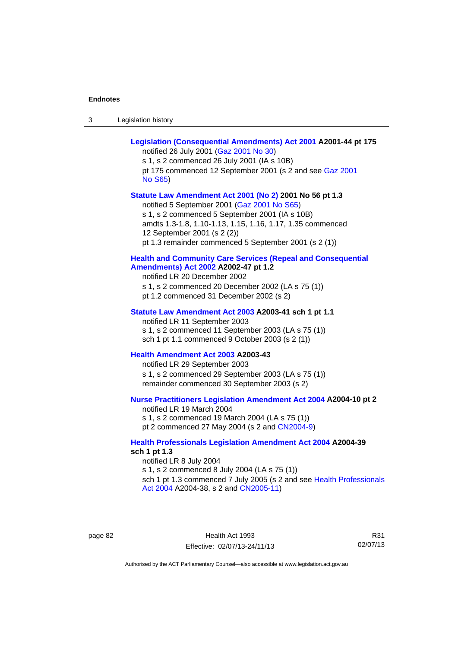| -3 | Legislation history |
|----|---------------------|
|----|---------------------|

| Legislation (Consequential Amendments) Act 2001 A2001-44 pt 175<br>notified 26 July 2001 (Gaz 2001 No 30)<br>s 1, s 2 commenced 26 July 2001 (IA s 10B)<br>pt 175 commenced 12 September 2001 (s 2 and see Gaz 2001<br><b>No S65)</b>                                                                          |
|----------------------------------------------------------------------------------------------------------------------------------------------------------------------------------------------------------------------------------------------------------------------------------------------------------------|
| Statute Law Amendment Act 2001 (No 2) 2001 No 56 pt 1.3<br>notified 5 September 2001 (Gaz 2001 No S65)<br>s 1, s 2 commenced 5 September 2001 (IA s 10B)<br>amdts 1.3-1.8, 1.10-1.13, 1.15, 1.16, 1.17, 1.35 commenced<br>12 September 2001 (s 2 (2))<br>pt 1.3 remainder commenced 5 September 2001 (s 2 (1)) |
| <b>Health and Community Care Services (Repeal and Consequential</b><br>Amendments) Act 2002 A2002-47 pt 1.2<br>notified LR 20 December 2002<br>s 1, s 2 commenced 20 December 2002 (LA s 75 (1))<br>pt 1.2 commenced 31 December 2002 (s 2)                                                                    |
| Statute Law Amendment Act 2003 A2003-41 sch 1 pt 1.1<br>notified LR 11 September 2003<br>s 1, s 2 commenced 11 September 2003 (LA s 75 (1))<br>sch 1 pt 1.1 commenced 9 October 2003 (s 2 (1))                                                                                                                 |
| Health Amendment Act 2003 A2003-43<br>notified LR 29 September 2003<br>s 1, s 2 commenced 29 September 2003 (LA s 75 (1))<br>remainder commenced 30 September 2003 (s 2)                                                                                                                                       |
| <b>Nurse Practitioners Legislation Amendment Act 2004 A2004-10 pt 2</b><br>notified LR 19 March 2004<br>s 1, s 2 commenced 19 March 2004 (LA s 75 (1))<br>pt 2 commenced 27 May 2004 (s 2 and CN2004-9)                                                                                                        |
| <b>Health Professionals Legislation Amendment Act 2004 A2004-39</b><br>sch 1 pt 1.3<br>notified LR 8 July 2004<br>s 1, s 2 commenced 8 July 2004 (LA s 75 (1))<br>sch 1 pt 1.3 commenced 7 July 2005 (s 2 and see Health Professionals<br>Act 2004 A2004-38, s 2 and CN2005-11)                                |

page 82 Health Act 1993 Effective: 02/07/13-24/11/13

R31 02/07/13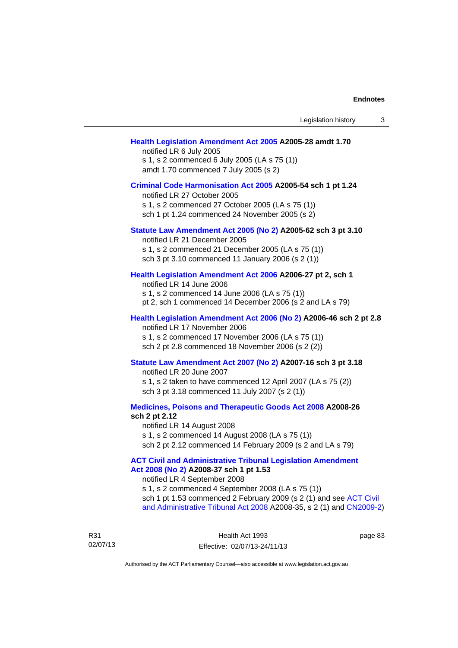#### **[Health Legislation Amendment Act 2005](http://www.legislation.act.gov.au/a/2005-28) A2005-28 amdt 1.70**

notified LR 6 July 2005 s 1, s 2 commenced 6 July 2005 (LA s 75 (1)) amdt 1.70 commenced 7 July 2005 (s 2)

#### **[Criminal Code Harmonisation Act 2005](http://www.legislation.act.gov.au/a/2005-54) A2005-54 sch 1 pt 1.24**

notified LR 27 October 2005 s 1, s 2 commenced 27 October 2005 (LA s 75 (1)) sch 1 pt 1.24 commenced 24 November 2005 (s 2)

## **[Statute Law Amendment Act 2005 \(No 2\)](http://www.legislation.act.gov.au/a/2005-62) A2005-62 sch 3 pt 3.10**

notified LR 21 December 2005 s 1, s 2 commenced 21 December 2005 (LA s 75 (1)) sch 3 pt 3.10 commenced 11 January 2006 (s 2 (1))

#### **[Health Legislation Amendment Act 2006](http://www.legislation.act.gov.au/a/2006-27) A2006-27 pt 2, sch 1**

notified LR 14 June 2006 s 1, s 2 commenced 14 June 2006 (LA s 75 (1)) pt 2, sch 1 commenced 14 December 2006 (s 2 and LA s 79)

# **[Health Legislation Amendment Act 2006 \(No 2\)](http://www.legislation.act.gov.au/a/2006-46) A2006-46 sch 2 pt 2.8**  notified LR 17 November 2006

s 1, s 2 commenced 17 November 2006 (LA s 75 (1)) sch 2 pt 2.8 commenced 18 November 2006 (s 2 (2))

### **[Statute Law Amendment Act 2007 \(No 2\)](http://www.legislation.act.gov.au/a/2007-16) A2007-16 sch 3 pt 3.18**

notified LR 20 June 2007 s 1, s 2 taken to have commenced 12 April 2007 (LA s 75 (2)) sch 3 pt 3.18 commenced 11 July 2007 (s 2 (1))

### **[Medicines, Poisons and Therapeutic Goods Act 2008](http://www.legislation.act.gov.au/a/2008-26) A2008-26 sch 2 pt 2.12**

notified LR 14 August 2008 s 1, s 2 commenced 14 August 2008 (LA s 75 (1)) sch 2 pt 2.12 commenced 14 February 2009 (s 2 and LA s 79)

## **[ACT Civil and Administrative Tribunal Legislation Amendment](http://www.legislation.act.gov.au/a/2008-37)  [Act 2008 \(No 2\)](http://www.legislation.act.gov.au/a/2008-37) A2008-37 sch 1 pt 1.53**

notified LR 4 September 2008

s 1, s 2 commenced 4 September 2008 (LA s 75 (1)) sch 1 pt 1.53 commenced 2 February 2009 (s 2 (1) and see [ACT Civil](http://www.legislation.act.gov.au/a/2008-35)  [and Administrative Tribunal Act 2008](http://www.legislation.act.gov.au/a/2008-35) A2008-35, s 2 (1) and [CN2009-2](http://www.legislation.act.gov.au/cn/2009-2/default.asp))

R31 02/07/13 page 83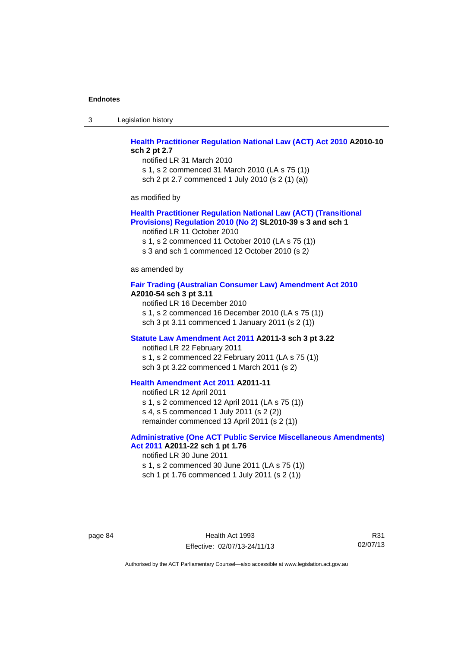3 Legislation history

# **[Health Practitioner Regulation National Law \(ACT\) Act 2010](http://www.legislation.act.gov.au/a/2010-10) A2010-10 sch 2 pt 2.7**

notified LR 31 March 2010 s 1, s 2 commenced 31 March 2010 (LA s 75 (1)) sch 2 pt 2.7 commenced 1 July 2010 (s 2 (1) (a))

as modified by

## **[Health Practitioner Regulation National Law \(ACT\) \(Transitional](http://www.legislation.act.gov.au/sl/2010-39)  [Provisions\) Regulation 2010 \(No 2\)](http://www.legislation.act.gov.au/sl/2010-39) SL2010-39 s 3 and sch 1**

notified LR 11 October 2010

s 1, s 2 commenced 11 October 2010 (LA s 75 (1))

s 3 and sch 1 commenced 12 October 2010 (s 2*)*

as amended by

#### **[Fair Trading \(Australian Consumer Law\) Amendment Act 2010](http://www.legislation.act.gov.au/a/2010-54) A2010-54 sch 3 pt 3.11**

notified LR 16 December 2010 s 1, s 2 commenced 16 December 2010 (LA s 75 (1)) sch 3 pt 3.11 commenced 1 January 2011 (s 2 (1))

#### **[Statute Law Amendment Act 2011](http://www.legislation.act.gov.au/a/2011-3) A2011-3 sch 3 pt 3.22**

notified LR 22 February 2011 s 1, s 2 commenced 22 February 2011 (LA s 75 (1)) sch 3 pt 3.22 commenced 1 March 2011 (s 2)

# **[Health Amendment Act 2011](http://www.legislation.act.gov.au/a/2011-11) A2011-11**

notified LR 12 April 2011 s 1, s 2 commenced 12 April 2011 (LA s 75 (1)) s 4, s 5 commenced 1 July 2011 (s 2 (2)) remainder commenced 13 April 2011 (s 2 (1))

# **[Administrative \(One ACT Public Service Miscellaneous Amendments\)](http://www.legislation.act.gov.au/a/2011-22)**

**[Act 2011](http://www.legislation.act.gov.au/a/2011-22) A2011-22 sch 1 pt 1.76**  notified LR 30 June 2011 s 1, s 2 commenced 30 June 2011 (LA s 75 (1)) sch 1 pt 1.76 commenced 1 July 2011 (s 2 (1))

page 84 Health Act 1993 Effective: 02/07/13-24/11/13

R31 02/07/13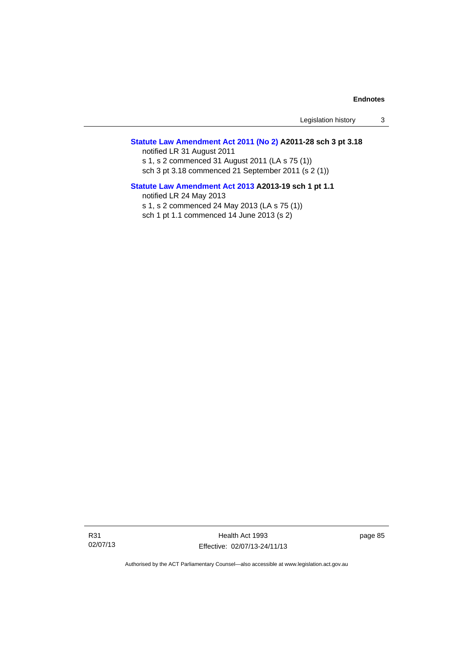Legislation history 3

## **[Statute Law Amendment Act 2011 \(No 2\)](http://www.legislation.act.gov.au/a/2011-28) A2011-28 sch 3 pt 3.18**

notified LR 31 August 2011 s 1, s 2 commenced 31 August 2011 (LA s 75 (1)) sch 3 pt 3.18 commenced 21 September 2011 (s 2 (1))

## **[Statute Law Amendment Act 2013](http://www.legislation.act.gov.au/a/2013-19) A2013-19 sch 1 pt 1.1**  notified LR 24 May 2013

s 1, s 2 commenced 24 May 2013 (LA s 75 (1)) sch 1 pt 1.1 commenced 14 June 2013 (s 2)

R31 02/07/13

Health Act 1993 Effective: 02/07/13-24/11/13 page 85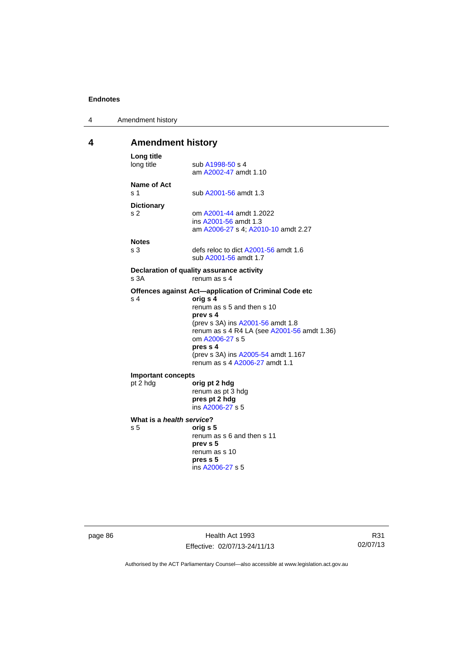| 4 | Amendment history |
|---|-------------------|
|---|-------------------|

# **4 Amendment history**

| Long title<br>long title                    | sub A1998-50 s 4<br>am A2002-47 amdt 1.10                                                                                                                                                                                                                                                               |
|---------------------------------------------|---------------------------------------------------------------------------------------------------------------------------------------------------------------------------------------------------------------------------------------------------------------------------------------------------------|
| Name of Act<br>s <sub>1</sub>               | sub A2001-56 amdt 1.3                                                                                                                                                                                                                                                                                   |
| <b>Dictionary</b><br>s <sub>2</sub>         | om A2001-44 amdt 1.2022<br>ins A2001-56 amdt 1.3<br>am A2006-27 s 4; A2010-10 amdt 2.27                                                                                                                                                                                                                 |
| <b>Notes</b><br>s <sub>3</sub>              | defs reloc to dict A2001-56 amdt 1.6<br>sub A2001-56 amdt 1.7                                                                                                                                                                                                                                           |
| s 3A                                        | Declaration of quality assurance activity<br>renum as s 4                                                                                                                                                                                                                                               |
| s <sub>4</sub>                              | Offences against Act-application of Criminal Code etc<br>orig s 4<br>renum as s 5 and then s 10<br>prev s 4<br>(prev s 3A) ins A2001-56 amdt 1.8<br>renum as s 4 R4 LA (see A2001-56 amdt 1.36)<br>om A2006-27 s 5<br>pres s 4<br>(prev s 3A) ins A2005-54 amdt 1.167<br>renum as s 4 A2006-27 amdt 1.1 |
| <b>Important concepts</b><br>pt 2 hdg       | orig pt 2 hdg<br>renum as pt 3 hdg<br>pres pt 2 hdg<br>ins A2006-27 s 5                                                                                                                                                                                                                                 |
| What is a health service?<br>s <sub>5</sub> | oria s 5<br>renum as s 6 and then s 11<br>prev s 5<br>renum as s 10<br>pres s 5<br>ins A2006-27 s 5                                                                                                                                                                                                     |

page 86 **Health Act 1993** Effective: 02/07/13-24/11/13

R31 02/07/13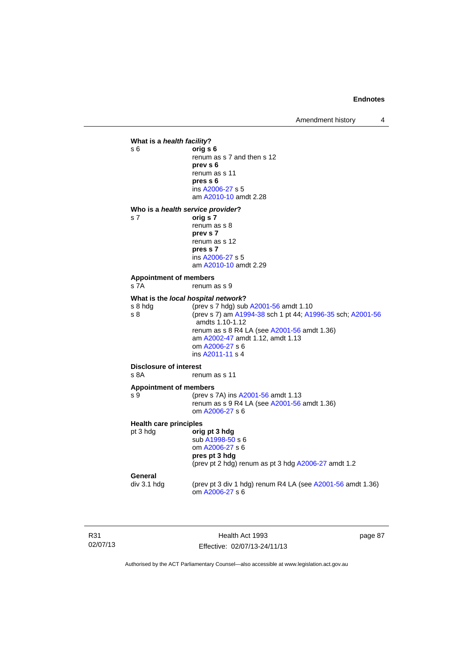Amendment history 4



R31 02/07/13

Health Act 1993 Effective: 02/07/13-24/11/13 page 87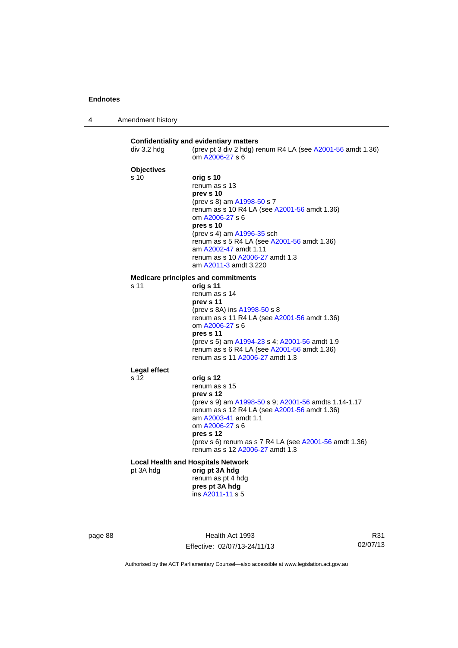| $\boldsymbol{\Lambda}$ | Amendment history |
|------------------------|-------------------|
|------------------------|-------------------|

|                   | (prev pt 3 div 2 hdg) renum R4 LA (see A2001-56 amdt 1.36)<br>om A2006-27 s 6                        |
|-------------------|------------------------------------------------------------------------------------------------------|
| <b>Objectives</b> |                                                                                                      |
| s 10              | orig s 10                                                                                            |
|                   | renum as s 13                                                                                        |
|                   | prev s 10                                                                                            |
|                   | (prev s 8) am A1998-50 s 7                                                                           |
|                   | renum as s 10 R4 LA (see A2001-56 amdt 1.36)                                                         |
|                   | om A2006-27 s 6<br>pres s 10                                                                         |
|                   | (prev s 4) am A1996-35 sch                                                                           |
|                   | renum as s 5 R4 LA (see A2001-56 amdt 1.36)                                                          |
|                   | am A2002-47 amdt 1.11                                                                                |
|                   | renum as s 10 A2006-27 amdt 1.3                                                                      |
|                   | am A2011-3 amdt 3.220                                                                                |
|                   | <b>Medicare principles and commitments</b>                                                           |
| s 11              | orig s 11                                                                                            |
|                   | renum as s 14                                                                                        |
|                   | prev s 11                                                                                            |
|                   | (prev s 8A) ins A1998-50 s 8<br>renum as s 11 R4 LA (see A2001-56 amdt 1.36)                         |
|                   | om A2006-27 s 6                                                                                      |
|                   | pres s 11                                                                                            |
|                   | (prev s 5) am A1994-23 s 4; A2001-56 amdt 1.9                                                        |
|                   | renum as s 6 R4 LA (see A2001-56 amdt 1.36)                                                          |
|                   | renum as s 11 A2006-27 amdt 1.3                                                                      |
| Legal effect      |                                                                                                      |
| s 12              | orig s 12                                                                                            |
|                   | renum as s 15                                                                                        |
|                   | prev s 12                                                                                            |
|                   | (prev s 9) am A1998-50 s 9; A2001-56 amdts 1.14-1.17<br>renum as s 12 R4 LA (see A2001-56 amdt 1.36) |
|                   | am A2003-41 amdt 1.1                                                                                 |
|                   | om A2006-27 s 6                                                                                      |
|                   | pres s 12                                                                                            |
|                   | (prev s 6) renum as s 7 R4 LA (see A2001-56 amdt 1.36)                                               |
|                   | renum as s 12 A2006-27 amdt 1.3                                                                      |
|                   | <b>Local Health and Hospitals Network</b>                                                            |
| pt 3A hdg         | orig pt 3A hdg                                                                                       |
|                   | renum as pt 4 hdg                                                                                    |
|                   | pres pt 3A hdg<br>ins A2011-11 s 5                                                                   |

page 88 Health Act 1993 Effective: 02/07/13-24/11/13

R31 02/07/13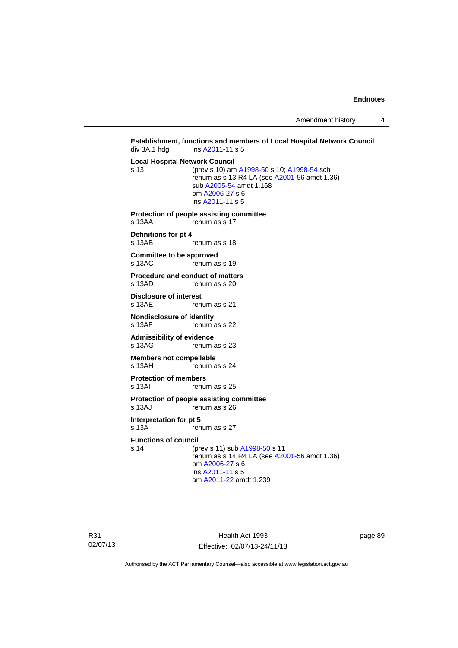Amendment history 4

```
Establishment, functions and members of Local Hospital Network Council div 3A.1 hdg ins A2011-11 s 5
                  A2011-11 s 5
Local Hospital Network Council
s 13 (prev s 10) am A1998-50 s 10; A1998-54 sch 
                 renum as s 13 R4 LA (see A2001-56 amdt 1.36) 
                  sub A2005-54 amdt 1.168 
                  om A2006-27 s 6 
                  ins A2011-11 s 5
Protection of people assisting committee 
s 13AA renum as s 17
Definitions for pt 4 
                 renum as s 18
Committee to be approved 
s 13AC renum as s 19
Procedure and conduct of matters<br>s 13AD renum as s 20
                 renum as s 20
Disclosure of interest 
s 13AE renum as s 21
Nondisclosure of identity<br>s 13AF renum
                 renum as s 22
Admissibility of evidence 
s 13AG renum as s 23
Members not compellable 
s 13AH renum as s 24
Protection of members 
s 13AI renum as s 25
Protection of people assisting committee 
s 13AJ renum as s 26
Interpretation for pt 5 
s 13A renum as s 27
Functions of council
s 14 (prev s 11) sub A1998-50 s 11 
                 renum as s A2001-56 amdt 1.36)
                  om A2006-27 s 6 
                  ins A2011-11 s 5
                  am A2011-22 amdt 1.239
```
R31 02/07/13

Health Act 1993 Effective: 02/07/13-24/11/13 page 89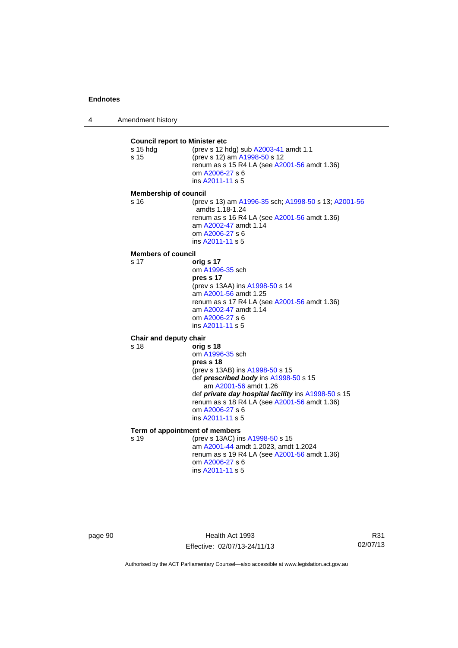4 Amendment history

**Council report to Minister etc** s 15 hdg (prev s 12 hdg) sub [A2003-41](http://www.legislation.act.gov.au/a/2003-41) amdt 1.1 s 15 (prev s 12) am [A1998-50](http://www.legislation.act.gov.au/a/1998-50) s 12 renum as s 15 R4 LA (see [A2001-56](http://www.legislation.act.gov.au/a/2001-56) amdt 1.36) om [A2006-27](http://www.legislation.act.gov.au/a/2006-27) s 6 ins [A2011-11](http://www.legislation.act.gov.au/a/2011-11) s 5 **Membership of council** s 16 (prev s 13) am [A1996-35](http://www.legislation.act.gov.au/a/1996-35) sch; [A1998-50](http://www.legislation.act.gov.au/a/1998-50) s 13; [A2001-56](http://www.legislation.act.gov.au/a/2001-56) amdts 1.18-1.24 renum as s 16 R4 LA (see [A2001-56](http://www.legislation.act.gov.au/a/2001-56) amdt 1.36) am [A2002-47](http://www.legislation.act.gov.au/a/2002-47) amdt 1.14 om [A2006-27](http://www.legislation.act.gov.au/a/2006-27) s 6 ins [A2011-11](http://www.legislation.act.gov.au/a/2011-11) s 5 **Members of council** s 17 **orig s 17** om [A1996-35](http://www.legislation.act.gov.au/a/1996-35) sch **pres s 17**  (prev s 13AA) ins [A1998-50](http://www.legislation.act.gov.au/a/1998-50) s 14 am [A2001-56](http://www.legislation.act.gov.au/a/2001-56) amdt 1.25 renum as s 17 R4 LA (see [A2001-56](http://www.legislation.act.gov.au/a/2001-56) amdt 1.36) am [A2002-47](http://www.legislation.act.gov.au/a/2002-47) amdt 1.14 om [A2006-27](http://www.legislation.act.gov.au/a/2006-27) s 6 ins [A2011-11](http://www.legislation.act.gov.au/a/2011-11) s 5 **Chair and deputy chair** s 18 **orig s 18** om [A1996-35](http://www.legislation.act.gov.au/a/1996-35) sch **pres s 18**  (prev s 13AB) ins [A1998-50](http://www.legislation.act.gov.au/a/1998-50) s 15 def *prescribed body* ins [A1998-50](http://www.legislation.act.gov.au/a/1998-50) s 15 am [A2001-56](http://www.legislation.act.gov.au/a/2001-56) amdt 1.26 def *private day hospital facility* ins [A1998-50](http://www.legislation.act.gov.au/a/1998-50) s 15 renum as s 18 R4 LA (see [A2001-56](http://www.legislation.act.gov.au/a/2001-56) amdt 1.36) om [A2006-27](http://www.legislation.act.gov.au/a/2006-27) s 6 ins [A2011-11](http://www.legislation.act.gov.au/a/2011-11) s 5 **Term of appointment of members** s 19 (prev s 13AC) ins [A1998-50](http://www.legislation.act.gov.au/a/1998-50) s 15 am [A2001-44](http://www.legislation.act.gov.au/a/2001-44) amdt 1.2023, amdt 1.2024 renum as s 19 R4 LA (see [A2001-56](http://www.legislation.act.gov.au/a/2001-56) amdt 1.36) om [A2006-27](http://www.legislation.act.gov.au/a/2006-27) s 6 ins [A2011-11](http://www.legislation.act.gov.au/a/2011-11) s 5

page 90 Health Act 1993 Effective: 02/07/13-24/11/13

R31 02/07/13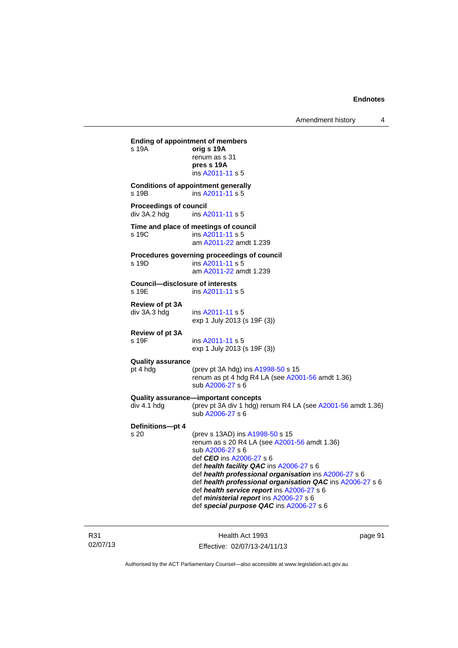**Ending of appointment of members**  s 19A **orig s 19A** renum as s 31 **pres s 19A**  ins [A2011-11](http://www.legislation.act.gov.au/a/2011-11) s 5 **Conditions of appointment generally**  s 19B ins [A2011-11](http://www.legislation.act.gov.au/a/2011-11) s 5 **Proceedings of council<br>div 3A.2 hdg ins A.** ins [A2011-11](http://www.legislation.act.gov.au/a/2011-11) s 5 **Time and place of meetings of council**  s 19C ins [A2011-11](http://www.legislation.act.gov.au/a/2011-11) s 5 am [A2011-22](http://www.legislation.act.gov.au/a/2011-22) amdt 1.239 **Procedures governing proceedings of council**  s 19D ins [A2011-11](http://www.legislation.act.gov.au/a/2011-11) s 5 am [A2011-22](http://www.legislation.act.gov.au/a/2011-22) amdt 1.239 **Council—disclosure of interests**  ins [A2011-11](http://www.legislation.act.gov.au/a/2011-11) s 5 **Review of pt 3A**  div 3A.3 hdg ins [A2011-11](http://www.legislation.act.gov.au/a/2011-11) s 5 exp 1 July 2013 (s 19F (3)) **Review of pt 3A**  s 19F ins [A2011-11](http://www.legislation.act.gov.au/a/2011-11) s 5 exp 1 July 2013 (s 19F (3)) **Quality assurance** pt 4 hdg (prev pt 3A hdg) ins [A1998-50](http://www.legislation.act.gov.au/a/1998-50) s 15 renum as pt 4 hdg R4 LA (see [A2001-56](http://www.legislation.act.gov.au/a/2001-56) amdt 1.36) sub [A2006-27](http://www.legislation.act.gov.au/a/2006-27) s 6 **Quality assurance—important concepts**  div 4.1 hdg (prev pt 3A div 1 hdg) renum R4 LA (see [A2001-56](http://www.legislation.act.gov.au/a/2001-56) amdt 1.36) sub [A2006-27](http://www.legislation.act.gov.au/a/2006-27) s 6 **Definitions—pt 4** (prev s 13AD) ins [A1998-50](http://www.legislation.act.gov.au/a/1998-50) s 15 renum as s 20 R4 LA (see [A2001-56](http://www.legislation.act.gov.au/a/2001-56) amdt 1.36) sub [A2006-27](http://www.legislation.act.gov.au/a/2006-27) s 6 def *CEO* ins [A2006-27](http://www.legislation.act.gov.au/a/2006-27) s 6 def *health facility QAC* ins [A2006-27](http://www.legislation.act.gov.au/a/2006-27) s 6 def *health professional organisation* ins [A2006-27](http://www.legislation.act.gov.au/a/2006-27) s 6 def *health professional organisation QAC* ins [A2006-27](http://www.legislation.act.gov.au/a/2006-27) s 6 def *health service report* ins [A2006-27](http://www.legislation.act.gov.au/a/2006-27) s 6 def *ministerial report* ins [A2006-27](http://www.legislation.act.gov.au/a/2006-27) s 6 def *special purpose QAC* ins [A2006-27](http://www.legislation.act.gov.au/a/2006-27) s 6

R31 02/07/13

Health Act 1993 Effective: 02/07/13-24/11/13 page 91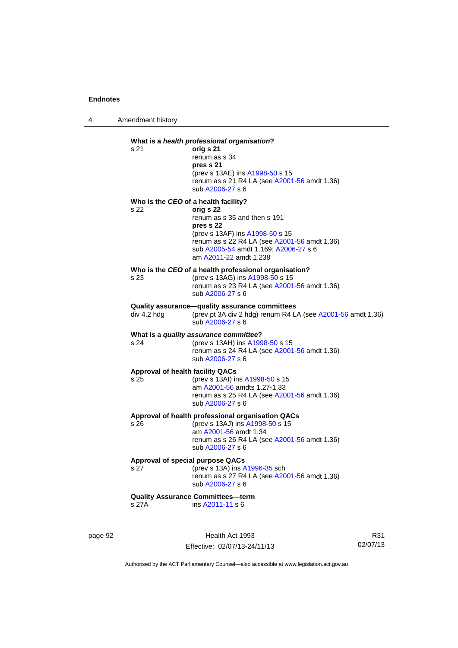4 Amendment history

# **What is a** *health professional organisation***?** s 21 **orig s 21**  renum as s 34 **pres s 21**  (prev s 13AE) ins [A1998-50](http://www.legislation.act.gov.au/a/1998-50) s 15 renum as s 21 R4 LA (see [A2001-56](http://www.legislation.act.gov.au/a/2001-56) amdt 1.36) sub [A2006-27](http://www.legislation.act.gov.au/a/2006-27) s 6 **Who is the** *CEO* **of a health facility?** s 22 **orig s 22**  renum as s 35 and then s 191 **pres s 22**  (prev s 13AF) ins [A1998-50](http://www.legislation.act.gov.au/a/1998-50) s 15 renum as s 22 R4 LA (see [A2001-56](http://www.legislation.act.gov.au/a/2001-56) amdt 1.36) sub [A2005-54](http://www.legislation.act.gov.au/a/2005-54) amdt 1.169; [A2006-27](http://www.legislation.act.gov.au/a/2006-27) s 6 am [A2011-22](http://www.legislation.act.gov.au/a/2011-22) amdt 1.238 **Who is the** *CEO* **of a health professional organisation?** s 23 (prev s 13AG) ins [A1998-50](http://www.legislation.act.gov.au/a/1998-50) s 15 renum as s 23 R4 LA (see [A2001-56](http://www.legislation.act.gov.au/a/2001-56) amdt 1.36) sub [A2006-27](http://www.legislation.act.gov.au/a/2006-27) s 6 **Quality assurance—quality assurance committees**  div 4.2 hdg (prev pt 3A div 2 hdg) renum R4 LA (see [A2001-56](http://www.legislation.act.gov.au/a/2001-56) amdt 1.36) sub [A2006-27](http://www.legislation.act.gov.au/a/2006-27) s 6 **What is a** *quality assurance committee***?** s 24 (prev s 13AH) ins [A1998-50](http://www.legislation.act.gov.au/a/1998-50) s 15 renum as s  $24$  R4 LA (see [A2001-56](http://www.legislation.act.gov.au/a/2001-56) amdt 1.36) sub [A2006-27](http://www.legislation.act.gov.au/a/2006-27) s 6 **Approval of health facility QACs** s 25 (prev s 13AI) ins [A1998-50](http://www.legislation.act.gov.au/a/1998-50) s 15 am [A2001-56](http://www.legislation.act.gov.au/a/2001-56) amdts 1.27-1.33 renum as s 25 R4 LA (see [A2001-56](http://www.legislation.act.gov.au/a/2001-56) amdt 1.36) sub [A2006-27](http://www.legislation.act.gov.au/a/2006-27) s 6 **Approval of health professional organisation QACs** s 26 (prev s 13AJ) ins [A1998-50](http://www.legislation.act.gov.au/a/1998-50) s 15 am [A2001-56](http://www.legislation.act.gov.au/a/2001-56) amdt 1.34 renum as s 26 R4 LA (see [A2001-56](http://www.legislation.act.gov.au/a/2001-56) amdt 1.36) sub [A2006-27](http://www.legislation.act.gov.au/a/2006-27) s 6 **Approval of special purpose QACs** s 27 (prev s 13A) ins [A1996-35](http://www.legislation.act.gov.au/a/1996-35) sch renum as s 27 R4 LA (see [A2001-56](http://www.legislation.act.gov.au/a/2001-56) amdt 1.36) sub [A2006-27](http://www.legislation.act.gov.au/a/2006-27) s 6 **Quality Assurance Committees—term**  s 27A ins [A2011-11](http://www.legislation.act.gov.au/a/2011-11) s 6

page 92 Health Act 1993 Effective: 02/07/13-24/11/13

R31 02/07/13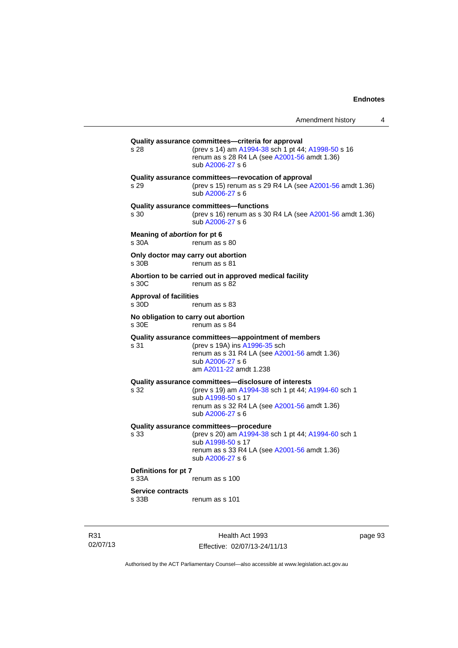| Amendment history |  |
|-------------------|--|
|-------------------|--|

**Quality assurance committees—criteria for approval** s 28 (prev s 14) am [A1994-38](http://www.legislation.act.gov.au/a/1994-38) sch 1 pt 44; [A1998-50](http://www.legislation.act.gov.au/a/1998-50) s 16 renum as s 28 R4 LA (see [A2001-56](http://www.legislation.act.gov.au/a/2001-56) amdt 1.36) sub [A2006-27](http://www.legislation.act.gov.au/a/2006-27) s 6 **Quality assurance committees—revocation of approval**  s 29 (prev s 15) renum as s 29 R4 LA (see [A2001-56](http://www.legislation.act.gov.au/a/2001-56) amdt 1.36) sub [A2006-27](http://www.legislation.act.gov.au/a/2006-27) s 6 **Quality assurance committees—functions**  s 30 (prev s 16) renum as s 30 R4 LA (see [A2001-56](http://www.legislation.act.gov.au/a/2001-56) amdt 1.36) sub [A2006-27](http://www.legislation.act.gov.au/a/2006-27) s 6 **Meaning of** *abortion* **for pt 6**  s 30A renum as s 80 **Only doctor may carry out abortion**  s 30B renum as s 81 **Abortion to be carried out in approved medical facility**  renum as s 82 **Approval of facilities**  s 30D renum as s 83 **No obligation to carry out abortion**  renum as s 84 **Quality assurance committees—appointment of members** s 31 (prev s 19A) ins [A1996-35](http://www.legislation.act.gov.au/a/1996-35) sch renum as s 31 R4 LA (see [A2001-56](http://www.legislation.act.gov.au/a/2001-56) amdt 1.36) sub [A2006-27](http://www.legislation.act.gov.au/a/2006-27) s 6 am [A2011-22](http://www.legislation.act.gov.au/a/2011-22) amdt 1.238 **Quality assurance committees—disclosure of interests** s 32 (prev s 19) am [A1994-38](http://www.legislation.act.gov.au/a/1994-38) sch 1 pt 44; [A1994-60](http://www.legislation.act.gov.au/a/1994-60) sch 1 sub [A1998-50](http://www.legislation.act.gov.au/a/1998-50) s 17 renum as s 32 R4 LA (see [A2001-56](http://www.legislation.act.gov.au/a/2001-56) amdt 1.36) sub [A2006-27](http://www.legislation.act.gov.au/a/2006-27) s 6 **Quality assurance committees—procedure** (prev s 20) am [A1994-38](http://www.legislation.act.gov.au/a/1994-38) sch 1 pt 44; [A1994-60](http://www.legislation.act.gov.au/a/1994-60) sch 1 sub [A1998-50](http://www.legislation.act.gov.au/a/1998-50) s 17 renum as s 33 R4 LA (see [A2001-56](http://www.legislation.act.gov.au/a/2001-56) amdt 1.36) sub [A2006-27](http://www.legislation.act.gov.au/a/2006-27) s 6 **Definitions for pt 7**  s 33A renum as s 100 **Service contracts**  s 33B renum as s 101

R31 02/07/13

Health Act 1993 Effective: 02/07/13-24/11/13 page 93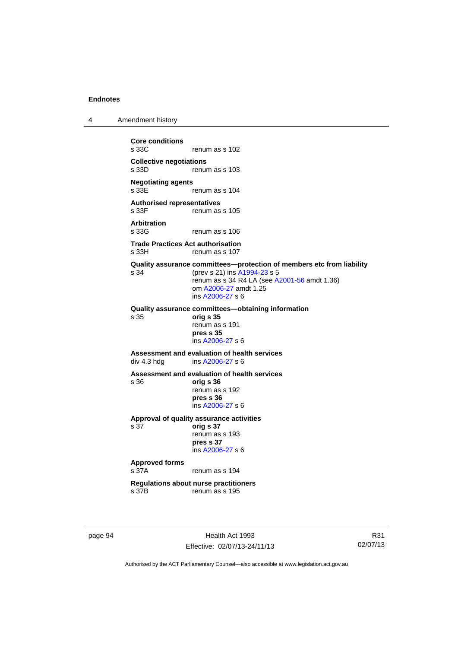4 Amendment history

**Core conditions**  renum as s 102 **Collective negotiations**  renum as s 103 **Negotiating agents**  renum as s 104 **Authorised representatives**  s 33F renum as s 105 **Arbitration**  renum as s 106 **Trade Practices Act authorisation**  s 33H renum as s 107 **Quality assurance committees—protection of members etc from liability** s 34 (prev s 21) ins [A1994-23](http://www.legislation.act.gov.au/a/1994-23) s 5 renum as s 34 R4 LA (see [A2001-56](http://www.legislation.act.gov.au/a/2001-56) amdt 1.36) om [A2006-27](http://www.legislation.act.gov.au/a/2006-27) amdt 1.25 ins [A2006-27](http://www.legislation.act.gov.au/a/2006-27) s 6 **Quality assurance committees—obtaining information** s 35 **orig s 35**  renum as s 191 **pres s 35**  ins [A2006-27](http://www.legislation.act.gov.au/a/2006-27) s 6 **Assessment and evaluation of health services**  div 4.3 hdg ins [A2006-27](http://www.legislation.act.gov.au/a/2006-27) s 6 **Assessment and evaluation of health services**  s 36 **orig s 36**  renum as s 192 **pres s 36**  ins [A2006-27](http://www.legislation.act.gov.au/a/2006-27) s 6 **Approval of quality assurance activities**  s 37 **orig s 37**  renum as s 193 **pres s 37**  ins [A2006-27](http://www.legislation.act.gov.au/a/2006-27) s 6 **Approved forms**  s 37A renum as s 194 **Regulations about nurse practitioners**  s 37B renum as s 195

page 94 Health Act 1993 Effective: 02/07/13-24/11/13

R31 02/07/13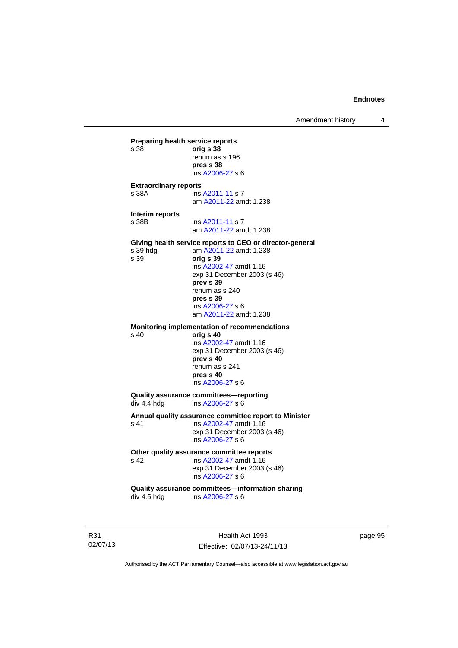Amendment history 4

**Preparing health service reports**<br>
s 38 orig **s 38** s 38 **orig s 38** renum as s 196 **pres s 38**  ins [A2006-27](http://www.legislation.act.gov.au/a/2006-27) s 6 **Extraordinary reports**  s 38A ins [A2011-11](http://www.legislation.act.gov.au/a/2011-11) s 7 am [A2011-22](http://www.legislation.act.gov.au/a/2011-22) amdt 1.238 **Interim reports**  s 38B ins [A2011-11](http://www.legislation.act.gov.au/a/2011-11) s 7 am [A2011-22](http://www.legislation.act.gov.au/a/2011-22) amdt 1.238 **Giving health service reports to CEO or director-general**<br>s 39 hdg am A2011-22 amdt 1.238 am [A2011-22](http://www.legislation.act.gov.au/a/2011-22) amdt 1.238 s 39 **orig s 39**  ins [A2002-47](http://www.legislation.act.gov.au/a/2002-47) amdt 1.16 exp 31 December 2003 (s 46) **prev s 39**  renum as s 240 **pres s 39**  ins [A2006-27](http://www.legislation.act.gov.au/a/2006-27) s 6 am [A2011-22](http://www.legislation.act.gov.au/a/2011-22) amdt 1.238 **Monitoring implementation of recommendations**  s 40 **orig s 40**  ins [A2002-47](http://www.legislation.act.gov.au/a/2002-47) amdt 1.16 exp 31 December 2003 (s 46) **prev s 40**  renum as s 241 **pres s 40**  ins [A2006-27](http://www.legislation.act.gov.au/a/2006-27) s 6 **Quality assurance committees—reporting**<br>div 4.4 hdg ins A2006-27 s 6 ins [A2006-27](http://www.legislation.act.gov.au/a/2006-27) s 6 **Annual quality assurance committee report to Minister**  s 41 **ins A2002-47** amdt 1.16 exp 31 December 2003 (s 46) ins [A2006-27](http://www.legislation.act.gov.au/a/2006-27) s 6 Other quality assurance committee reports<br>
s 42 **ins A2002-47** amdt 1.16 ins [A2002-47](http://www.legislation.act.gov.au/a/2002-47) amdt 1.16 exp 31 December 2003 (s 46) ins [A2006-27](http://www.legislation.act.gov.au/a/2006-27) s 6 **Quality assurance committees—information sharing**  div 4.5 hdg ins [A2006-27](http://www.legislation.act.gov.au/a/2006-27) s 6

R31 02/07/13

Health Act 1993 Effective: 02/07/13-24/11/13 page 95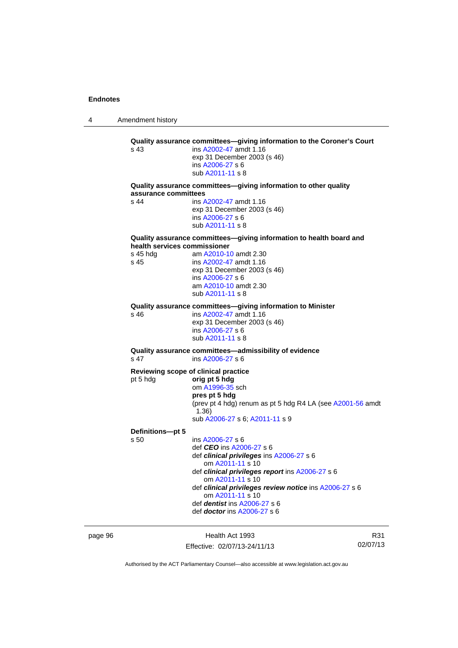4 Amendment history page 96 Health Act 1993 **Quality assurance committees—giving information to the Coroner's Court**  s 43 ins [A2002-47](http://www.legislation.act.gov.au/a/2002-47) amdt 1.16 exp 31 December 2003 (s 46) ins [A2006-27](http://www.legislation.act.gov.au/a/2006-27) s 6 sub [A2011-11](http://www.legislation.act.gov.au/a/2011-11) s 8 **Quality assurance committees—giving information to other quality assurance committees**  s 44 ins [A2002-47](http://www.legislation.act.gov.au/a/2002-47) amdt 1.16 exp 31 December 2003 (s 46) ins [A2006-27](http://www.legislation.act.gov.au/a/2006-27) s 6 sub [A2011-11](http://www.legislation.act.gov.au/a/2011-11) s 8 **Quality assurance committees—giving information to health board and health services commissioner**  s 45 hdg am [A2010-10](http://www.legislation.act.gov.au/a/2010-10) amdt 2.30 s 45 ins [A2002-47](http://www.legislation.act.gov.au/a/2002-47) amdt 1.16 exp 31 December 2003 (s 46) ins [A2006-27](http://www.legislation.act.gov.au/a/2006-27) s 6 am [A2010-10](http://www.legislation.act.gov.au/a/2010-10) amdt 2.30 sub [A2011-11](http://www.legislation.act.gov.au/a/2011-11) s 8 **Quality assurance committees—giving information to Minister**  s 46 ins [A2002-47](http://www.legislation.act.gov.au/a/2002-47) amdt 1.16 exp 31 December 2003 (s 46) ins [A2006-27](http://www.legislation.act.gov.au/a/2006-27) s 6 sub [A2011-11](http://www.legislation.act.gov.au/a/2011-11) s 8 **Quality assurance committees—admissibility of evidence**  s 47 ins [A2006-27](http://www.legislation.act.gov.au/a/2006-27) s 6 **Reviewing scope of clinical practice**  pt 5 hdg **orig pt 5 hdg** om [A1996-35](http://www.legislation.act.gov.au/a/1996-35) sch **pres pt 5 hdg**  (prev pt 4 hdg) renum as pt 5 hdg R4 LA (see [A2001-56](http://www.legislation.act.gov.au/a/2001-56) amdt 1.36) sub [A2006-27](http://www.legislation.act.gov.au/a/2006-27) s 6; [A2011-11](http://www.legislation.act.gov.au/a/2011-11) s 9 **Definitions—pt 5**  s 50 ins [A2006-27](http://www.legislation.act.gov.au/a/2006-27) s 6 def *CEO* ins [A2006-27](http://www.legislation.act.gov.au/a/2006-27) s 6 def *clinical privileges* ins [A2006-27](http://www.legislation.act.gov.au/a/2006-27) s 6 om [A2011-11](http://www.legislation.act.gov.au/a/2011-11) s 10 def *clinical privileges report* ins [A2006-27](http://www.legislation.act.gov.au/a/2006-27) s 6 om [A2011-11](http://www.legislation.act.gov.au/a/2011-11) s 10 def *clinical privileges review notice* ins [A2006-27](http://www.legislation.act.gov.au/a/2006-27) s 6 om [A2011-11](http://www.legislation.act.gov.au/a/2011-11) s 10 def *dentist* ins [A2006-27](http://www.legislation.act.gov.au/a/2006-27) s 6 def *doctor* ins [A2006-27](http://www.legislation.act.gov.au/a/2006-27) s 6

Effective: 02/07/13-24/11/13

R31 02/07/13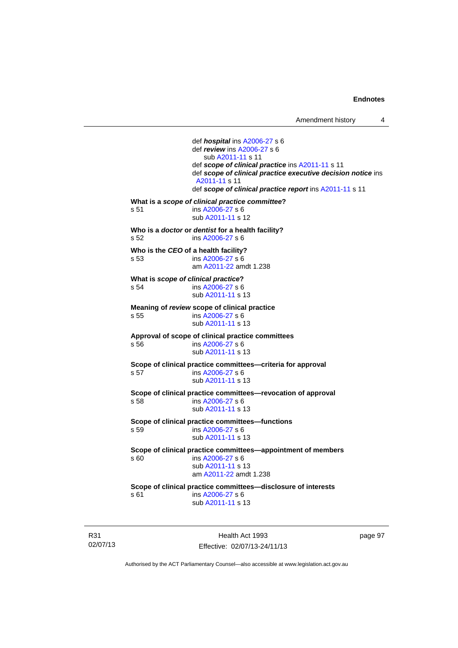def *hospital* ins [A2006-27](http://www.legislation.act.gov.au/a/2006-27) s 6 def *review* ins [A2006-27](http://www.legislation.act.gov.au/a/2006-27) s 6 sub [A2011-11](http://www.legislation.act.gov.au/a/2011-11) s 11 def *scope of clinical practice* ins [A2011-11](http://www.legislation.act.gov.au/a/2011-11) s 11 def *scope of clinical practice executive decision notice* ins [A2011-11](http://www.legislation.act.gov.au/a/2011-11) s 11 def *scope of clinical practice report* ins [A2011-11](http://www.legislation.act.gov.au/a/2011-11) s 11 **What is a** *scope of clinical practice committee***?**  s 51 ins [A2006-27](http://www.legislation.act.gov.au/a/2006-27) s 6 sub [A2011-11](http://www.legislation.act.gov.au/a/2011-11) s 12 **Who is a** *doctor* **or** *dentist* **for a health facility?**  s 52 ins [A2006-27](http://www.legislation.act.gov.au/a/2006-27) s 6 **Who is the** *CEO* **of a health facility?**  s 53 ins [A2006-27](http://www.legislation.act.gov.au/a/2006-27) s 6 am [A2011-22](http://www.legislation.act.gov.au/a/2011-22) amdt 1.238 **What is** *scope of clinical practice***?**  s 54 ins [A2006-27](http://www.legislation.act.gov.au/a/2006-27) s 6 sub [A2011-11](http://www.legislation.act.gov.au/a/2011-11) s 13 **Meaning of** *review* **scope of clinical practice**  s 55 ins [A2006-27](http://www.legislation.act.gov.au/a/2006-27) s 6 sub [A2011-11](http://www.legislation.act.gov.au/a/2011-11) s 13 **Approval of scope of clinical practice committees**  s 56 ins [A2006-27](http://www.legislation.act.gov.au/a/2006-27) s 6 sub [A2011-11](http://www.legislation.act.gov.au/a/2011-11) s 13 **Scope of clinical practice committees—criteria for approval**  s 57 ins [A2006-27](http://www.legislation.act.gov.au/a/2006-27) s 6 sub [A2011-11](http://www.legislation.act.gov.au/a/2011-11) s 13 **Scope of clinical practice committees—revocation of approval**  s 58 ins [A2006-27](http://www.legislation.act.gov.au/a/2006-27) s 6 sub [A2011-11](http://www.legislation.act.gov.au/a/2011-11) s 13 **Scope of clinical practice committees—functions**  s 59 ins [A2006-27](http://www.legislation.act.gov.au/a/2006-27) s 6 sub [A2011-11](http://www.legislation.act.gov.au/a/2011-11) s 13 **Scope of clinical practice committees—appointment of members**  ins [A2006-27](http://www.legislation.act.gov.au/a/2006-27) s 6 sub [A2011-11](http://www.legislation.act.gov.au/a/2011-11) s 13 am [A2011-22](http://www.legislation.act.gov.au/a/2011-22) amdt 1.238 **Scope of clinical practice committees—disclosure of interests**  s 61 ins [A2006-27](http://www.legislation.act.gov.au/a/2006-27) s 6 sub [A2011-11](http://www.legislation.act.gov.au/a/2011-11) s 13

R31 02/07/13

Health Act 1993 Effective: 02/07/13-24/11/13 page 97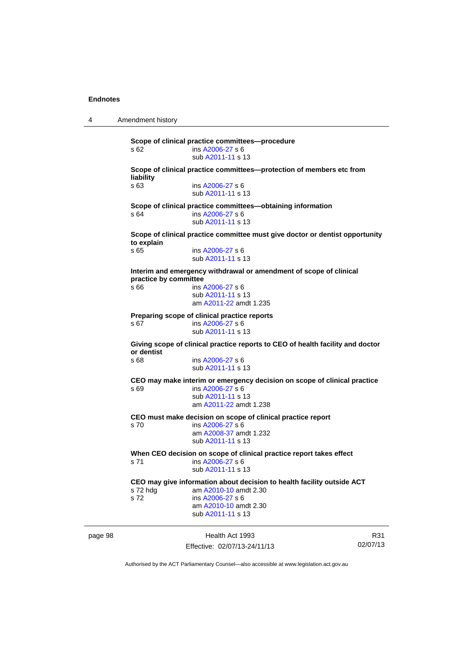4 Amendment history

page 98 Health Act 1993 R31 **Scope of clinical practice committees—procedure**  s 62 ins [A2006-27](http://www.legislation.act.gov.au/a/2006-27) s 6 sub [A2011-11](http://www.legislation.act.gov.au/a/2011-11) s 13 **Scope of clinical practice committees—protection of members etc from liability**  s 63 ins [A2006-27](http://www.legislation.act.gov.au/a/2006-27) s 6 sub [A2011-11](http://www.legislation.act.gov.au/a/2011-11) s 13 **Scope of clinical practice committees—obtaining information**  s 64 ins [A2006-27](http://www.legislation.act.gov.au/a/2006-27) s 6 sub [A2011-11](http://www.legislation.act.gov.au/a/2011-11) s 13 **Scope of clinical practice committee must give doctor or dentist opportunity to explain**  ins [A2006-27](http://www.legislation.act.gov.au/a/2006-27) s 6 sub [A2011-11](http://www.legislation.act.gov.au/a/2011-11) s 13 **Interim and emergency withdrawal or amendment of scope of clinical practice by committee**  s 66 ins [A2006-27](http://www.legislation.act.gov.au/a/2006-27) s 6 sub [A2011-11](http://www.legislation.act.gov.au/a/2011-11) s 13 am [A2011-22](http://www.legislation.act.gov.au/a/2011-22) amdt 1.235 **Preparing scope of clinical practice reports**  s 67 ins [A2006-27](http://www.legislation.act.gov.au/a/2006-27) s 6 sub [A2011-11](http://www.legislation.act.gov.au/a/2011-11) s 13 **Giving scope of clinical practice reports to CEO of health facility and doctor or dentist**  s 68 ins [A2006-27](http://www.legislation.act.gov.au/a/2006-27) s 6 sub [A2011-11](http://www.legislation.act.gov.au/a/2011-11) s 13 **CEO may make interim or emergency decision on scope of clinical practice**  s 69 ins [A2006-27](http://www.legislation.act.gov.au/a/2006-27) s 6 sub [A2011-11](http://www.legislation.act.gov.au/a/2011-11) s 13 am [A2011-22](http://www.legislation.act.gov.au/a/2011-22) amdt 1.238 **CEO must make decision on scope of clinical practice report**  s 70 ins [A2006-27](http://www.legislation.act.gov.au/a/2006-27) s 6 am [A2008-37](http://www.legislation.act.gov.au/a/2008-37) amdt 1.232 sub [A2011-11](http://www.legislation.act.gov.au/a/2011-11) s 13 **When CEO decision on scope of clinical practice report takes effect**  s 71 ins [A2006-27](http://www.legislation.act.gov.au/a/2006-27) s 6 sub [A2011-11](http://www.legislation.act.gov.au/a/2011-11) s 13 **CEO may give information about decision to health facility outside ACT**  s 72 hdg am [A2010-10](http://www.legislation.act.gov.au/a/2010-10) amdt 2.30 s 72 ins [A2006-27](http://www.legislation.act.gov.au/a/2006-27) s 6 am [A2010-10](http://www.legislation.act.gov.au/a/2010-10) amdt 2.30 sub [A2011-11](http://www.legislation.act.gov.au/a/2011-11) s 13

Effective: 02/07/13-24/11/13

02/07/13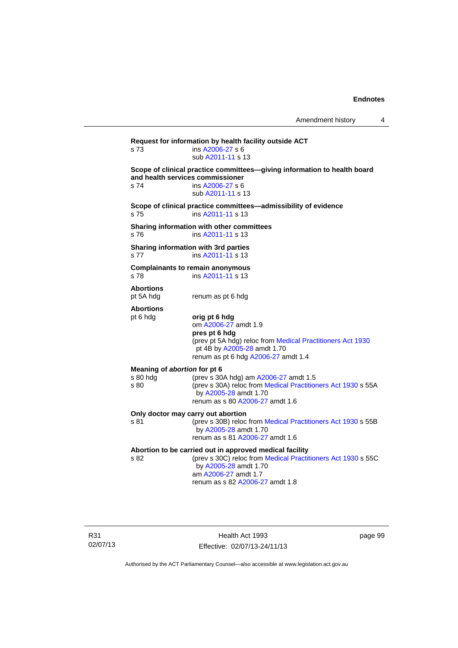**Request for information by health facility outside ACT**  s 73 ins [A2006-27](http://www.legislation.act.gov.au/a/2006-27) s 6 sub [A2011-11](http://www.legislation.act.gov.au/a/2011-11) s 13 **Scope of clinical practice committees—giving information to health board and health services commissioner**  s 74 ins [A2006-27](http://www.legislation.act.gov.au/a/2006-27) s 6 sub [A2011-11](http://www.legislation.act.gov.au/a/2011-11) s 13 **Scope of clinical practice committees—admissibility of evidence**  s 75 ins [A2011-11](http://www.legislation.act.gov.au/a/2011-11) s 13 **Sharing information with other committees**  s 76 ins [A2011-11](http://www.legislation.act.gov.au/a/2011-11) s 13 **Sharing information with 3rd parties**  s 77 ins [A2011-11](http://www.legislation.act.gov.au/a/2011-11) s 13 **Complainants to remain anonymous**  s 78 ins [A2011-11](http://www.legislation.act.gov.au/a/2011-11) s 13 **Abortions**  pt 5A hdg renum as pt 6 hdg **Abortions**  pt 6 hdg **orig pt 6 hdg**  om [A2006-27](http://www.legislation.act.gov.au/a/2006-27) amdt 1.9 **pres pt 6 hdg**  (prev pt 5A hdg) reloc from [Medical Practitioners Act 1930](http://www.legislation.act.gov.au/a/1930-13) pt 4B by [A2005-28](http://www.legislation.act.gov.au/a/2005-28) amdt 1.70 renum as pt 6 hdg [A2006-27](http://www.legislation.act.gov.au/a/2006-27) amdt 1.4 **Meaning of** *abortion* **for pt 6**  s 80 hdg (prev s 30A hdg) am [A2006-27](http://www.legislation.act.gov.au/a/2006-27) amdt 1.5<br>s 80 (prev s 30A) reloc from Medical Practition (prev s 30A) reloc from [Medical Practitioners Act 1930](http://www.legislation.act.gov.au/a/1930-13) s 55A by [A2005-28](http://www.legislation.act.gov.au/a/2005-28) amdt 1.70 renum as s 80 [A2006-27](http://www.legislation.act.gov.au/a/2006-27) amdt 1.6 **Only doctor may carry out abortion**  s 81 (prev s 30B) reloc from [Medical Practitioners Act 1930](http://www.legislation.act.gov.au/a/1930-13) s 55B by [A2005-28](http://www.legislation.act.gov.au/a/2005-28) amdt 1.70 renum as s 81 [A2006-27](http://www.legislation.act.gov.au/a/2006-27) amdt 1.6 **Abortion to be carried out in approved medical facility**  by [A2005-28](http://www.legislation.act.gov.au/a/2005-28) amdt 1.70

(prev s 30C) reloc from [Medical Practitioners Act 1930](http://www.legislation.act.gov.au/a/1930-13) s 55C am [A2006-27](http://www.legislation.act.gov.au/a/2006-27) amdt 1.7 renum as s 82 [A2006-27](http://www.legislation.act.gov.au/a/2006-27) amdt 1.8

R31 02/07/13

Health Act 1993 Effective: 02/07/13-24/11/13 page 99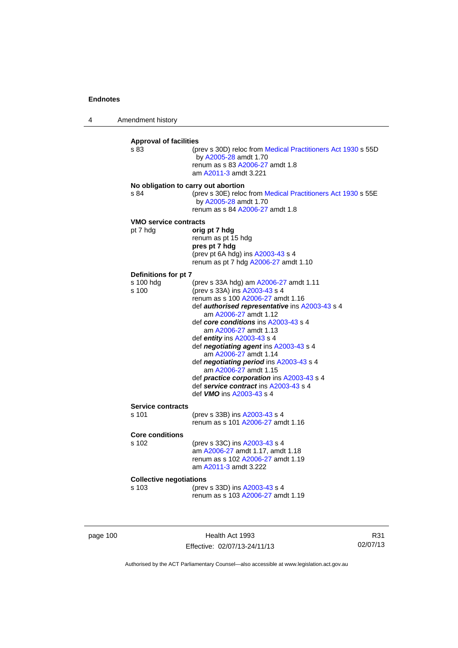4 Amendment history

| s 83                                     | (prev s 30D) reloc from Medical Practitioners Act 1930 s 55D<br>by A2005-28 amdt 1.70<br>renum as s 83 A2006-27 amdt 1.8<br>am A2011-3 amdt 3.221                                                                                                                                                                                                                                                                                                                                                                                                       |
|------------------------------------------|---------------------------------------------------------------------------------------------------------------------------------------------------------------------------------------------------------------------------------------------------------------------------------------------------------------------------------------------------------------------------------------------------------------------------------------------------------------------------------------------------------------------------------------------------------|
| s 84                                     | No obligation to carry out abortion<br>(prev s 30E) reloc from Medical Practitioners Act 1930 s 55E<br>by A2005-28 amdt 1.70<br>renum as s 84 A2006-27 amdt 1.8                                                                                                                                                                                                                                                                                                                                                                                         |
| <b>VMO service contracts</b><br>pt 7 hdg | orig pt 7 hdg<br>renum as pt 15 hdg<br>pres pt 7 hdg<br>(prev pt 6A hdg) ins A2003-43 s 4<br>renum as pt 7 hdg A2006-27 amdt 1.10                                                                                                                                                                                                                                                                                                                                                                                                                       |
| Definitions for pt 7                     |                                                                                                                                                                                                                                                                                                                                                                                                                                                                                                                                                         |
| s 100 hdg<br>s 100                       | (prev s 33A hdg) am A2006-27 amdt 1.11<br>(prev s 33A) ins A2003-43 s 4<br>renum as s 100 A2006-27 amdt 1.16<br>def authorised representative ins A2003-43 s 4<br>am A2006-27 amdt 1.12<br>def core conditions ins A2003-43 s 4<br>am A2006-27 amdt 1.13<br>def entity ins A2003-43 s 4<br>def negotiating agent ins A2003-43 s 4<br>am A2006-27 amdt 1.14<br>def negotiating period ins A2003-43 s 4<br>am A2006-27 amdt 1.15<br>def practice corporation ins A2003-43 s 4<br>def service contract ins A2003-43 s 4<br>def <i>VMO</i> ins A2003-43 s 4 |
| <b>Service contracts</b>                 |                                                                                                                                                                                                                                                                                                                                                                                                                                                                                                                                                         |
| s 101                                    | (prev s 33B) ins A2003-43 s 4<br>renum as s 101 A2006-27 amdt 1.16                                                                                                                                                                                                                                                                                                                                                                                                                                                                                      |
| <b>Core conditions</b>                   |                                                                                                                                                                                                                                                                                                                                                                                                                                                                                                                                                         |
| s 102                                    | (prev s 33C) ins A2003-43 s 4<br>am A2006-27 amdt 1.17, amdt 1.18<br>renum as s 102 A2006-27 amdt 1.19<br>am A2011-3 amdt 3.222                                                                                                                                                                                                                                                                                                                                                                                                                         |
| <b>Collective negotiations</b>           |                                                                                                                                                                                                                                                                                                                                                                                                                                                                                                                                                         |
| s 103                                    | (prev s 33D) ins A2003-43 s 4<br>renum as s 103 A2006-27 amdt 1.19                                                                                                                                                                                                                                                                                                                                                                                                                                                                                      |

page 100 **Health Act 1993** Effective: 02/07/13-24/11/13

R31 02/07/13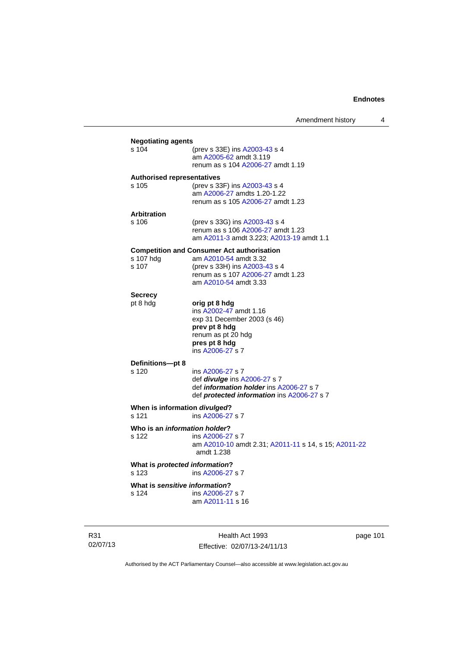|                           | Amendment history                                                                                                                                  | 4 |
|---------------------------|----------------------------------------------------------------------------------------------------------------------------------------------------|---|
| <b>Negotiating agents</b> |                                                                                                                                                    |   |
| s 104                     | (prev s 33E) ins A2003-43 s 4<br>am A2005-62 amdt 3.119<br>renum as s 104 A2006-27 amdt 1.19                                                       |   |
|                           | <b>Authorised representatives</b>                                                                                                                  |   |
| s 105                     | (prev s 33F) ins A2003-43 s 4<br>am A2006-27 amdts 1.20-1.22<br>renum as s 105 A2006-27 amdt 1.23                                                  |   |
| <b>Arbitration</b>        |                                                                                                                                                    |   |
| s 106                     | (prev s 33G) ins A2003-43 s 4<br>renum as s 106 A2006-27 amdt 1.23<br>am A2011-3 amdt 3.223; A2013-19 amdt 1.1                                     |   |
|                           | <b>Competition and Consumer Act authorisation</b>                                                                                                  |   |
| s 107 hdg<br>s 107        | am A2010-54 amdt 3.32<br>(prev s 33H) ins A2003-43 s 4<br>renum as s 107 A2006-27 amdt 1.23<br>am A2010-54 amdt 3.33                               |   |
| <b>Secrecy</b>            |                                                                                                                                                    |   |
| pt 8 hdg                  | orig pt 8 hdg<br>ins A2002-47 amdt 1.16<br>exp 31 December 2003 (s 46)<br>prev pt 8 hdg<br>renum as pt 20 hdg<br>pres pt 8 hdg<br>ins A2006-27 s 7 |   |
| Definitions-pt 8          |                                                                                                                                                    |   |
| s 120                     | ins A2006-27 s 7<br>def <i>divulge</i> ins A2006-27 s 7<br>def information holder ins A2006-27 s 7<br>def protected information ins A2006-27 s 7   |   |
| s 121                     | When is information <i>divulged</i> ?<br>ins A2006-27 s 7                                                                                          |   |
| s 122                     | Who is an information holder?<br>ins A2006-27 s 7<br>am A2010-10 amdt 2.31; A2011-11 s 14, s 15; A2011-22<br>amdt 1.238                            |   |
| s 123                     | What is protected information?<br>ins A2006-27 s 7                                                                                                 |   |
|                           | What is sensitive information?                                                                                                                     |   |
| s 124                     | ins A2006-27 s 7<br>am A2011-11 s 16                                                                                                               |   |
|                           |                                                                                                                                                    |   |

R31 02/07/13

Health Act 1993 Effective: 02/07/13-24/11/13 page 101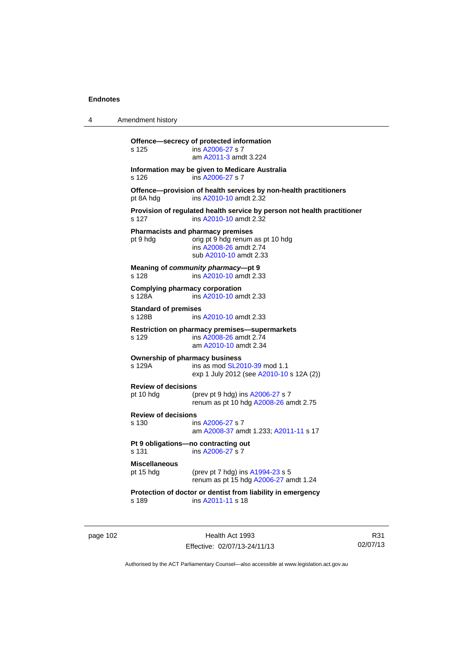| 4 | Amendment history |
|---|-------------------|
|---|-------------------|

**Offence—secrecy of protected information**  s 125 ins [A2006-27](http://www.legislation.act.gov.au/a/2006-27) s 7 am [A2011-3](http://www.legislation.act.gov.au/a/2011-3) amdt 3.224 **Information may be given to Medicare Australia**  s 126 ins [A2006-27](http://www.legislation.act.gov.au/a/2006-27) s 7 **Offence—provision of health services by non-health practitioners**  pt 8A hdg ins [A2010-10](http://www.legislation.act.gov.au/a/2010-10) amdt 2.32 **Provision of regulated health service by person not health practitioner**  s 127 ins [A2010-10](http://www.legislation.act.gov.au/a/2010-10) amdt 2.32 **Pharmacists and pharmacy premises**  pt 9 hdg orig pt 9 hdg renum as pt 10 hdg ins [A2008-26](http://www.legislation.act.gov.au/a/2008-26) amdt 2.74 sub [A2010-10](http://www.legislation.act.gov.au/a/2010-10) amdt 2.33 **Meaning of** *community pharmacy***—pt 9**  s 128 ins [A2010-10](http://www.legislation.act.gov.au/a/2010-10) amdt 2.33 **Complying pharmacy corporation**  s 128A ins [A2010-10](http://www.legislation.act.gov.au/a/2010-10) amdt 2.33 **Standard of premises**  s 128B **ins [A2010-10](http://www.legislation.act.gov.au/a/2010-10) amdt 2.33 Restriction on pharmacy premises—supermarkets**  s 129 ins [A2008-26](http://www.legislation.act.gov.au/a/2008-26) amdt 2.74 am [A2010-10](http://www.legislation.act.gov.au/a/2010-10) amdt 2.34 **Ownership of pharmacy business**<br>s 129A ins as mod SL20 ins as mod [SL2010-39](http://www.legislation.act.gov.au/sl/2010-39) mod 1.1 exp 1 July 2012 (see [A2010-10](http://www.legislation.act.gov.au/a/2010-10) s 12A (2)) **Review of decisions**  pt 10 hdg (prev pt 9 hdg) ins [A2006-27](http://www.legislation.act.gov.au/a/2006-27) s 7 renum as pt 10 hdg [A2008-26](http://www.legislation.act.gov.au/a/2008-26) amdt 2.75 **Review of decisions**  s 130 ins [A2006-27](http://www.legislation.act.gov.au/a/2006-27) s 7 am [A2008-37](http://www.legislation.act.gov.au/a/2008-37) amdt 1.233; [A2011-11](http://www.legislation.act.gov.au/a/2011-11) s 17 **Pt 9 obligations—no contracting out**  s 131 ins [A2006-27](http://www.legislation.act.gov.au/a/2006-27) s 7 **Miscellaneous** pt 15 hdg (prev pt 7 hdg) ins [A1994-23](http://www.legislation.act.gov.au/a/1994-23) s 5 renum as pt 15 hdg [A2006-27](http://www.legislation.act.gov.au/a/2006-27) amdt 1.24 **Protection of doctor or dentist from liability in emergency**  s 189 ins [A2011-11](http://www.legislation.act.gov.au/a/2011-11) s 18

page 102 Health Act 1993 Effective: 02/07/13-24/11/13

R31 02/07/13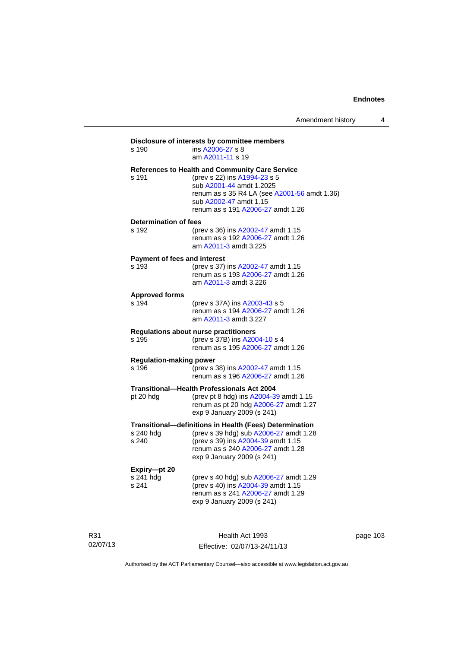# **Disclosure of interests by committee members**  s 190 ins [A2006-27](http://www.legislation.act.gov.au/a/2006-27) s 8 am [A2011-11](http://www.legislation.act.gov.au/a/2011-11) s 19 **References to Health and Community Care Service**  s 191 (prev s 22) ins [A1994-23](http://www.legislation.act.gov.au/a/1994-23) s 5 sub [A2001-44](http://www.legislation.act.gov.au/a/2001-44) amdt 1.2025 renum as s 35 R4 LA (see [A2001-56](http://www.legislation.act.gov.au/a/2001-56) amdt 1.36) sub [A2002-47](http://www.legislation.act.gov.au/a/2002-47) amdt 1.15 renum as s 191 [A2006-27](http://www.legislation.act.gov.au/a/2006-27) amdt 1.26 **Determination of fees**  s 192 (prev s 36) ins [A2002-47](http://www.legislation.act.gov.au/a/2002-47) amdt 1.15 renum as s 192 [A2006-27](http://www.legislation.act.gov.au/a/2006-27) amdt 1.26 am [A2011-3](http://www.legislation.act.gov.au/a/2011-3) amdt 3.225 **Payment of fees and interest**<br>s 193 (prev s 37) (prev s 37) ins [A2002-47](http://www.legislation.act.gov.au/a/2002-47) amdt 1.15 renum as s 193 [A2006-27](http://www.legislation.act.gov.au/a/2006-27) amdt 1.26 am [A2011-3](http://www.legislation.act.gov.au/a/2011-3) amdt 3.226 **Approved forms**  s 194 (prev s 37A) ins [A2003-43](http://www.legislation.act.gov.au/a/2003-43) s 5 renum as s 194 [A2006-27](http://www.legislation.act.gov.au/a/2006-27) amdt 1.26 am [A2011-3](http://www.legislation.act.gov.au/a/2011-3) amdt 3.227 **Regulations about nurse practitioners**  s 195 (prev s 37B) ins [A2004-10](http://www.legislation.act.gov.au/a/2004-10) s 4 renum as s 195 [A2006-27](http://www.legislation.act.gov.au/a/2006-27) amdt 1.26 **Regulation-making power**  s 196 (prev s 38) ins [A2002-47](http://www.legislation.act.gov.au/a/2002-47) amdt 1.15 renum as s 196 [A2006-27](http://www.legislation.act.gov.au/a/2006-27) amdt 1.26 **Transitional—Health Professionals Act 2004**  pt 20 hdg (prev pt 8 hdg) ins [A2004-39](http://www.legislation.act.gov.au/a/2004-39) amdt 1.15 renum as pt 20 hdg [A2006-27](http://www.legislation.act.gov.au/a/2006-27) amdt 1.27 exp 9 January 2009 (s 241) **Transitional—definitions in Health (Fees) Determination**  (prev s 39 hdg) sub [A2006-27](http://www.legislation.act.gov.au/a/2006-27) amdt 1.28 s 240 (prev s 39) ins [A2004-39](http://www.legislation.act.gov.au/a/2004-39) amdt 1.15 renum as s 240 [A2006-27](http://www.legislation.act.gov.au/a/2006-27) amdt 1.28 exp 9 January 2009 (s 241) **Expiry—pt 20**  (prev s 40 hdg) sub  $A2006-27$  amdt 1.29 s 241 (prev s 40) ins [A2004-39](http://www.legislation.act.gov.au/a/2004-39) amdt 1.15 renum as s 241 [A2006-27](http://www.legislation.act.gov.au/a/2006-27) amdt 1.29 exp 9 January 2009 (s 241)

R31 02/07/13

Health Act 1993 Effective: 02/07/13-24/11/13 page 103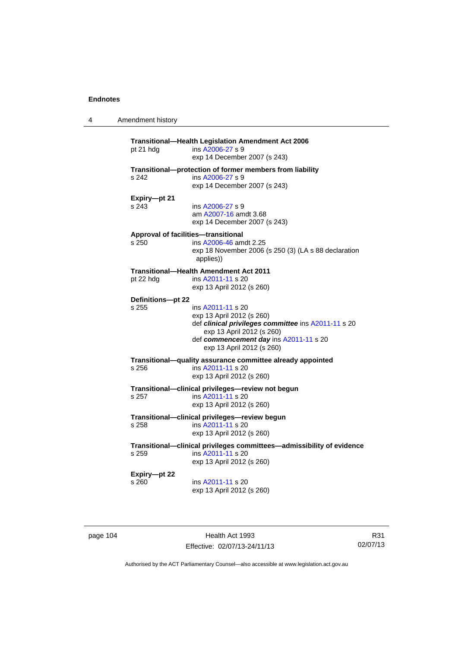4 Amendment history

| pt 21 hdg             | ins A2006-27 s 9<br>exp 14 December 2007 (s 243)                                                                                                                                                          |
|-----------------------|-----------------------------------------------------------------------------------------------------------------------------------------------------------------------------------------------------------|
| s 242                 | Transitional-protection of former members from liability<br>ins A2006-27 s 9<br>exp 14 December 2007 (s 243)                                                                                              |
| Expiry-pt 21<br>s 243 | ins A2006-27 s 9<br>am A2007-16 amdt 3.68<br>exp 14 December 2007 (s 243)                                                                                                                                 |
| s 250                 | Approval of facilities-transitional<br>ins A2006-46 amdt 2.25<br>exp 18 November 2006 (s 250 (3) (LA s 88 declaration<br>applies))                                                                        |
| pt 22 hdg             | <b>Transitional-Health Amendment Act 2011</b><br>ins A2011-11 s 20<br>exp 13 April 2012 (s 260)                                                                                                           |
| Definitions-pt 22     |                                                                                                                                                                                                           |
| s 255                 | ins A2011-11 s 20<br>exp 13 April 2012 (s 260)<br>def clinical privileges committee ins A2011-11 s 20<br>exp 13 April 2012 (s 260)<br>def commencement day ins A2011-11 s 20<br>exp 13 April 2012 (s 260) |
| s 256                 | Transitional-quality assurance committee already appointed<br>ins A2011-11 s 20<br>exp 13 April 2012 (s 260)                                                                                              |
| s 257                 | Transitional-clinical privileges-review not begun<br>ins A2011-11 s 20<br>exp 13 April 2012 (s 260)                                                                                                       |
| s 258                 | Transitional-clinical privileges-review begun<br>ins A2011-11 s 20<br>exp 13 April 2012 (s 260)                                                                                                           |
| s 259                 | Transitional-clinical privileges committees-admissibility of evidence<br>ins A2011-11 s 20<br>exp 13 April 2012 (s 260)                                                                                   |
| Expiry-pt 22<br>s 260 | ins A2011-11 s 20<br>exp 13 April 2012 (s 260)                                                                                                                                                            |

page 104 **Health Act 1993** Effective: 02/07/13-24/11/13

R31 02/07/13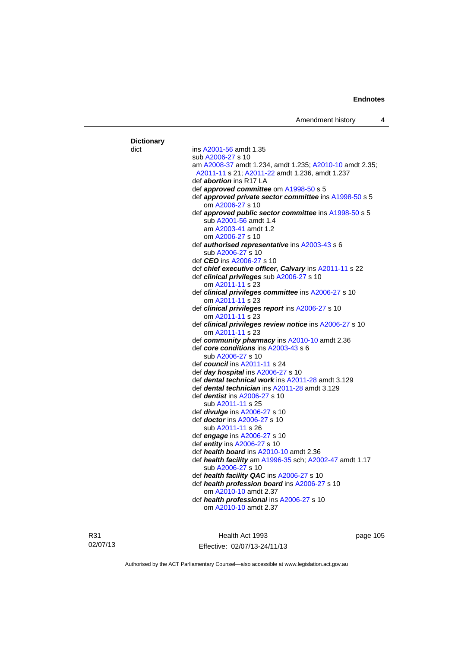| <b>Dictionary</b> |                                                                             |
|-------------------|-----------------------------------------------------------------------------|
| dict              | ins A2001-56 amdt 1.35                                                      |
|                   | sub A2006-27 s 10                                                           |
|                   | am A2008-37 amdt 1.234, amdt 1.235; A2010-10 amdt 2.35;                     |
|                   | A2011-11 s 21; A2011-22 amdt 1.236, amdt 1.237                              |
|                   | def <i>abortion</i> ins R17 LA                                              |
|                   | def <b>approved committee</b> om A1998-50 s 5                               |
|                   | def approved private sector committee ins A1998-50 s 5                      |
|                   | om A2006-27 s 10                                                            |
|                   | def approved public sector committee ins A1998-50 s 5                       |
|                   | sub A2001-56 amdt 1.4                                                       |
|                   | am A2003-41 amdt 1.2                                                        |
|                   | om A2006-27 s 10                                                            |
|                   | def authorised representative ins A2003-43 s 6                              |
|                   | sub A2006-27 s 10                                                           |
|                   | def <i>CEO</i> ins A2006-27 s 10                                            |
|                   | def chief executive officer, Calvary ins A2011-11 s 22                      |
|                   | def clinical privileges sub A2006-27 s 10                                   |
|                   | om A2011-11 s 23                                                            |
|                   | def clinical privileges committee ins A2006-27 s 10                         |
|                   | om A2011-11 s 23                                                            |
|                   | def clinical privileges report ins A2006-27 s 10                            |
|                   | om A2011-11 s 23                                                            |
|                   | def clinical privileges review notice ins A2006-27 s 10                     |
|                   | om A2011-11 s 23                                                            |
|                   | def community pharmacy ins A2010-10 amdt 2.36                               |
|                   | def core conditions ins A2003-43 s 6                                        |
|                   | sub A2006-27 s 10                                                           |
|                   | def council ins A2011-11 s 24                                               |
|                   | def day hospital ins A2006-27 s 10                                          |
|                   | def dental technical work ins A2011-28 amdt 3.129                           |
|                   | def <b>dental technician</b> ins A2011-28 amdt 3.129                        |
|                   | def <i>dentist</i> ins A2006-27 s 10                                        |
|                   | sub A2011-11 s 25                                                           |
|                   |                                                                             |
|                   | def <i>divulge</i> ins A2006-27 s 10<br>def <i>doctor</i> ins A2006-27 s 10 |
|                   |                                                                             |
|                   | sub A2011-11 s 26                                                           |
|                   | def engage ins A2006-27 s 10                                                |
|                   | def entity ins A2006-27 s 10                                                |
|                   | def health board ins A2010-10 amdt 2.36                                     |
|                   | def health facility am A1996-35 sch; A2002-47 amdt 1.17                     |
|                   | sub A2006-27 s 10                                                           |
|                   | def health facility QAC ins A2006-27 s 10                                   |
|                   | def health profession board ins A2006-27 s 10                               |
|                   | om A2010-10 amdt 2.37                                                       |
|                   | def health professional ins A2006-27 s 10<br>om A2010-10 amdt 2.37          |
|                   |                                                                             |

R31 02/07/13

Health Act 1993 Effective: 02/07/13-24/11/13 page 105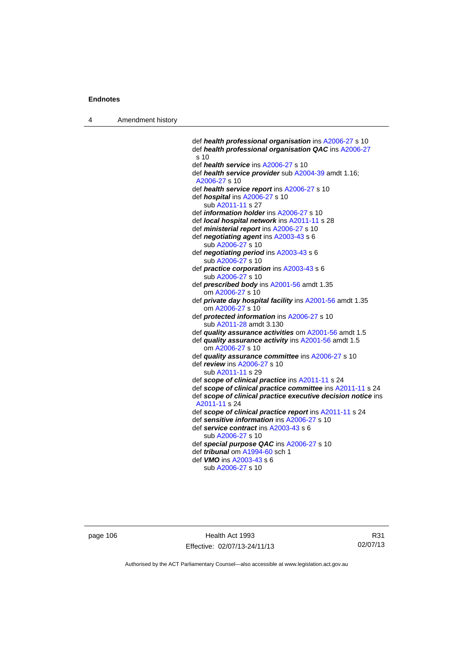4 Amendment history

 def *health professional organisation* ins [A2006-27](http://www.legislation.act.gov.au/a/2006-27) s 10 def *health professional organisation QAC* ins [A2006-27](http://www.legislation.act.gov.au/a/2006-27) s 10 def *health service* ins [A2006-27](http://www.legislation.act.gov.au/a/2006-27) s 10 def *health service provider* sub [A2004-39](http://www.legislation.act.gov.au/a/2004-39) amdt 1.16; [A2006-27](http://www.legislation.act.gov.au/a/2006-27) s 10 def *health service report* ins [A2006-27](http://www.legislation.act.gov.au/a/2006-27) s 10 def *hospital* ins [A2006-27](http://www.legislation.act.gov.au/a/2006-27) s 10 sub [A2011-11](http://www.legislation.act.gov.au/a/2011-11) s 27 def *information holder* ins [A2006-27](http://www.legislation.act.gov.au/a/2006-27) s 10 def *local hospital network* ins [A2011-11](http://www.legislation.act.gov.au/a/2011-11) s 28 def *ministerial report* ins [A2006-27](http://www.legislation.act.gov.au/a/2006-27) s 10 def *negotiating agent* ins [A2003-43](http://www.legislation.act.gov.au/a/2003-43) s 6 sub [A2006-27](http://www.legislation.act.gov.au/a/2006-27) s 10 def *negotiating period* ins [A2003-43](http://www.legislation.act.gov.au/a/2003-43) s 6 sub [A2006-27](http://www.legislation.act.gov.au/a/2006-27) s 10 def *practice corporation* ins [A2003-43](http://www.legislation.act.gov.au/a/2003-43) s 6 sub [A2006-27](http://www.legislation.act.gov.au/a/2006-27) s 10 def *prescribed body* ins [A2001-56](http://www.legislation.act.gov.au/a/2001-56) amdt 1.35 om [A2006-27](http://www.legislation.act.gov.au/a/2006-27) s 10 def *private day hospital facility* ins [A2001-56](http://www.legislation.act.gov.au/a/2001-56) amdt 1.35 om [A2006-27](http://www.legislation.act.gov.au/a/2006-27) s 10 def *protected information* ins [A2006-27](http://www.legislation.act.gov.au/a/2006-27) s 10 sub [A2011-28](http://www.legislation.act.gov.au/a/2011-28) amdt 3.130 def *quality assurance activities* om [A2001-56](http://www.legislation.act.gov.au/a/2001-56) amdt 1.5 def *quality assurance activity* ins [A2001-56](http://www.legislation.act.gov.au/a/2001-56) amdt 1.5 om [A2006-27](http://www.legislation.act.gov.au/a/2006-27) s 10 def *quality assurance committee* ins [A2006-27](http://www.legislation.act.gov.au/a/2006-27) s 10 def *review* ins [A2006-27](http://www.legislation.act.gov.au/a/2006-27) s 10 sub [A2011-11](http://www.legislation.act.gov.au/a/2011-11) s 29 def *scope of clinical practice* ins [A2011-11](http://www.legislation.act.gov.au/a/2011-11) s 24 def *scope of clinical practice committee* ins [A2011-11](http://www.legislation.act.gov.au/a/2011-11) s 24 def *scope of clinical practice executive decision notice* ins [A2011-11](http://www.legislation.act.gov.au/a/2011-11) s 24 def *scope of clinical practice report* ins [A2011-11](http://www.legislation.act.gov.au/a/2011-11) s 24 def *sensitive information* ins [A2006-27](http://www.legislation.act.gov.au/a/2006-27) s 10 def *service contract* ins [A2003-43](http://www.legislation.act.gov.au/a/2003-43) s 6 sub [A2006-27](http://www.legislation.act.gov.au/a/2006-27) s 10 def *special purpose QAC* ins [A2006-27](http://www.legislation.act.gov.au/a/2006-27) s 10 def *tribunal* om [A1994-60](http://www.legislation.act.gov.au/a/1994-60) sch 1 def *VMO* ins [A2003-43](http://www.legislation.act.gov.au/a/2003-43) s 6 sub [A2006-27](http://www.legislation.act.gov.au/a/2006-27) s 10

page 106 Health Act 1993 Effective: 02/07/13-24/11/13

R31 02/07/13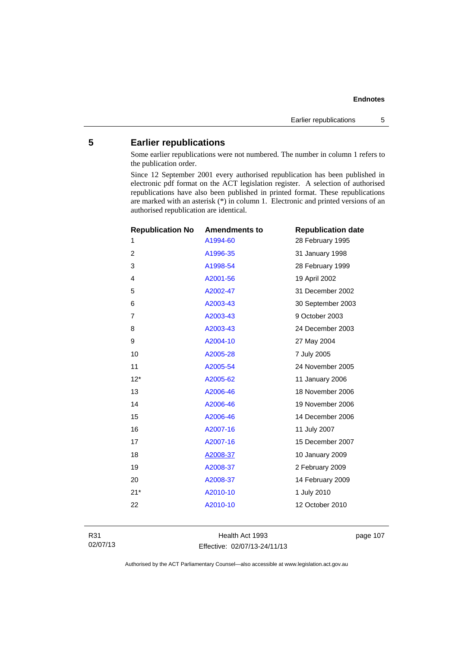# **5 Earlier republications**

Some earlier republications were not numbered. The number in column 1 refers to the publication order.

Since 12 September 2001 every authorised republication has been published in electronic pdf format on the ACT legislation register. A selection of authorised republications have also been published in printed format. These republications are marked with an asterisk (\*) in column 1. Electronic and printed versions of an authorised republication are identical.

| <b>Republication No</b> | <b>Amendments to</b> | <b>Republication date</b> |
|-------------------------|----------------------|---------------------------|
| 1                       | A1994-60             | 28 February 1995          |
| $\overline{c}$          | A1996-35             | 31 January 1998           |
| 3                       | A1998-54             | 28 February 1999          |
| 4                       | A2001-56             | 19 April 2002             |
| 5                       | A2002-47             | 31 December 2002          |
| 6                       | A2003-43             | 30 September 2003         |
| $\overline{7}$          | A2003-43             | 9 October 2003            |
| 8                       | A2003-43             | 24 December 2003          |
| 9                       | A2004-10             | 27 May 2004               |
| 10                      | A2005-28             | 7 July 2005               |
| 11                      | A2005-54             | 24 November 2005          |
| $12*$                   | A2005-62             | 11 January 2006           |
| 13                      | A2006-46             | 18 November 2006          |
| 14                      | A2006-46             | 19 November 2006          |
| 15                      | A2006-46             | 14 December 2006          |
| 16                      | A2007-16             | 11 July 2007              |
| 17                      | A2007-16             | 15 December 2007          |
| 18                      | A2008-37             | 10 January 2009           |
| 19                      | A2008-37             | 2 February 2009           |
| 20                      | A2008-37             | 14 February 2009          |
| $21*$                   | A2010-10             | 1 July 2010               |
| 22                      | A2010-10             | 12 October 2010           |
|                         |                      |                           |

Health Act 1993 Effective: 02/07/13-24/11/13 page 107